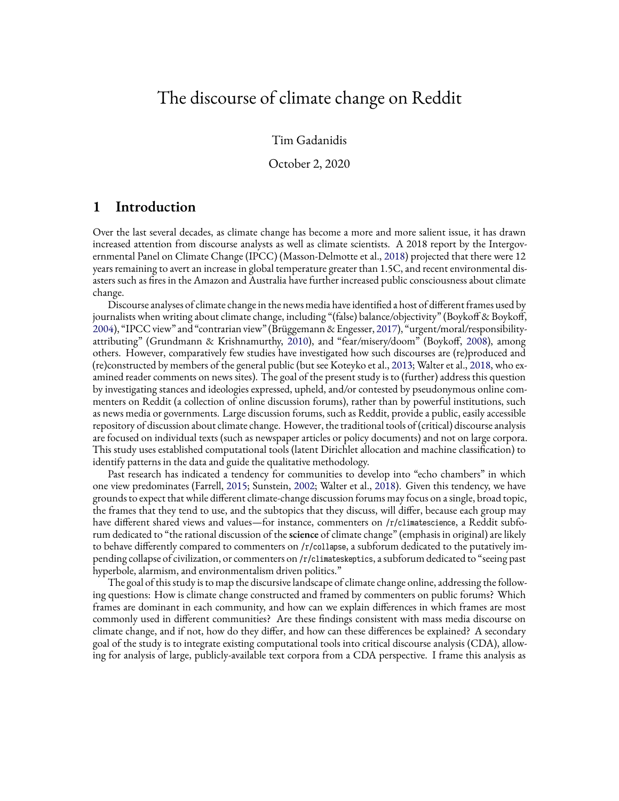# The discourse of climate change on Reddit

Tim Gadanidis

October 2, 2020

## **1 Introduction**

Over the last several decades, as climate change has become a more and more salient issue, it has drawn increased attention from discourse analysts as well as climate scientists. A 2018 report by the Intergovernmental Panel on Climate Change (IPCC) (Masson-Delmotte et al., [2018\)](#page-43-0) projected that there were 12 years remaining to avert an increase in global temperature greater than 1.5C, and recent environmental disasters such as fires in the Amazon and Australia have further increased public consciousness about climate change.

Discourse analyses of climate change in the news media have identified a host of different frames used by journalists when writing about climate change, including "(false) balance/objectivity" (Boykoff & Boykoff, [2004](#page-43-1)), "IPCC view" and "contrarian view" (Brüggemann & Engesser, [2017](#page-43-2)), "urgent/moral/responsibilityattributing" (Grundmann & Krishnamurthy, [2010](#page-43-3)), and "fear/misery/doom" (Boykoff, [2008](#page-42-0)), among others. However, comparatively few studies have investigated how such discourses are (re)produced and (re)constructed by members of the general public (but see Koteyko et al., [2013](#page-43-4); Walter et al., [2018](#page-44-0), who examined reader comments on news sites). The goal of the present study is to (further) address this question by investigating stances and ideologies expressed, upheld, and/or contested by pseudonymous online commenters on Reddit (a collection of online discussion forums), rather than by powerful institutions, such as news media or governments. Large discussion forums, such as Reddit, provide a public, easily accessible repository of discussion about climate change. However, the traditional tools of (critical) discourse analysis are focused on individual texts (such as newspaper articles or policy documents) and not on large corpora. This study uses established computational tools (latent Dirichlet allocation and machine classification) to identify patterns in the data and guide the qualitative methodology.

Past research has indicated a tendency for communities to develop into "echo chambers" in which one view predominates (Farrell, [2015;](#page-43-5) Sunstein, [2002](#page-44-1); Walter et al., [2018](#page-44-0)). Given this tendency, we have grounds to expect that while different climate-change discussion forums may focus on a single, broad topic, the frames that they tend to use, and the subtopics that they discuss, will differ, because each group may have different shared views and values—for instance, commenters on /r/climatescience, a Reddit subforum dedicated to "the rational discussion of the**science** of climate change" (emphasis in original) are likely to behave differently compared to commenters on /r/collapse, a subforum dedicated to the putatively impending collapse of civilization, or commenters on /r/climateskeptics, a subforum dedicated to "seeing past hyperbole, alarmism, and environmentalism driven politics."

The goal of this study is to map the discursive landscape of climate change online, addressing the following questions: How is climate change constructed and framed by commenters on public forums? Which frames are dominant in each community, and how can we explain differences in which frames are most commonly used in different communities? Are these findings consistent with mass media discourse on climate change, and if not, how do they differ, and how can these differences be explained? A secondary goal of the study is to integrate existing computational tools into critical discourse analysis (CDA), allowing for analysis of large, publicly-available text corpora from a CDA perspective. I frame this analysis as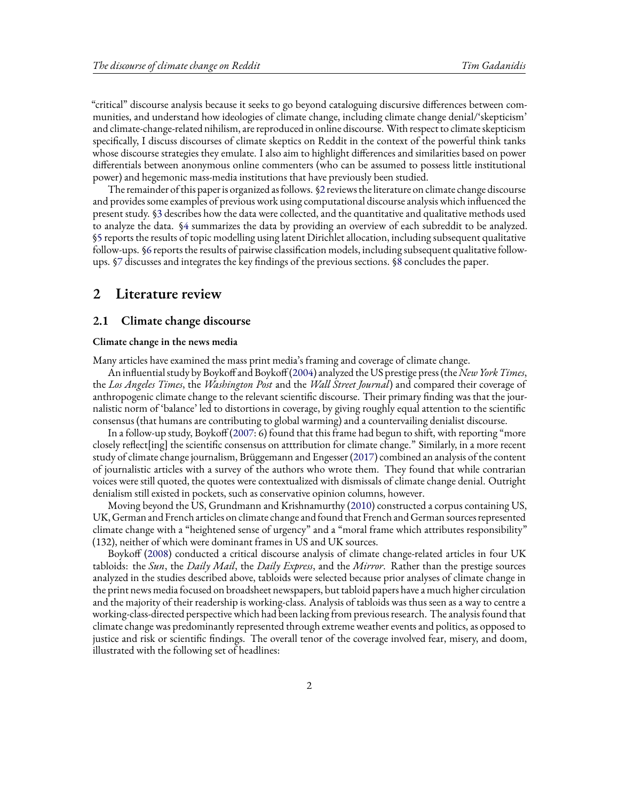"critical" discourse analysis because it seeks to go beyond cataloguing discursive differences between communities, and understand how ideologies of climate change, including climate change denial/'skepticism' and climate-change-related nihilism, are reproduced in online discourse. With respect to climate skepticism specifically, I discuss discourses of climate skeptics on Reddit in the context of the powerful think tanks whose discourse strategies they emulate. I also aim to highlight differences and similarities based on power differentials between anonymous online commenters (who can be assumed to possess little institutional power) and hegemonic mass-media institutions that have previously been studied.

The remainder of this paper is organized as follows.§[2](#page-1-0) reviews the literature on climate change discourse and provides some examples of previous work using computational discourse analysis which influenced the present study. [§3](#page-3-0) describes how the data were collected, and the quantitative and qualitative methods used to analyze the data.§[4](#page-6-0) summarizes the data by providing an overview of each subreddit to be analyzed. [§5](#page-12-0) reports the results of topic modelling using latent Dirichlet allocation, including subsequent qualitative follow-ups.§[6](#page-27-0) reports the results of pairwise classification models, including subsequent qualitative followups. [§7](#page-33-0) discusses and integrates the key findings of the previous sections.§[8](#page-41-0) concludes the paper.

## <span id="page-1-0"></span>**2 Literature review**

### **2.1 Climate change discourse**

#### **Climate change in the news media**

Many articles have examined the mass print media's framing and coverage of climate change.

An influential study by Boykoff and Boykoff [\(2004](#page-43-1)) analyzed the US prestige press (the*New York Times*, the *Los Angeles Times*, the *Washington Post* and the *Wall Street Journal*) and compared their coverage of anthropogenic climate change to the relevant scientific discourse. Their primary finding was that the journalistic norm of 'balance' led to distortions in coverage, by giving roughly equal attention to the scientific consensus (that humans are contributing to global warming) and a countervailing denialist discourse.

In a follow-up study, Boykoff([2007](#page-42-1): 6) found that this frame had begun to shift, with reporting "more closely reflect[ing] the scientific consensus on atttribution for climate change." Similarly, in a more recent study of climate change journalism, Brüggemann and Engesser([2017](#page-43-2)) combined an analysis of the content of journalistic articles with a survey of the authors who wrote them. They found that while contrarian voices were still quoted, the quotes were contextualized with dismissals of climate change denial. Outright denialism still existed in pockets, such as conservative opinion columns, however.

Moving beyond the US, Grundmann and Krishnamurthy([2010\)](#page-43-3) constructed a corpus containing US, UK, German and French articles on climate change and found that French and German sources represented climate change with a "heightened sense of urgency" and a "moral frame which attributes responsibility" (132), neither of which were dominant frames in US and UK sources.

Boykoff([2008\)](#page-42-0) conducted a critical discourse analysis of climate change-related articles in four UK tabloids: the *Sun*, the *Daily Mail*, the *Daily Express*, and the *Mirror*. Rather than the prestige sources analyzed in the studies described above, tabloids were selected because prior analyses of climate change in the print news media focused on broadsheet newspapers, but tabloid papers have a much higher circulation and the majority of their readership is working-class. Analysis of tabloids was thus seen as a way to centre a working-class-directed perspective which had been lacking from previous research. The analysis found that climate change was predominantly represented through extreme weather events and politics, as opposed to justice and risk or scientific findings. The overall tenor of the coverage involved fear, misery, and doom, illustrated with the following set of headlines: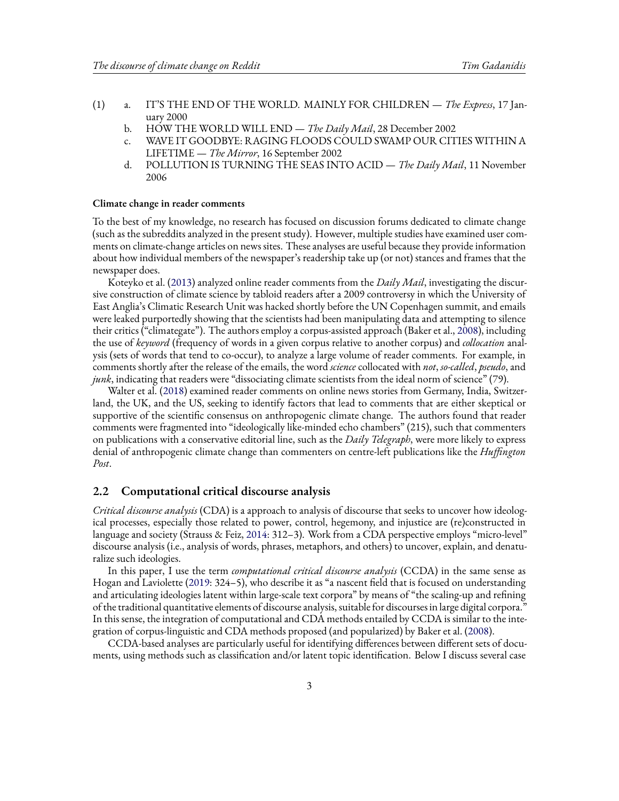- (1) a. IT'S THE END OF THE WORLD. MAINLY FOR CHILDREN *The Express*, 17 January 2000
	- b. HOW THE WORLD WILL END *The Daily Mail*, 28 December 2002
	- c. WAVE IT GOODBYE: RAGING FLOODS COULD SWAMP OUR CITIES WITHIN A LIFETIME — *The Mirror*, 16 September 2002
	- d. POLLUTION IS TURNING THE SEAS INTO ACID *The Daily Mail*, 11 November 2006

#### **Climate change in reader comments**

To the best of my knowledge, no research has focused on discussion forums dedicated to climate change (such as the subreddits analyzed in the present study). However, multiple studies have examined user comments on climate-change articles on news sites. These analyses are useful because they provide information about how individual members of the newspaper's readership take up (or not) stances and frames that the newspaper does.

Koteyko et al. [\(2013\)](#page-43-4) analyzed online reader comments from the *Daily Mail*, investigating the discursive construction of climate science by tabloid readers after a 2009 controversy in which the University of East Anglia's Climatic Research Unit was hacked shortly before the UN Copenhagen summit, and emails were leaked purportedly showing that the scientists had been manipulating data and attempting to silence their critics ("climategate"). The authors employ a corpus-assisted approach (Baker et al., [2008\)](#page-42-2), including the use of *keyword* (frequency of words in a given corpus relative to another corpus) and *collocation* analysis (sets of words that tend to co-occur), to analyze a large volume of reader comments. For example, in comments shortly after the release of the emails, the word *science* collocated with *not*, *so-called*, *pseudo*, and *junk*, indicating that readers were "dissociating climate scientists from the ideal norm of science" (79).

Walter et al. [\(2018\)](#page-44-0) examined reader comments on online news stories from Germany, India, Switzerland, the UK, and the US, seeking to identify factors that lead to comments that are either skeptical or supportive of the scientific consensus on anthropogenic climate change. The authors found that reader comments were fragmented into "ideologically like-minded echo chambers" (215), such that commenters on publications with a conservative editorial line, such as the *Daily Telegraph*, were more likely to express denial of anthropogenic climate change than commenters on centre-left publications like the *Huffington Post*.

### **2.2 Computational critical discourse analysis**

*Critical discourse analysis* (CDA) is a approach to analysis of discourse that seeks to uncover how ideological processes, especially those related to power, control, hegemony, and injustice are (re)constructed in language and society (Strauss & Feiz, [2014](#page-44-2): 312–3). Work from a CDA perspective employs "micro-level" discourse analysis (i.e., analysis of words, phrases, metaphors, and others) to uncover, explain, and denaturalize such ideologies.

In this paper, I use the term *computational critical discourse analysis* (CCDA) in the same sense as Hogan and Laviolette([2019](#page-43-6): 324–5), who describe it as "a nascent field that is focused on understanding and articulating ideologies latent within large-scale text corpora" by means of "the scaling-up and refining of the traditional quantitative elements of discourse analysis, suitable for discourses in large digital corpora." In this sense, the integration of computational and CDA methods entailed by CCDA is similar to the integration of corpus-linguistic and CDA methods proposed (and popularized) by Baker et al. [\(2008\)](#page-42-2).

CCDA-based analyses are particularly useful for identifying differences between different sets of documents, using methods such as classification and/or latent topic identification. Below I discuss several case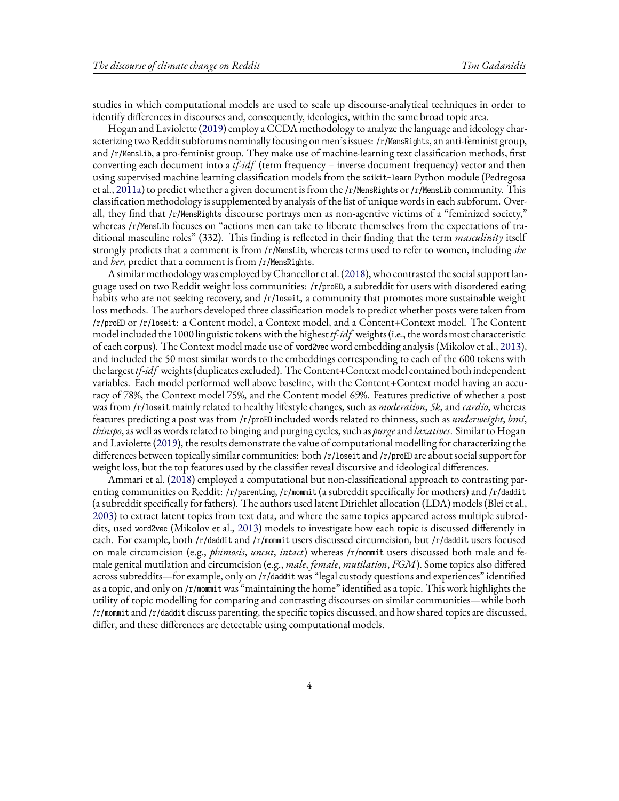studies in which computational models are used to scale up discourse-analytical techniques in order to identify differences in discourses and, consequently, ideologies, within the same broad topic area.

Hogan and Laviolette [\(2019\)](#page-43-6) employ a CCDA methodology to analyze the language and ideology characterizing two Reddit subforums nominally focusing on men's issues: /r/MensRights, an anti-feminist group, and /r/MensLib, a pro-feminist group. They make use of machine-learning text classification methods, first converting each document into a *tf-idf* (term frequency − inverse document frequency) vector and then using supervised machine learning classification models from the scikit-learn Python module (Pedregosa et al., [2011a\)](#page-44-3) to predict whether a given document is from the /r/MensRights or /r/MensLib community. This classification methodology is supplemented by analysis of the list of unique words in each subforum. Overall, they find that /r/MensRights discourse portrays men as non-agentive victims of a "feminized society," whereas /r/MensLib focuses on "actions men can take to liberate themselves from the expectations of traditional masculine roles" (332). This finding is reflected in their finding that the term *masculinity* itself strongly predicts that a comment is from /r/MensLib, whereas terms used to refer to women, including *she* and *her*, predict that a comment is from /r/MensRights.

A similar methodology was employed by Chancellor et al.([2018](#page-43-7)), who contrasted the social support language used on two Reddit weight loss communities: /r/proED, a subreddit for users with disordered eating habits who are not seeking recovery, and /r/loseit, a community that promotes more sustainable weight loss methods. The authors developed three classification models to predict whether posts were taken from /r/proED or /r/loseit: a Content model, a Context model, and a Content+Context model. The Content model included the 1000 linguistic tokens with the highest*tf-idf* weights (i.e., the words most characteristic of each corpus). The Context model made use of word2vec word embedding analysis (Mikolov et al., [2013\)](#page-43-8), and included the 50 most similar words to the embeddings corresponding to each of the 600 tokens with the largest*tf-idf* weights (duplicates excluded). The Content+Context model contained both independent variables. Each model performed well above baseline, with the Content+Context model having an accuracy of 78%, the Context model 75%, and the Content model 69%. Features predictive of whether a post was from /r/loseit mainly related to healthy lifestyle changes, such as *moderation*, *5k*, and *cardio*, whereas features predicting a post was from /r/proED included words related to thinness, such as *underweight*, *bmi*, *thinspo*, as well as words related to binging and purging cycles, such as *purge*and *laxatives*. Similar to Hogan and Laviolette([2019](#page-43-6)), the results demonstrate the value of computational modelling for characterizing the differences between topically similar communities: both /r/loseit and /r/proED are about social support for weight loss, but the top features used by the classifier reveal discursive and ideological differences.

<span id="page-3-0"></span>Ammari et al. [\(2018\)](#page-42-3) employed a computational but non-classificational approach to contrasting parenting communities on Reddit: /r/parenting, /r/mommit (a subreddit specifically for mothers) and /r/daddit (a subreddit specifically for fathers). The authors used latent Dirichlet allocation (LDA) models (Blei et al., [2003](#page-42-4)) to extract latent topics from text data, and where the same topics appeared across multiple subreddits, used word2vec (Mikolov et al., [2013\)](#page-43-8) models to investigate how each topic is discussed differently in each. For example, both /r/daddit and /r/mommit users discussed circumcision, but /r/daddit users focused on male circumcision (e.g., *phimosis*, *uncut*, *intact*) whereas /r/mommit users discussed both male and female genital mutilation and circumcision (e.g., *male*, *female*, *mutilation*, *FGM*). Some topics also differed across subreddits—for example, only on /r/daddit was "legal custody questions and experiences" identified as a topic, and only on /r/mommit was "maintaining the home" identified as a topic. This work highlights the utility of topic modelling for comparing and contrasting discourses on similar communities—while both /r/mommit and /r/daddit discuss parenting, the specific topics discussed, and how shared topics are discussed, differ, and these differences are detectable using computational models.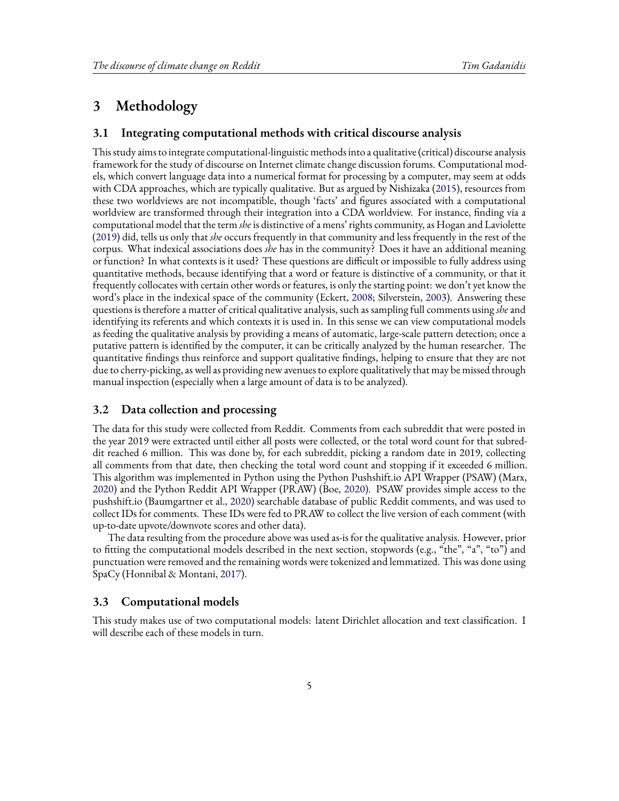## **3 Methodology**

### **3.1 Integrating computational methods with critical discourse analysis**

This study aims to integrate computational-linguistic methods into a qualitative (critical) discourse analysis framework for the study of discourse on Internet climate change discussion forums. Computational models, which convert language data into a numerical format for processing by a computer, may seem at odds with CDA approaches, which are typically qualitative. But as argued by Nishizaka [\(2015\)](#page-44-4), resources from these two worldviews are not incompatible, though 'facts' and figures associated with a computational worldview are transformed through their integration into a CDA worldview. For instance, finding via a computational model that the term *she* is distinctive of a mens' rights community, as Hogan and Laviolette ([2019](#page-43-6)) did, tells us only that *she* occurs frequently in that community and less frequently in the rest of the corpus. What indexical associations does *she* has in the community? Does it have an additional meaning or function? In what contexts is it used? These questions are difficult or impossible to fully address using quantitative methods, because identifying that a word or feature is distinctive of a community, or that it frequently collocates with certain other words or features, is only the starting point: we don't yet know the word's place in the indexical space of the community (Eckert, [2008;](#page-43-9) Silverstein, [2003\)](#page-44-5). Answering these questions is therefore a matter of critical qualitative analysis, such as sampling full comments using *she*and identifying its referents and which contexts it is used in. In this sense we can view computational models as feeding the qualitative analysis by providing a means of automatic, large-scale pattern detection; once a putative pattern is identified by the computer, it can be critically analyzed by the human researcher. The quantitative findings thus reinforce and support qualitative findings, helping to ensure that they are not due to cherry-picking, as well as providing new avenues to explore qualitatively that may be missed through manual inspection (especially when a large amount of data is to be analyzed).

#### **3.2 Data collection and processing**

The data for this study were collected from Reddit. Comments from each subreddit that were posted in the year 2019 were extracted until either all posts were collected, or the total word count for that subreddit reached 6 million. This was done by, for each subreddit, picking a random date in 2019, collecting all comments from that date, then checking the total word count and stopping if it exceeded 6 million. This algorithm was implemented in Python using the Python Pushshift.io API Wrapper (PSAW) (Marx, [2020](#page-43-10)) and the Python Reddit API Wrapper (PRAW) (Boe, [2020](#page-42-5)). PSAW provides simple access to the pushshift.io (Baumgartner et al., [2020](#page-42-6)) searchable database of public Reddit comments, and was used to collect IDs for comments. These IDs were fed to PRAW to collect the live version of each comment (with up-to-date upvote/downvote scores and other data).

The data resulting from the procedure above was used as-is for the qualitative analysis. However, prior to fitting the computational models described in the next section, stopwords (e.g., "the", "a", "to") and punctuation were removed and the remaining words were tokenized and lemmatized. This was done using SpaCy (Honnibal & Montani, [2017](#page-43-11)).

#### <span id="page-4-0"></span>**3.3 Computational models**

This study makes use of two computational models: latent Dirichlet allocation and text classification. I will describe each of these models in turn.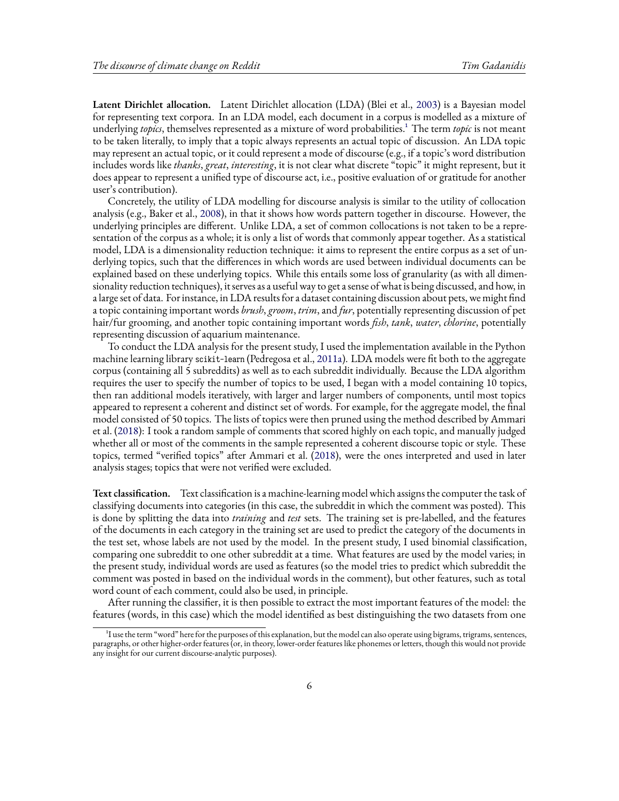**Latent Dirichlet allocation.** Latent Dirichlet allocation (LDA) (Blei et al., [2003\)](#page-42-4) is a Bayesian model for representing text corpora. In an LDA model, each document in a corpus is modelled as a mixture of underlying *topics*, themselves represented as a mixture of word probabilities.<sup>1</sup> The term *topic* is not meant to be taken literally, to imply that a topic always represents an actual topic of discussion. An LDA topic may represent an actual topic, or it could represent a mode of discourse (e.g., if a topic's word distribution includes words like *thanks*, *great*, *interesting*, it is not clear what discrete "topic" it might represent, but it does appear to represent a unified type of discourse act, i.e., positive evaluation of or gratitude for another user's contribution).

Concretely, the utility of LDA modelling for discourse analysis is similar to the utility of collocation analysis (e.g., Baker et al., [2008\)](#page-42-2), in that it shows how words pattern together in discourse. However, the underlying principles are different. Unlike LDA, a set of common collocations is not taken to be a representation of the corpus as a whole; it is only a list of words that commonly appear together. As a statistical model, LDA is a dimensionality reduction technique: it aims to represent the entire corpus as a set of underlying topics, such that the differences in which words are used between individual documents can be explained based on these underlying topics. While this entails some loss of granularity (as with all dimensionality reduction techniques), it serves as a useful way to get a sense of what is being discussed, and how, in a large set of data. For instance, in LDA results for a dataset containing discussion about pets, we might find a topic containing important words *brush*, *groom*, *trim*, and *fur*, potentially representing discussion of pet hair/fur grooming, and another topic containing important words *fish*, *tank*, *water*, *chlorine*, potentially representing discussion of aquarium maintenance.

To conduct the LDA analysis for the present study, I used the implementation available in the Python machine learning library scikit-learn (Pedregosa et al., [2011a](#page-44-3)). LDA models were fit both to the aggregate corpus (containing all 5 subreddits) as well as to each subreddit individually. Because the LDA algorithm requires the user to specify the number of topics to be used, I began with a model containing 10 topics, then ran additional models iteratively, with larger and larger numbers of components, until most topics appeared to represent a coherent and distinct set of words. For example, for the aggregate model, the final model consisted of 50 topics. The lists of topics were then pruned using the method described by Ammari et al. [\(2018](#page-42-3)): I took a random sample of comments that scored highly on each topic, and manually judged whether all or most of the comments in the sample represented a coherent discourse topic or style. These topics, termed "verified topics" after Ammari et al. [\(2018\)](#page-42-3), were the ones interpreted and used in later analysis stages; topics that were not verified were excluded.

**Text classification.** Text classification is a machine-learning model which assigns the computer the task of classifying documents into categories (in this case, the subreddit in which the comment was posted). This is done by splitting the data into *training* and *test* sets. The training set is pre-labelled, and the features of the documents in each category in the training set are used to predict the category of the documents in the test set, whose labels are not used by the model. In the present study, I used binomial classification, comparing one subreddit to one other subreddit at a time. What features are used by the model varies; in the present study, individual words are used as features (so the model tries to predict which subreddit the comment was posted in based on the individual words in the comment), but other features, such as total word count of each comment, could also be used, in principle.

After running the classifier, it is then possible to extract the most important features of the model: the features (words, in this case) which the model identified as best distinguishing the two datasets from one

<sup>&</sup>lt;sup>1</sup>I use the term "word" here for the purposes of this explanation, but the model can also operate using bigrams, trigrams, sentences, paragraphs, or other higher-order features (or, in theory, lower-order features like phonemes or letters, though this would not provide any insight for our current discourse-analytic purposes).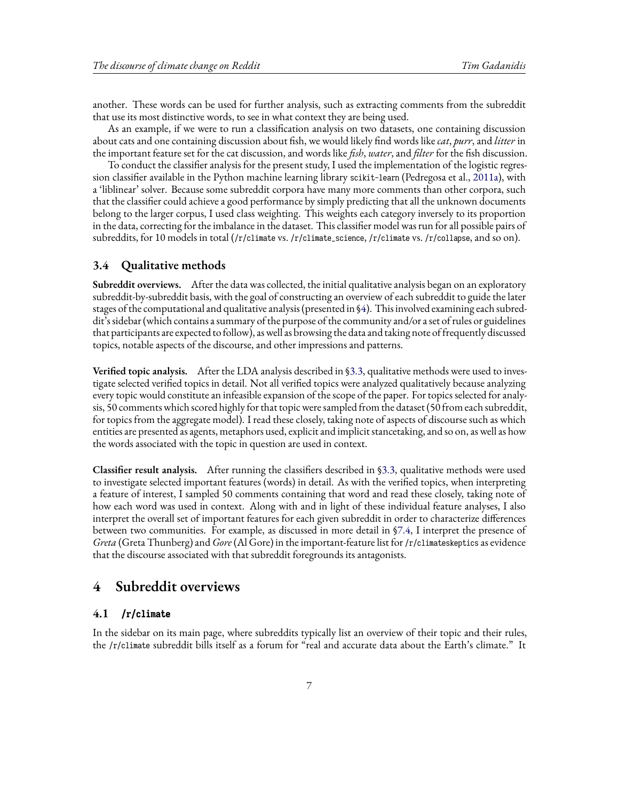another. These words can be used for further analysis, such as extracting comments from the subreddit that use its most distinctive words, to see in what context they are being used.

As an example, if we were to run a classification analysis on two datasets, one containing discussion about cats and one containing discussion about fish, we would likely find words like*cat*, *purr*, and *litter* in the important feature set for the cat discussion, and words like *fish*, *water*, and *filter* for the fish discussion.

To conduct the classifier analysis for the present study, I used the implementation of the logistic regression classifier available in the Python machine learning library scikit-learn (Pedregosa et al., [2011a\)](#page-44-3), with a 'liblinear' solver. Because some subreddit corpora have many more comments than other corpora, such that the classifier could achieve a good performance by simply predicting that all the unknown documents belong to the larger corpus, I used class weighting. This weights each category inversely to its proportion in the data, correcting for the imbalance in the dataset. This classifier model was run for all possible pairs of subreddits, for 10 models in total (/r/climate vs. /r/climate\_science, /r/climate vs. /r/collapse, and so on).

### **3.4 Qualitative methods**

**Subreddit overviews.** After the data was collected, the initial qualitative analysis began on an exploratory subreddit-by-subreddit basis, with the goal of constructing an overview of each subreddit to guide the later stages of the computational and qualitative analysis (presented in [§4](#page-6-0)). This involved examining each subreddit's sidebar (which contains a summary of the purpose of the community and/or a set of rules or guidelines that participants are expected to follow), as well as browsing the data and taking note of frequently discussed topics, notable aspects of the discourse, and other impressions and patterns.

**Verified topic analysis.** After the LDA analysis described in [§3.3,](#page-4-0) qualitative methods were used to investigate selected verified topics in detail. Not all verified topics were analyzed qualitatively because analyzing every topic would constitute an infeasible expansion of the scope of the paper. For topics selected for analysis, 50 comments which scored highly for that topic were sampled from the dataset (50 from each subreddit, for topics from the aggregate model). I read these closely, taking note of aspects of discourse such as which entities are presented as agents, metaphors used, explicit and implicit stancetaking, and so on, as well as how the words associated with the topic in question are used in context.

**Classifier result analysis.** After running the classifiers described in§[3.3,](#page-4-0) qualitative methods were used to investigate selected important features (words) in detail. As with the verified topics, when interpreting a feature of interest, I sampled 50 comments containing that word and read these closely, taking note of how each word was used in context. Along with and in light of these individual feature analyses, I also interpret the overall set of important features for each given subreddit in order to characterize differences between two communities. For example, as discussed in more detail in [§7.4](#page-37-0), I interpret the presence of *Greta* (Greta Thunberg) and *Gore* (Al Gore) in the important-feature list for /r/climateskeptics as evidence that the discourse associated with that subreddit foregrounds its antagonists.

### <span id="page-6-0"></span>**4 Subreddit overviews**

#### **4.1 /r/climate**

In the sidebar on its main page, where subreddits typically list an overview of their topic and their rules, the /r/climate subreddit bills itself as a forum for "real and accurate data about the Earth's climate." It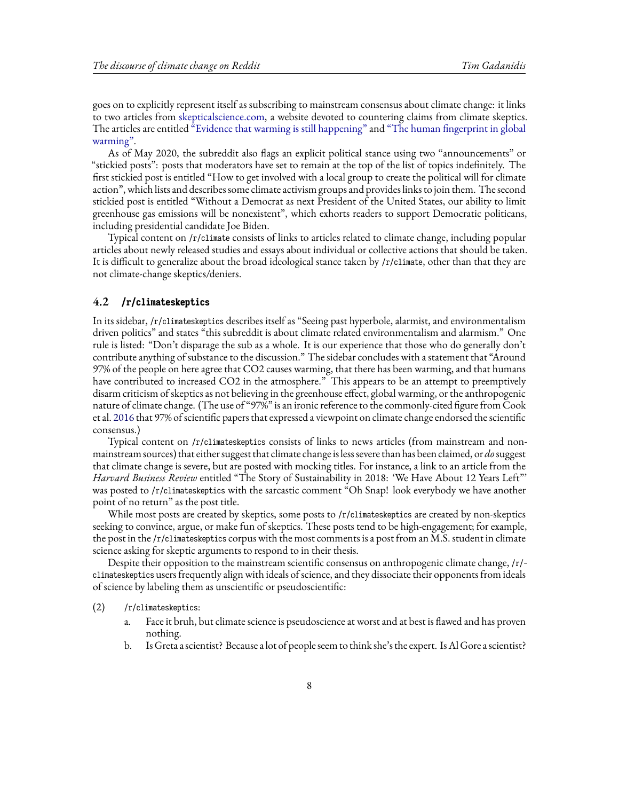goes on to explicitly represent itself as subscribing to mainstream consensus about climate change: it links to two articles from [skepticalscience.com,](skepticalscience.com) a website devoted to countering claims from climate skeptics. The articles are entitled ["Evidence that warming is still happening"](http://www.skepticalscience.com/global-cooling-intermediate.htm) and ["The human fingerprint in global](http://www.skepticalscience.com/human-fingerprint-in-global-warming.html) [warming"](http://www.skepticalscience.com/human-fingerprint-in-global-warming.html).

As of May 2020, the subreddit also flags an explicit political stance using two "announcements" or "stickied posts": posts that moderators have set to remain at the top of the list of topics indefinitely. The first stickied post is entitled "How to get involved with a local group to create the political will for climate action", which lists and describes some climate activism groups and provides links to join them. The second stickied post is entitled "Without a Democrat as next President of the United States, our ability to limit greenhouse gas emissions will be nonexistent", which exhorts readers to support Democratic politicans, including presidential candidate Joe Biden.

Typical content on /r/climate consists of links to articles related to climate change, including popular articles about newly released studies and essays about individual or collective actions that should be taken. It is difficult to generalize about the broad ideological stance taken by /r/climate, other than that they are not climate-change skeptics/deniers.

#### **4.2 /r/climateskeptics**

In its sidebar, /r/climateskeptics describes itself as "Seeing past hyperbole, alarmist, and environmentalism driven politics" and states "this subreddit is about climate related environmentalism and alarmism." One rule is listed: "Don't disparage the sub as a whole. It is our experience that those who do generally don't contribute anything of substance to the discussion." The sidebar concludes with a statement that "Around 97% of the people on here agree that CO2 causes warming, that there has been warming, and that humans have contributed to increased CO2 in the atmosphere." This appears to be an attempt to preemptively disarm criticism of skeptics as not believing in the greenhouse effect, global warming, or the anthropogenic nature of climate change. (The use of "97%" is an ironic reference to the commonly-cited figure from Cook et al. [2016](#page-43-12) that 97% of scientific papers that expressed a viewpoint on climate change endorsed the scientific consensus.)

Typical content on /r/climateskeptics consists of links to news articles (from mainstream and nonmainstream sources) that either suggest that climate change is less severe than has been claimed, or *do*suggest that climate change is severe, but are posted with mocking titles. For instance, a link to an article from the *Harvard Business Review* entitled "The Story of Sustainability in 2018: 'We Have About 12 Years Left"' was posted to /r/climateskeptics with the sarcastic comment "Oh Snap! look everybody we have another point of no return" as the post title.

While most posts are created by skeptics, some posts to /r/climateskeptics are created by non-skeptics seeking to convince, argue, or make fun of skeptics. These posts tend to be high-engagement; for example, the post in the /r/climateskeptics corpus with the most comments is a post from an M.S. student in climate science asking for skeptic arguments to respond to in their thesis.

Despite their opposition to the mainstream scientific consensus on anthropogenic climate change, /r/ climateskeptics users frequently align with ideals of science, and they dissociate their opponents from ideals of science by labeling them as unscientific or pseudoscientific:

(2) /r/climateskeptics:

- a. Face it bruh, but climate science is pseudoscience at worst and at best is flawed and has proven nothing.
- b. Is Greta a scientist? Because a lot of people seem to think she's the expert. IsAl Gore a scientist?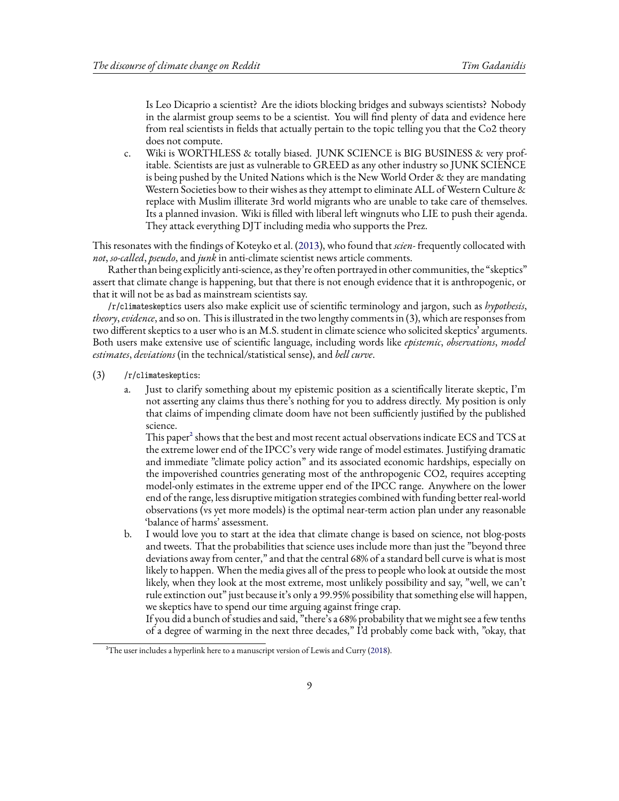Is Leo Dicaprio a scientist? Are the idiots blocking bridges and subways scientists? Nobody in the alarmist group seems to be a scientist. You will find plenty of data and evidence here from real scientists in fields that actually pertain to the topic telling you that the Co2 theory does not compute.

c. Wiki is WORTHLESS & totally biased. JUNK SCIENCE is BIG BUSINESS & very profitable. Scientists are just as vulnerable to GREED as any other industry so JUNK SCIENCE is being pushed by the United Nations which is the New World Order  $\&$  they are mandating Western Societies bow to their wishes as they attempt to eliminate ALL of Western Culture & replace with Muslim illiterate 3rd world migrants who are unable to take care of themselves. Its a planned invasion. Wiki is filled with liberal left wingnuts who LIE to push their agenda. They attack everything DJT including media who supports the Prez.

This resonates with the findings of Koteyko et al. [\(2013\)](#page-43-4), who found that *scien-* frequently collocated with *not*, *so-called*, *pseudo*, and *junk* in anti-climate scientist news article comments.

Rather than being explicitly anti-science, as they're often portrayed in other communities, the "skeptics" assert that climate change is happening, but that there is not enough evidence that it is anthropogenic, or that it will not be as bad as mainstream scientists say.

/r/climateskeptics users also make explicit use of scientific terminology and jargon, such as *hypothesis*, *theory*, *evidence*, and so on. This is illustrated in the two lengthy comments in (3), which are responses from two different skeptics to a user who is an M.S. student in climate science who solicited skeptics' arguments. Both users make extensive use of scientific language, including words like *epistemic*, *observations*, *model estimates*, *deviations* (in the technical/statistical sense), and *bell curve*.

- (3) /r/climateskeptics:
	- a. Just to clarify something about my epistemic position as a scientifically literate skeptic, I'm not asserting any claims thus there's nothing for you to address directly. My position is only that claims of impending climate doom have not been sufficiently justified by the published science.

This paper<sup>2</sup> shows that the best and most recent actual observations indicate ECS and TCS at the extreme lower end of the IPCC's very wide range of model estimates. Justifying dramatic and immediate "climate policy action" and its associated economic hardships, especially on the impoverished countries generating most of the anthropogenic CO2, requires accepting model-only estimates in the extreme upper end of the IPCC range. Anywhere on the lower end of the range, less disruptive mitigation strategies combined with funding better real-world observations (vs yet more models) is the optimal near-term action plan under any reasonable 'balance of harms' assessment.

b. I would love you to start at the idea that climate change is based on science, not blog-posts and tweets. That the probabilities that science uses include more than just the "beyond three deviations away from center," and that the central 68% of a standard bell curve is what is most likely to happen. When the media gives all of the press to people who look at outside the most likely, when they look at the most extreme, most unlikely possibility and say, "well, we can't rule extinction out" just because it's only a 99.95% possibility that something else will happen, we skeptics have to spend our time arguing against fringe crap.

If you did a bunch of studies and said, "there's a 68% probability that we might see a few tenths of a degree of warming in the next three decades," I'd probably come back with, "okay, that

<sup>&</sup>lt;sup>2</sup>Theuser includes a hyperlink here to a manuscript version of Lewis and Curry ([2018](#page-43-13)).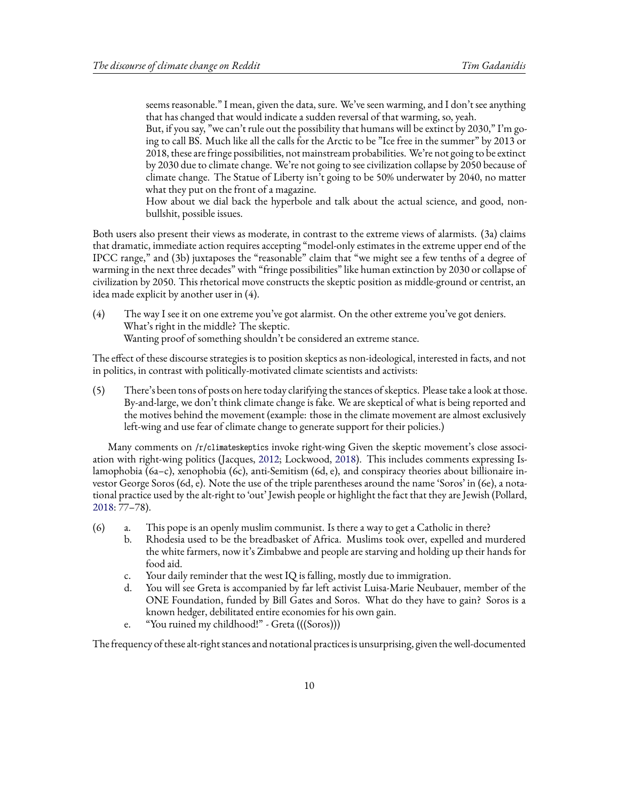seems reasonable." I mean, given the data, sure. We've seen warming, and I don't see anything that has changed that would indicate a sudden reversal of that warming, so, yeah.

But, if you say, "we can't rule out the possibility that humans will be extinct by 2030," I'm going to call BS. Much like all the calls for the Arctic to be "Ice free in the summer" by 2013 or 2018, these are fringe possibilities, not mainstream probabilities. We're not going to be extinct by 2030 due to climate change. We're not going to see civilization collapse by 2050 because of climate change. The Statue of Liberty isn't going to be 50% underwater by 2040, no matter what they put on the front of a magazine.

How about we dial back the hyperbole and talk about the actual science, and good, nonbullshit, possible issues.

Both users also present their views as moderate, in contrast to the extreme views of alarmists. (3a) claims that dramatic, immediate action requires accepting "model-only estimates in the extreme upper end of the IPCC range," and (3b) juxtaposes the "reasonable" claim that "we might see a few tenths of a degree of warming in the next three decades" with "fringe possibilities" like human extinction by 2030 or collapse of civilization by 2050. This rhetorical move constructs the skeptic position as middle-ground or centrist, an idea made explicit by another user in (4).

(4) The way I see it on one extreme you've got alarmist. On the other extreme you've got deniers. What's right in the middle? The skeptic. Wanting proof of something shouldn't be considered an extreme stance.

The effect of these discourse strategies is to position skeptics as non-ideological, interested in facts, and not in politics, in contrast with politically-motivated climate scientists and activists:

(5) There's been tons of posts on here today clarifying the stances of skeptics. Please take a look at those. By-and-large, we don't think climate change is fake. We are skeptical of what is being reported and the motives behind the movement (example: those in the climate movement are almost exclusively left-wing and use fear of climate change to generate support for their policies.)

Many comments on /r/climateskeptics invoke right-wing Given the skeptic movement's close association with right-wing politics (Jacques, [2012](#page-43-14); Lockwood, [2018](#page-43-15)). This includes comments expressing Islamophobia (6a–c), xenophobia (6c), anti-Semitism (6d, e), and conspiracy theories about billionaire investor George Soros (6d, e). Note the use of the triple parentheses around the name 'Soros' in (6e), a notational practice used by the alt-right to 'out' Jewish people or highlight the fact that they are Jewish (Pollard, [2018](#page-44-6): 77–78).

- (6) a. This pope is an openly muslim communist. Is there a way to get a Catholic in there?
	- b. Rhodesia used to be the breadbasket of Africa. Muslims took over, expelled and murdered the white farmers, now it's Zimbabwe and people are starving and holding up their hands for food aid.
	- c. Your daily reminder that the west IQ is falling, mostly due to immigration.
	- d. You will see Greta is accompanied by far left activist Luisa-Marie Neubauer, member of the ONE Foundation, funded by Bill Gates and Soros. What do they have to gain? Soros is a known hedger, debilitated entire economies for his own gain.
	- e. "You ruined my childhood!" Greta (((Soros)))

The frequency of these alt-right stances and notational practices is unsurprising, given the well-documented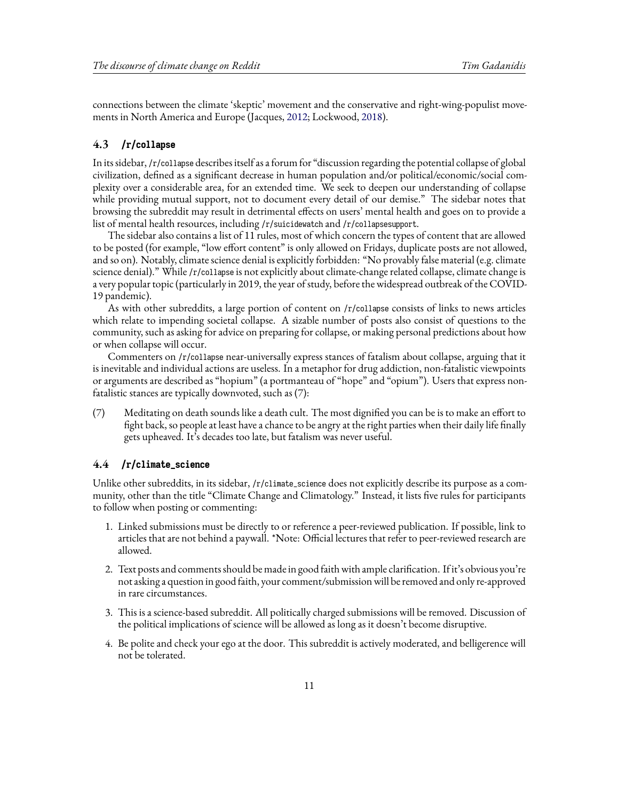connections between the climate 'skeptic' movement and the conservative and right-wing-populist movements in North America and Europe (Jacques, [2012](#page-43-14); Lockwood, [2018](#page-43-15)).

### **4.3 /r/collapse**

In its sidebar, /r/collapse describes itself as a forum for "discussion regarding the potential collapse of global civilization, defined as a significant decrease in human population and/or political/economic/social complexity over a considerable area, for an extended time. We seek to deepen our understanding of collapse while providing mutual support, not to document every detail of our demise." The sidebar notes that browsing the subreddit may result in detrimental effects on users' mental health and goes on to provide a list of mental health resources, including /r/suicidewatch and /r/collapsesupport.

The sidebar also contains a list of 11 rules, most of which concern the types of content that are allowed to be posted (for example, "low effort content" is only allowed on Fridays, duplicate posts are not allowed, and so on). Notably, climate science denial is explicitly forbidden: "No provably false material (e.g. climate science denial)." While /r/collapse is not explicitly about climate-change related collapse, climate change is a very popular topic (particularly in 2019, the year of study, before the widespread outbreak of the COVID-19 pandemic).

As with other subreddits, a large portion of content on /r/collapse consists of links to news articles which relate to impending societal collapse. A sizable number of posts also consist of questions to the community, such as asking for advice on preparing for collapse, or making personal predictions about how or when collapse will occur.

Commenters on /r/collapse near-universally express stances of fatalism about collapse, arguing that it is inevitable and individual actions are useless. In a metaphor for drug addiction, non-fatalistic viewpoints or arguments are described as "hopium" (a portmanteau of "hope" and "opium"). Users that express nonfatalistic stances are typically downvoted, such as (7):

(7) Meditating on death sounds like a death cult. The most dignified you can be is to make an effort to fight back, so people at least have a chance to be angry at the right parties when their daily life finally gets upheaved. It's decades too late, but fatalism was never useful.

#### **4.4 /r/climate\_science**

Unlike other subreddits, in its sidebar, /r/climate\_science does not explicitly describe its purpose as a community, other than the title "Climate Change and Climatology." Instead, it lists five rules for participants to follow when posting or commenting:

- 1. Linked submissions must be directly to or reference a peer-reviewed publication. If possible, link to articles that are not behind a paywall. \*Note: Official lectures that refer to peer-reviewed research are allowed.
- 2. Text posts and comments should be made in good faith with ample clarification. If it's obvious you're not asking a question in good faith, your comment/submission will be removed and only re-approved in rare circumstances.
- 3. This is a science-based subreddit. All politically charged submissions will be removed. Discussion of the political implications of science will be allowed as long as it doesn't become disruptive.
- 4. Be polite and check your ego at the door. This subreddit is actively moderated, and belligerence will not be tolerated.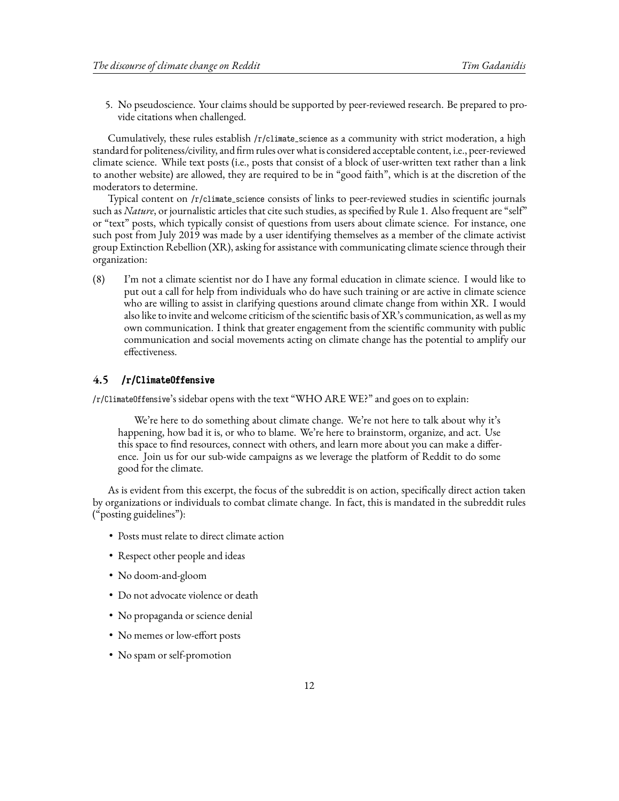5. No pseudoscience. Your claims should be supported by peer-reviewed research. Be prepared to provide citations when challenged.

Cumulatively, these rules establish /r/climate\_science as a community with strict moderation, a high standard for politeness/civility, and firm rules over what is considered acceptable content, i.e., peer-reviewed climate science. While text posts (i.e., posts that consist of a block of user-written text rather than a link to another website) are allowed, they are required to be in "good faith", which is at the discretion of the moderators to determine.

Typical content on /r/climate\_science consists of links to peer-reviewed studies in scientific journals such as *Nature*, or journalistic articles that cite such studies, as specified by Rule 1. Also frequent are "self" or "text" posts, which typically consist of questions from users about climate science. For instance, one such post from July 2019 was made by a user identifying themselves as a member of the climate activist group Extinction Rebellion (XR), asking for assistance with communicating climate science through their organization:

(8) I'm not a climate scientist nor do I have any formal education in climate science. I would like to put out a call for help from individuals who do have such training or are active in climate science who are willing to assist in clarifying questions around climate change from within XR. I would also like to invite and welcome criticism of the scientific basis of XR's communication, as well as my own communication. I think that greater engagement from the scientific community with public communication and social movements acting on climate change has the potential to amplify our effectiveness.

#### **4.5 /r/ClimateOffensive**

/r/ClimateOffensive's sidebar opens with the text "WHO ARE WE?" and goes on to explain:

We're here to do something about climate change. We're not here to talk about why it's happening, how bad it is, or who to blame. We're here to brainstorm, organize, and act. Use this space to find resources, connect with others, and learn more about you can make a difference. Join us for our sub-wide campaigns as we leverage the platform of Reddit to do some good for the climate.

As is evident from this excerpt, the focus of the subreddit is on action, specifically direct action taken by organizations or individuals to combat climate change. In fact, this is mandated in the subreddit rules ("posting guidelines"):

- Posts must relate to direct climate action
- Respect other people and ideas
- No doom-and-gloom
- Do not advocate violence or death
- No propaganda or science denial
- No memes or low-effort posts
- No spam or self-promotion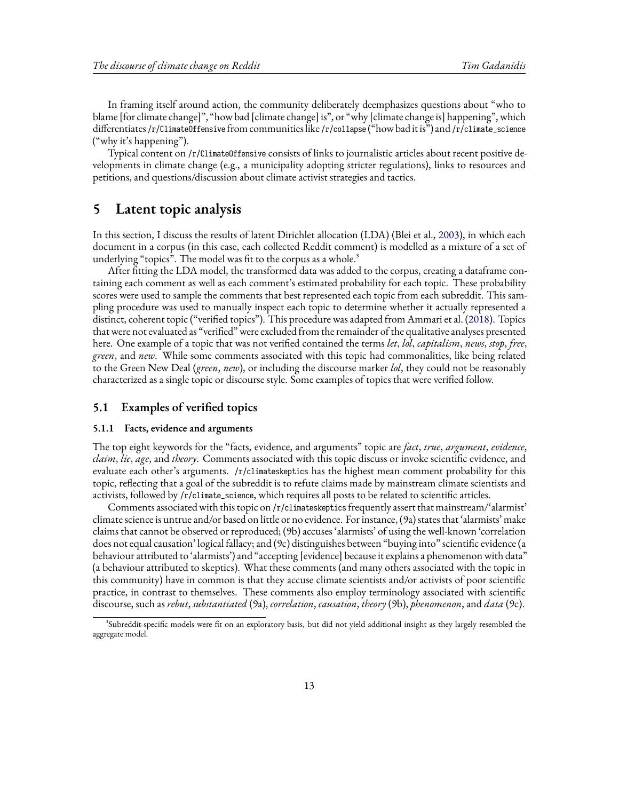In framing itself around action, the community deliberately deemphasizes questions about "who to blame [for climate change]", "how bad [climate change] is", or "why [climate change is] happening", which differentiates /r/ClimateOffensive from communities like /r/collapse ("how bad it is") and /r/climate\_science ("why it's happening").

Typical content on /r/ClimateOffensive consists of links to journalistic articles about recent positive developments in climate change (e.g., a municipality adopting stricter regulations), links to resources and petitions, and questions/discussion about climate activist strategies and tactics.

### <span id="page-12-0"></span>**5 Latent topic analysis**

In this section, I discuss the results of latent Dirichlet allocation (LDA) (Blei et al., [2003](#page-42-4)), in which each document in a corpus (in this case, each collected Reddit comment) is modelled as a mixture of a set of underlying "topics". The model was fit to the corpus as a whole.<sup>3</sup>

After fitting the LDA model, the transformed data was added to the corpus, creating a dataframe containing each comment as well as each comment's estimated probability for each topic. These probability scores were used to sample the comments that best represented each topic from each subreddit. This sampling procedure was used to manually inspect each topic to determine whether it actually represented a distinct, coherent topic ("verified topics"). This procedure was adapted from Ammari et al.([2018](#page-42-3)). Topics that were not evaluated as "verified" were excluded from the remainder of the qualitative analyses presented here. One example of a topic that was not verified contained the terms *let*, *lol*, *capitalism*, *news*, *stop*, *free*, *green*, and *new*. While some comments associated with this topic had commonalities, like being related to the Green New Deal (*green*, *new*), or including the discourse marker *lol*, they could not be reasonably characterized as a single topic or discourse style. Some examples of topics that were verified follow.

#### <span id="page-12-1"></span>**5.1 Examples of verified topics**

#### **5.1.1 Facts, evidence and arguments**

The top eight keywords for the "facts, evidence, and arguments" topic are *fact*, *true*, *argument*, *evidence*, *claim*, *lie*, *age*, and *theory*. Comments associated with this topic discuss or invoke scientific evidence, and evaluate each other's arguments. /r/climateskeptics has the highest mean comment probability for this topic, reflecting that a goal of the subreddit is to refute claims made by mainstream climate scientists and activists, followed by /r/climate\_science, which requires all posts to be related to scientific articles.

Comments associated with this topic on /r/climateskeptics frequently assert that mainstream/'alarmist' climate science is untrue and/or based on little or no evidence. For instance, (9a) states that 'alarmists' make claims that cannot be observed or reproduced; (9b) accuses 'alarmists' of using the well-known 'correlation does not equal causation' logical fallacy; and (9c) distinguishes between "buying into" scientific evidence (a behaviour attributed to 'alarmists') and "accepting [evidence] because it explains a phenomenon with data" (a behaviour attributed to skeptics). What these comments (and many others associated with the topic in this community) have in common is that they accuse climate scientists and/or activists of poor scientific practice, in contrast to themselves. These comments also employ terminology associated with scientific discourse, such as *rebut*, *substantiated* (9a), *correlation*, *causation*, *theory* (9b), *phenomenon*, and *data* (9c).

³Subreddit-specific models were fit on an exploratory basis, but did not yield additional insight as they largely resembled the aggregate model.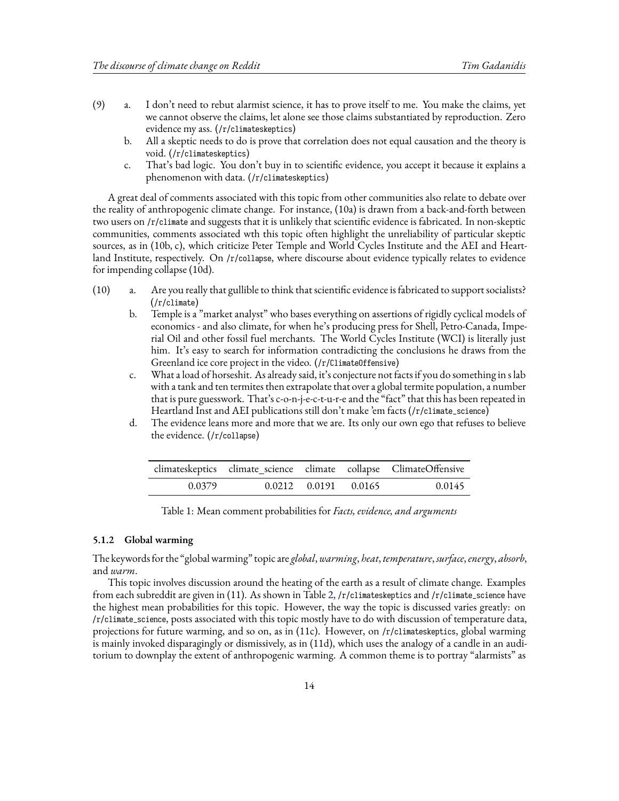- (9) a. I don't need to rebut alarmist science, it has to prove itself to me. You make the claims, yet we cannot observe the claims, let alone see those claims substantiated by reproduction. Zero evidence my ass. (/r/climateskeptics)
	- b. All a skeptic needs to do is prove that correlation does not equal causation and the theory is void. (/r/climateskeptics)
	- c. That's bad logic. You don't buy in to scientific evidence, you accept it because it explains a phenomenon with data. (/r/climateskeptics)

A great deal of comments associated with this topic from other communities also relate to debate over the reality of anthropogenic climate change. For instance, (10a) is drawn from a back-and-forth between two users on /r/climate and suggests that it is unlikely that scientific evidence is fabricated. In non-skeptic communities, comments associated wth this topic often highlight the unreliability of particular skeptic sources, as in (10b, c), which criticize Peter Temple and World Cycles Institute and the AEI and Heartland Institute, respectively. On /r/collapse, where discourse about evidence typically relates to evidence for impending collapse (10d).

- (10) a. Are you really that gullible to think that scientific evidence is fabricated to support socialists? (/r/climate)
	- b. Temple is a "market analyst" who bases everything on assertions of rigidly cyclical models of economics - and also climate, for when he's producing press for Shell, Petro-Canada, Imperial Oil and other fossil fuel merchants. The World Cycles Institute (WCI) is literally just him. It's easy to search for information contradicting the conclusions he draws from the Greenland ice core project in the video. (/r/ClimateOffensive)
	- c. What a load of horseshit. As already said, it's conjecture not facts if you do something in s lab with a tank and ten termites then extrapolate that over a global termite population, a number that is pure guesswork. That's c-o-n-j-e-c-t-u-r-e and the "fact" that this has been repeated in Heartland Inst and AEI publications still don't make 'em facts (/r/climate\_science)
	- d. The evidence leans more and more that we are. Its only our own ego that refuses to believe the evidence. (/r/collapse)

|        |                            | climateskeptics climate_science climate collapse ClimateOffensive |
|--------|----------------------------|-------------------------------------------------------------------|
| 0.0379 | $0.0212$ $0.0191$ $0.0165$ | 0.0145                                                            |

Table 1: Mean comment probabilities for *Facts, evidence, and arguments*

#### **5.1.2 Global warming**

The keywords for the "global warming" topic are *global*,*warming*, *heat*, *temperature*, *surface*,*energy*, *absorb*, and *warm*.

This topic involves discussion around the heating of the earth as a result of climate change. Examples from each subreddit are given in (11). As shown in Table [2,](#page-14-0) /r/climateskeptics and /r/climate\_science have the highest mean probabilities for this topic. However, the way the topic is discussed varies greatly: on /r/climate\_science, posts associated with this topic mostly have to do with discussion of temperature data, projections for future warming, and so on, as in (11c). However, on /r/climateskeptics, global warming is mainly invoked disparagingly or dismissively, as in (11d), which uses the analogy of a candle in an auditorium to downplay the extent of anthropogenic warming. A common theme is to portray "alarmists" as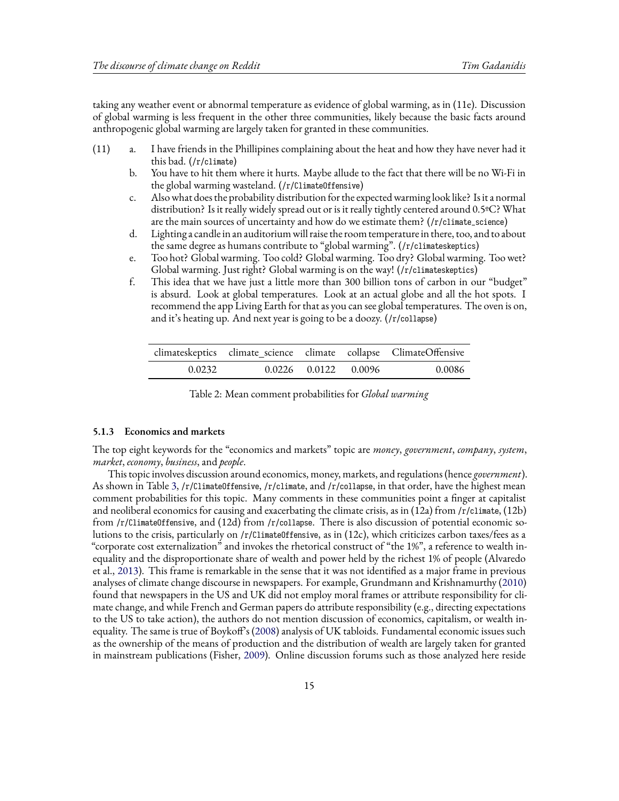taking any weather event or abnormal temperature as evidence of global warming, as in (11e). Discussion of global warming is less frequent in the other three communities, likely because the basic facts around anthropogenic global warming are largely taken for granted in these communities.

- (11) a. I have friends in the Phillipines complaining about the heat and how they have never had it this bad. (/r/climate)
	- b. You have to hit them where it hurts. Maybe allude to the fact that there will be no Wi-Fi in the global warming wasteland. (/r/ClimateOffensive)
	- c. Also what does the probability distribution for the expected warming look like? Is it a normal distribution? Is it really widely spread out or is it really tightly centered around 0.5ºC? What are the main sources of uncertainty and how do we estimate them? (/r/climate\_science)
	- d. Lighting a candle in an auditorium will raise the room temperature in there, too, and to about the same degree as humans contribute to "global warming". (/r/climateskeptics)
	- e. Too hot? Global warming. Too cold? Global warming. Too dry? Global warming. Too wet? Global warming. Just right? Global warming is on the way! (/r/climateskeptics)
	- f. This idea that we have just a little more than 300 billion tons of carbon in our "budget" is absurd. Look at global temperatures. Look at an actual globe and all the hot spots. I recommend the app Living Earth for that as you can see global temperatures. The oven is on, and it's heating up. And next year is going to be a doozy. (/r/collapse)

<span id="page-14-0"></span>

|        |                            | climateskeptics climate_science climate collapse ClimateOffensive |
|--------|----------------------------|-------------------------------------------------------------------|
| 0.0232 | $0.0226$ $0.0122$ $0.0096$ | 0.0086                                                            |

Table 2: Mean comment probabilities for *Global warming*

#### **5.1.3 Economics and markets**

The top eight keywords for the "economics and markets" topic are *money*, *government*, *company*, *system*, *market*, *economy*, *business*, and *people*.

This topic involves discussion around economics, money, markets, and regulations (hence *government*). As shown in Table [3,](#page-16-0) /r/ClimateOffensive, /r/climate, and /r/collapse, in that order, have the highest mean comment probabilities for this topic. Many comments in these communities point a finger at capitalist and neoliberal economics for causing and exacerbating the climate crisis, as in (12a) from /r/climate, (12b) from /r/ClimateOffensive, and (12d) from /r/collapse. There is also discussion of potential economic solutions to the crisis, particularly on /r/ClimateOffensive, as in (12c), which criticizes carbon taxes/fees as a "corporate cost externalization" and invokes the rhetorical construct of "the 1%", a reference to wealth inequality and the disproportionate share of wealth and power held by the richest 1% of people (Alvaredo et al., [2013\)](#page-42-7). This frame is remarkable in the sense that it was not identified as a major frame in previous analyses of climate change discourse in newspapers. For example, Grundmann and Krishnamurthy([2010](#page-43-3)) found that newspapers in the US and UK did not employ moral frames or attribute responsibility for climate change, and while French and German papers do attribute responsibility (e.g., directing expectations to the US to take action), the authors do not mention discussion of economics, capitalism, or wealth inequality. The same is true of Boykoff's [\(2008\)](#page-42-0) analysis of UK tabloids. Fundamental economic issues such as the ownership of the means of production and the distribution of wealth are largely taken for granted in mainstream publications (Fisher, [2009\)](#page-43-16). Online discussion forums such as those analyzed here reside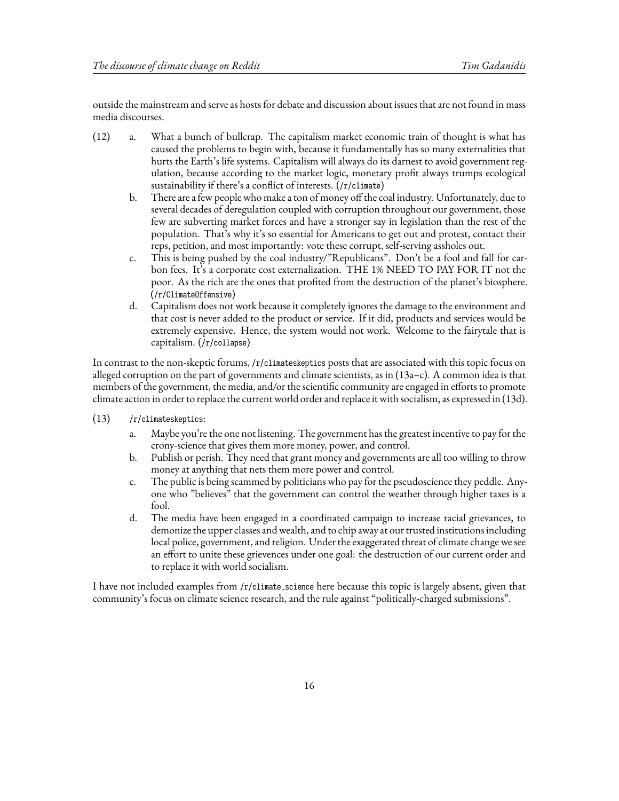outside the mainstream and serve as hosts for debate and discussion about issues that are not found in mass media discourses.

- (12) a. What a bunch of bullcrap. The capitalism market economic train of thought is what has caused the problems to begin with, because it fundamentally has so many externalities that hurts the Earth's life systems. Capitalism will always do its darnest to avoid government regulation, because according to the market logic, monetary profit always trumps ecological sustainability if there's a conflict of interests. (/r/climate)
	- b. There are a few people who make a ton of money off the coal industry. Unfortunately, due to several decades of deregulation coupled with corruption throughout our government, those few are subverting market forces and have a stronger say in legislation than the rest of the population. That's why it's so essential for Americans to get out and protest, contact their reps, petition, and most importantly: vote these corrupt, self-serving assholes out.
	- c. This is being pushed by the coal industry/"Republicans". Don't be a fool and fall for carbon fees. It's a corporate cost externalization. THE 1% NEED TO PAY FOR IT not the poor. As the rich are the ones that profited from the destruction of the planet's biosphere. (/r/ClimateOffensive)
	- d. Capitalism does not work because it completely ignores the damage to the environment and that cost is never added to the product or service. If it did, products and services would be extremely expensive. Hence, the system would not work. Welcome to the fairytale that is capitalism. (/r/collapse)

In contrast to the non-skeptic forums, /r/climateskeptics posts that are associated with this topic focus on alleged corruption on the part of governments and climate scientists, as in (13a–c). A common idea is that members of the government, the media, and/or the scientific community are engaged in efforts to promote climate action in order to replace the current world order and replace it with socialism, as expressed in (13d).

- (13) /r/climateskeptics:
	- a. Maybe you're the one not listening. The government has the greatest incentive to pay for the crony-science that gives them more money, power, and control.
	- b. Publish or perish. They need that grant money and governments are all too willing to throw money at anything that nets them more power and control.
	- c. The public is being scammed by politicians who pay for the pseudoscience they peddle. Anyone who "believes" that the government can control the weather through higher taxes is a fool.
	- d. The media have been engaged in a coordinated campaign to increase racial grievances, to demonize the upper classes and wealth, and to chip away at our trusted institutions including local police, government, and religion. Under the exaggerated threat of climate change we see an effort to unite these grievences under one goal: the destruction of our current order and to replace it with world socialism.

I have not included examples from /r/climate\_science here because this topic is largely absent, given that community's focus on climate science research, and the rule against "politically-charged submissions".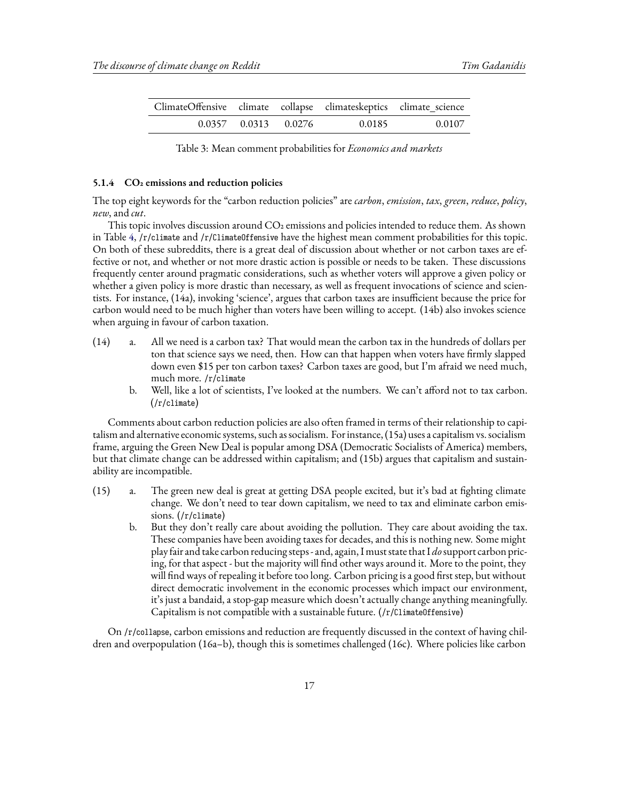<span id="page-16-0"></span>

| ClimateOffensive climate collapse climateskeptics climate_science |                            |        |        |
|-------------------------------------------------------------------|----------------------------|--------|--------|
|                                                                   | $0.0357$ $0.0313$ $0.0276$ | 0.0185 | 0.0107 |

Table 3: Mean comment probabilities for *Economics and markets*

#### **5.1.4 CO2 emissions and reduction policies**

The top eight keywords for the "carbon reduction policies" are *carbon*, *emission*, *tax*, *green*, *reduce*, *policy*, *new*, and *cut*.

This topic involves discussion around  $CO<sub>2</sub>$  emissions and policies intended to reduce them. As shown in Table [4,](#page-17-0)  $/r$ /climate and  $/r$ /Climate0ffensive have the highest mean comment probabilities for this topic. On both of these subreddits, there is a great deal of discussion about whether or not carbon taxes are effective or not, and whether or not more drastic action is possible or needs to be taken. These discussions frequently center around pragmatic considerations, such as whether voters will approve a given policy or whether a given policy is more drastic than necessary, as well as frequent invocations of science and scientists. For instance, (14a), invoking 'science', argues that carbon taxes are insufficient because the price for carbon would need to be much higher than voters have been willing to accept. (14b) also invokes science when arguing in favour of carbon taxation.

- (14) a. All we need is a carbon tax? That would mean the carbon tax in the hundreds of dollars per ton that science says we need, then. How can that happen when voters have firmly slapped down even \$15 per ton carbon taxes? Carbon taxes are good, but I'm afraid we need much, much more. /r/climate
	- b. Well, like a lot of scientists, I've looked at the numbers. We can't afford not to tax carbon. (/r/climate)

Comments about carbon reduction policies are also often framed in terms of their relationship to capitalism and alternative economic systems, such as socialism. For instance, (15a) uses a capitalism vs. socialism frame, arguing the Green New Deal is popular among DSA (Democratic Socialists of America) members, but that climate change can be addressed within capitalism; and (15b) argues that capitalism and sustainability are incompatible.

- (15) a. The green new deal is great at getting DSA people excited, but it's bad at fighting climate change. We don't need to tear down capitalism, we need to tax and eliminate carbon emissions. (/r/climate)
	- b. But they don't really care about avoiding the pollution. They care about avoiding the tax. These companies have been avoiding taxes for decades, and this is nothing new. Some might play fair and take carbon reducing steps- and, again, I must state that I *do*support carbon pricing, for that aspect - but the majority will find other ways around it. More to the point, they will find ways of repealing it before too long. Carbon pricing is a good first step, but without direct democratic involvement in the economic processes which impact our environment, it's just a bandaid, a stop-gap measure which doesn't actually change anything meaningfully. Capitalism is not compatible with a sustainable future. (/r/ClimateOffensive)

On /r/collapse, carbon emissions and reduction are frequently discussed in the context of having children and overpopulation (16a–b), though this is sometimes challenged (16c). Where policies like carbon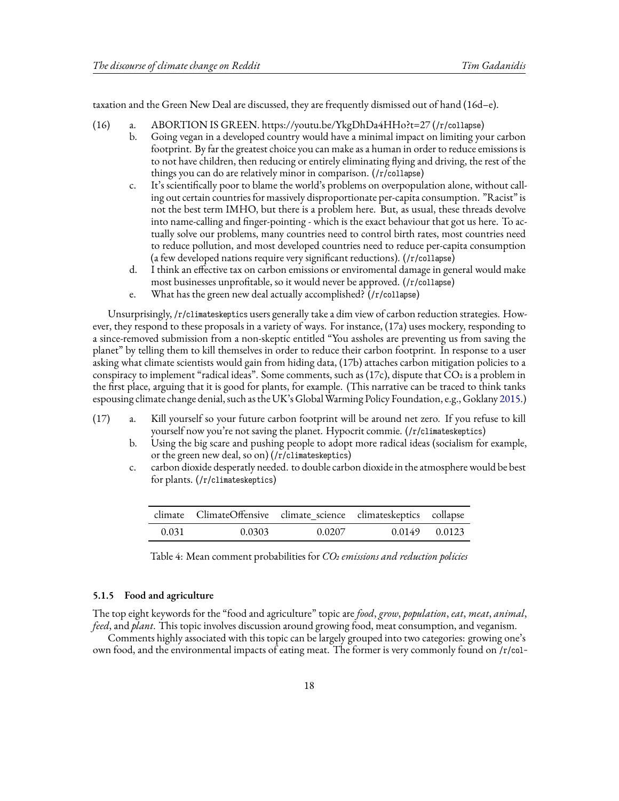taxation and the Green New Deal are discussed, they are frequently dismissed out of hand (16d–e).

- (16) a. ABORTION IS GREEN. https://youtu.be/YkgDhDa4HHo?t=27 (/r/collapse)
	- b. Going vegan in a developed country would have a minimal impact on limiting your carbon footprint. By far the greatest choice you can make as a human in order to reduce emissions is to not have children, then reducing or entirely eliminating flying and driving, the rest of the things you can do are relatively minor in comparison. (/r/collapse)
	- c. It's scientifically poor to blame the world's problems on overpopulation alone, without calling out certain countries for massively disproportionate per-capita consumption. "Racist" is not the best term IMHO, but there is a problem here. But, as usual, these threads devolve into name-calling and finger-pointing - which is the exact behaviour that got us here. To actually solve our problems, many countries need to control birth rates, most countries need to reduce pollution, and most developed countries need to reduce per-capita consumption (a few developed nations require very significant reductions). (/r/collapse)
	- d. I think an effective tax on carbon emissions or enviromental damage in general would make most businesses unprofitable, so it would never be approved. (/r/collapse)
	- e. What has the green new deal actually accomplished? (/r/collapse)

Unsurprisingly, /r/climateskeptics users generally take a dim view of carbon reduction strategies. However, they respond to these proposals in a variety of ways. For instance, (17a) uses mockery, responding to a since-removed submission from a non-skeptic entitled "You assholes are preventing us from saving the planet" by telling them to kill themselves in order to reduce their carbon footprint. In response to a user asking what climate scientists would gain from hiding data, (17b) attaches carbon mitigation policies to a conspiracy to implement "radical ideas". Some comments, such as  $(17c)$ , dispute that  $CO<sub>2</sub>$  is a problem in the first place, arguing that it is good for plants, for example. (This narrative can be traced to think tanks espousing climate change denial, such as the UK's Global Warming Policy Foundation, e.g., Goklany [2015](#page-43-17).)

- (17) a. Kill yourself so your future carbon footprint will be around net zero. If you refuse to kill yourself now you're not saving the planet. Hypocrit commie. (/r/climateskeptics)
	- b. Using the big scare and pushing people to adopt more radical ideas (socialism for example, or the green new deal, so on) (/r/climateskeptics)
	- c. carbon dioxide desperatly needed. to double carbon dioxide in the atmosphere would be best for plants. (/r/climateskeptics)

<span id="page-17-0"></span>

|       | climate ClimateOffensive climate_science climateskeptics collapse |        |                   |
|-------|-------------------------------------------------------------------|--------|-------------------|
| 0.031 | 0.0303                                                            | 0.0207 | $0.0149$ $0.0123$ |

Table 4: Mean comment probabilities for *CO2 emissions and reduction policies*

### **5.1.5 Food and agriculture**

The top eight keywords for the "food and agriculture" topic are *food*, *grow*, *population*, *eat*, *meat*, *animal*, *feed*, and *plant*. This topic involves discussion around growing food, meat consumption, and veganism.

Comments highly associated with this topic can be largely grouped into two categories: growing one's own food, and the environmental impacts of eating meat. The former is very commonly found on /r/col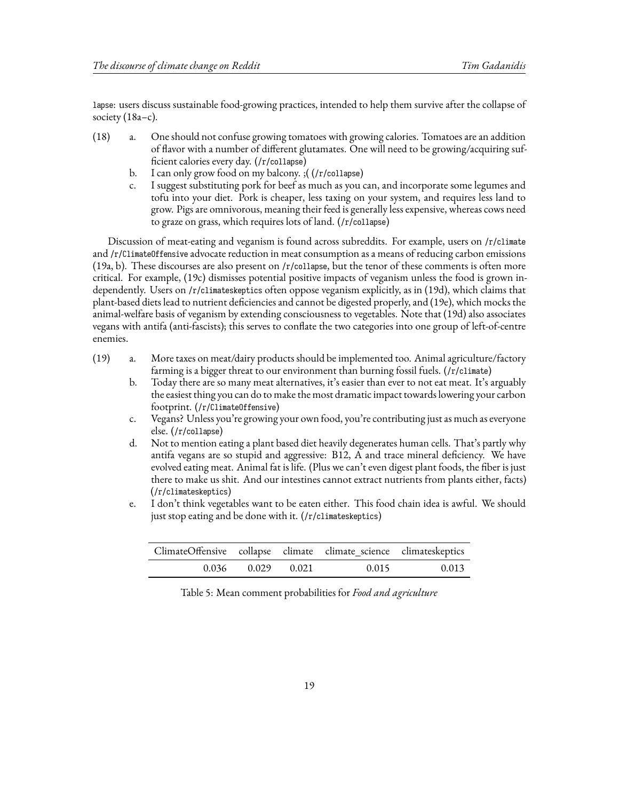lapse: users discuss sustainable food-growing practices, intended to help them survive after the collapse of society (18a–c).

- (18) a. One should not confuse growing tomatoes with growing calories. Tomatoes are an addition of flavor with a number of different glutamates. One will need to be growing/acquiring sufficient calories every day. (/r/collapse)
	- b. I can only grow food on my balcony. ;( (/r/collapse)
	- c. I suggest substituting pork for beef as much as you can, and incorporate some legumes and tofu into your diet. Pork is cheaper, less taxing on your system, and requires less land to grow. Pigs are omnivorous, meaning their feed is generally less expensive, whereas cows need to graze on grass, which requires lots of land. (/r/collapse)

Discussion of meat-eating and veganism is found across subreddits. For example, users on /r/climate and /r/ClimateOffensive advocate reduction in meat consumption as a means of reducing carbon emissions (19a, b). These discourses are also present on /r/collapse, but the tenor of these comments is often more critical. For example, (19c) dismisses potential positive impacts of veganism unless the food is grown independently. Users on /r/climateskeptics often oppose veganism explicitly, as in (19d), which claims that plant-based diets lead to nutrient deficiencies and cannot be digested properly, and (19e), which mocks the animal-welfare basis of veganism by extending consciousness to vegetables. Note that (19d) also associates vegans with antifa (anti-fascists); this serves to conflate the two categories into one group of left-of-centre enemies.

- (19) a. More taxes on meat/dairy products should be implemented too. Animal agriculture/factory farming is a bigger threat to our environment than burning fossil fuels. (/r/climate)
	- b. Today there are so many meat alternatives, it's easier than ever to not eat meat. It's arguably the easiest thing you can do to make the most dramatic impact towards lowering your carbon footprint. (/r/ClimateOffensive)
	- c. Vegans? Unless you're growing your own food, you're contributing just as much as everyone else. (/r/collapse)
	- d. Not to mention eating a plant based diet heavily degenerates human cells. That's partly why antifa vegans are so stupid and aggressive: B12, A and trace mineral deficiency. We have evolved eating meat. Animal fat is life. (Plus we can't even digest plant foods, the fiber is just there to make us shit. And our intestines cannot extract nutrients from plants either, facts) (/r/climateskeptics)
	- e. I don't think vegetables want to be eaten either. This food chain idea is awful. We should just stop eating and be done with it. (/r/climateskeptics)

| ClimateOffensive collapse climate climate_science climateskeptics |             |       |       |
|-------------------------------------------------------------------|-------------|-------|-------|
| 0.036                                                             | 0.029 0.021 | 0.015 | 0.013 |

Table 5: Mean comment probabilities for *Food and agriculture*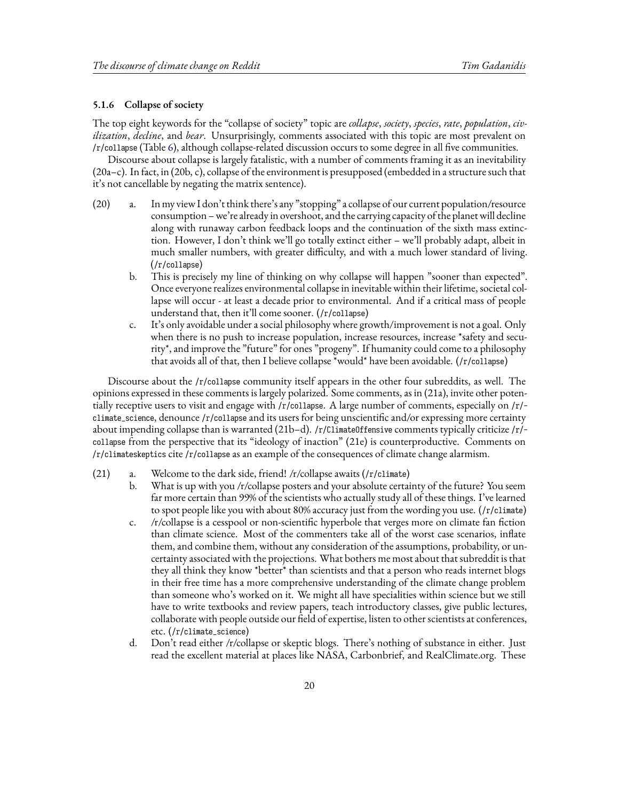#### **5.1.6 Collapse of society**

The top eight keywords for the "collapse of society" topic are *collapse*, *society*, *species*, *rate*, *population*, *civilization*, *decline*, and *bear*. Unsurprisingly, comments associated with this topic are most prevalent on /r/collapse (Table [6](#page-20-0)), although collapse-related discussion occurs to some degree in all five communities.

Discourse about collapse is largely fatalistic, with a number of comments framing it as an inevitability (20a–c). In fact, in (20b, c), collapse of the environment is presupposed (embedded in a structure such that it's not cancellable by negating the matrix sentence).

- (20) a. In my view I don't think there's any "stopping" a collapse of our current population/resource consumption – we're already in overshoot, and the carrying capacity of the planet will decline along with runaway carbon feedback loops and the continuation of the sixth mass extinction. However, I don't think we'll go totally extinct either – we'll probably adapt, albeit in much smaller numbers, with greater difficulty, and with a much lower standard of living. (/r/collapse)
	- b. This is precisely my line of thinking on why collapse will happen "sooner than expected". Once everyone realizes environmental collapse in inevitable within their lifetime, societal collapse will occur - at least a decade prior to environmental. And if a critical mass of people understand that, then it'll come sooner. (/r/collapse)
	- c. It's only avoidable under a social philosophy where growth/improvement is not a goal. Only when there is no push to increase population, increase resources, increase \*safety and security\*, and improve the "future" for ones "progeny". If humanity could come to a philosophy that avoids all of that, then I believe collapse \*would\* have been avoidable. (/r/collapse)

Discourse about the /r/collapse community itself appears in the other four subreddits, as well. The opinions expressed in these comments is largely polarized. Some comments, as in (21a), invite other potentially receptive users to visit and engage with /r/collapse. A large number of comments, especially on /r/ climate\_science, denounce /r/collapse and its users for being unscientific and/or expressing more certainty about impending collapse than is warranted (21b–d). /r/ClimateOffensive comments typically criticize /r/ collapse from the perspective that its "ideology of inaction" (21e) is counterproductive. Comments on /r/climateskeptics cite /r/collapse as an example of the consequences of climate change alarmism.

- (21) a. Welcome to the dark side, friend! /r/collapse awaits (/r/climate)
	- b. What is up with you /r/collapse posters and your absolute certainty of the future? You seem far more certain than 99% of the scientists who actually study all of these things. I've learned to spot people like you with about 80% accuracy just from the wording you use. (/r/climate)
	- c. /r/collapse is a cesspool or non-scientific hyperbole that verges more on climate fan fiction than climate science. Most of the commenters take all of the worst case scenarios, inflate them, and combine them, without any consideration of the assumptions, probability, or uncertainty associated with the projections. What bothers me most about that subreddit is that they all think they know \*better\* than scientists and that a person who reads internet blogs in their free time has a more comprehensive understanding of the climate change problem than someone who's worked on it. We might all have specialities within science but we still have to write textbooks and review papers, teach introductory classes, give public lectures, collaborate with people outside our field of expertise, listen to other scientists at conferences, etc. (/r/climate\_science)
	- d. Don't read either /r/collapse or skeptic blogs. There's nothing of substance in either. Just read the excellent material at places like NASA, Carbonbrief, and RealClimate.org. These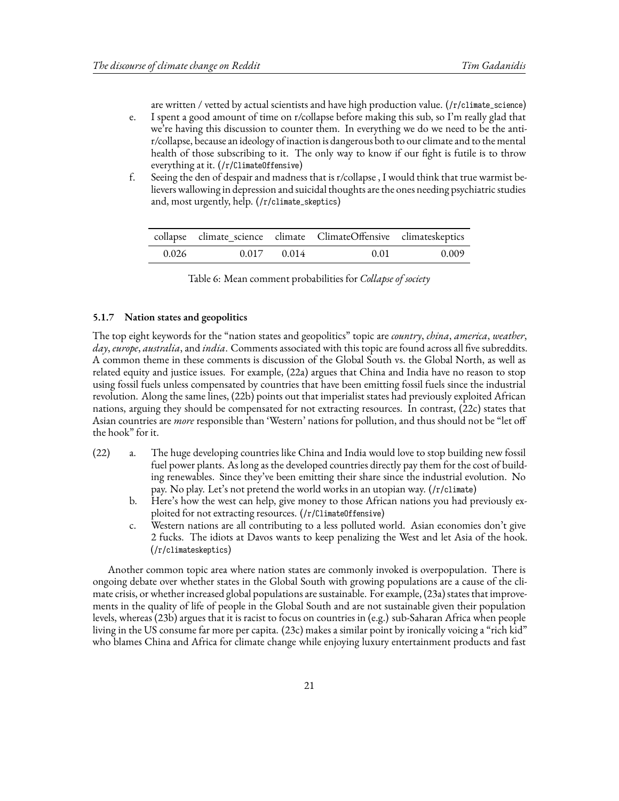are written / vetted by actual scientists and have high production value. (/r/climate\_science)

- e. I spent a good amount of time on r/collapse before making this sub, so I'm really glad that we're having this discussion to counter them. In everything we do we need to be the antir/collapse, because an ideology of inaction is dangerous both to our climate and to the mental health of those subscribing to it. The only way to know if our fight is futile is to throw everything at it. (/r/ClimateOffensive)
- f. Seeing the den of despair and madness that is r/collapse , I would think that true warmist believers wallowing in depression and suicidal thoughts are the ones needing psychiatric studies and, most urgently, help. (/r/climate\_skeptics)

<span id="page-20-0"></span>

|       |                 | collapse climate_science climate ClimateOffensive climateskeptics |       |
|-------|-----------------|-------------------------------------------------------------------|-------|
| 0.026 | $0.017$ $0.014$ | 0.01                                                              | 0.009 |

| Table 6: Mean comment probabilities for Collapse of society |
|-------------------------------------------------------------|
|-------------------------------------------------------------|

#### **5.1.7 Nation states and geopolitics**

The top eight keywords for the "nation states and geopolitics" topic are *country*, *china*, *america*, *weather*, *day*, *europe*, *australia*, and *india*. Comments associated with this topic are found across all five subreddits. A common theme in these comments is discussion of the Global South vs. the Global North, as well as related equity and justice issues. For example, (22a) argues that China and India have no reason to stop using fossil fuels unless compensated by countries that have been emitting fossil fuels since the industrial revolution. Along the same lines, (22b) points out that imperialist states had previously exploited African nations, arguing they should be compensated for not extracting resources. In contrast, (22c) states that Asian countries are *more* responsible than 'Western' nations for pollution, and thus should not be "let off the hook" for it.

- (22) a. The huge developing countries like China and India would love to stop building new fossil fuel power plants. As long as the developed countries directly pay them for the cost of building renewables. Since they've been emitting their share since the industrial evolution. No pay. No play. Let's not pretend the world works in an utopian way. (/r/climate)
	- b. Here's how the west can help, give money to those African nations you had previously exploited for not extracting resources. (/r/ClimateOffensive)
	- c. Western nations are all contributing to a less polluted world. Asian economies don't give 2 fucks. The idiots at Davos wants to keep penalizing the West and let Asia of the hook. (/r/climateskeptics)

Another common topic area where nation states are commonly invoked is overpopulation. There is ongoing debate over whether states in the Global South with growing populations are a cause of the climate crisis, or whether increased global populations are sustainable. For example, (23a) states that improvements in the quality of life of people in the Global South and are not sustainable given their population levels, whereas (23b) argues that it is racist to focus on countries in (e.g.) sub-Saharan Africa when people living in the US consume far more per capita. (23c) makes a similar point by ironically voicing a "rich kid" who blames China and Africa for climate change while enjoying luxury entertainment products and fast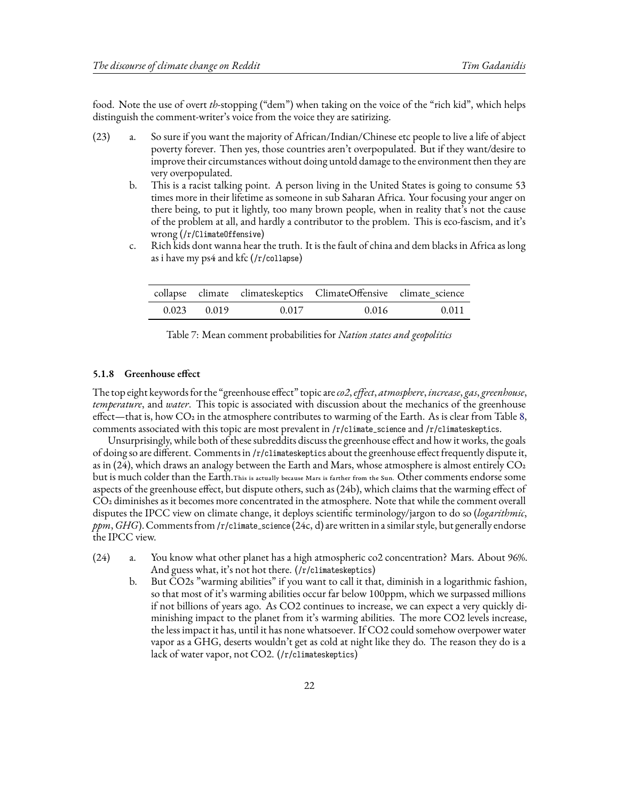food. Note the use of overt *th*-stopping ("dem") when taking on the voice of the "rich kid", which helps distinguish the comment-writer's voice from the voice they are satirizing.

- (23) a. So sure if you want the majority of African/Indian/Chinese etc people to live a life of abject poverty forever. Then yes, those countries aren't overpopulated. But if they want/desire to improve their circumstances without doing untold damage to the environment then they are very overpopulated.
	- b. This is a racist talking point. A person living in the United States is going to consume 53 times more in their lifetime as someone in sub Saharan Africa. Your focusing your anger on there being, to put it lightly, too many brown people, when in reality that's not the cause of the problem at all, and hardly a contributor to the problem. This is eco-fascism, and it's wrong (/r/ClimateOffensive)
	- c. Rich kids dont wanna hear the truth. It is the fault of china and dem blacks in Africa as long as i have my ps4 and kfc (/r/collapse)

|                 |       | collapse climate climateskeptics ClimateOffensive climate_science |       |
|-----------------|-------|-------------------------------------------------------------------|-------|
| $0.023$ $0.019$ | 0.017 | 0.016                                                             | 0.011 |

| Table 7: Mean comment probabilities for Nation states and geopolitics |  |  |  |
|-----------------------------------------------------------------------|--|--|--|
|-----------------------------------------------------------------------|--|--|--|

#### **5.1.8 Greenhouse effect**

The top eight keywords for the "greenhouse effect" topic are*co2*,*effect*, *atmosphere*, *increase*, *gas*, *greenhouse*, *temperature*, and *water*. This topic is associated with discussion about the mechanics of the greenhouse effect—that is, how  $CO<sub>2</sub>$  in the atmosphere contributes to warming of the Earth. As is clear from Table [8,](#page-22-0) comments associated with this topic are most prevalent in /r/climate\_science and /r/climateskeptics.

Unsurprisingly, while both of these subreddits discuss the greenhouse effect and how it works, the goals of doing so are different. Comments in /r/climateskeptics about the greenhouse effect frequently dispute it, as in (24), which draws an analogy between the Earth and Mars, whose atmosphere is almost entirely  $CO<sub>2</sub>$ but is much colder than the Earth.This is actually because Mars is farther from the Sun. Other comments endorse some aspects of the greenhouse effect, but dispute others, such as (24b), which claims that the warming effect of CO2 diminishes as it becomes more concentrated in the atmosphere. Note that while the comment overall disputes the IPCC view on climate change, it deploys scientific terminology/jargon to do so (*logarithmic*, *ppm*,*GHG*). Comments from/r/climate\_science (24c, d) are written in a similar style, but generally endorse the IPCC view.

- (24) a. You know what other planet has a high atmospheric co2 concentration? Mars. About 96%. And guess what, it's not hot there. (/r/climateskeptics)
	- b. But CO2s "warming abilities" if you want to call it that, diminish in a logarithmic fashion, so that most of it's warming abilities occur far below 100ppm, which we surpassed millions if not billions of years ago. As CO2 continues to increase, we can expect a very quickly diminishing impact to the planet from it's warming abilities. The more CO2 levels increase, the less impact it has, until it has none whatsoever. If CO2 could somehow overpower water vapor as a GHG, deserts wouldn't get as cold at night like they do. The reason they do is a lack of water vapor, not CO2. (/r/climateskeptics)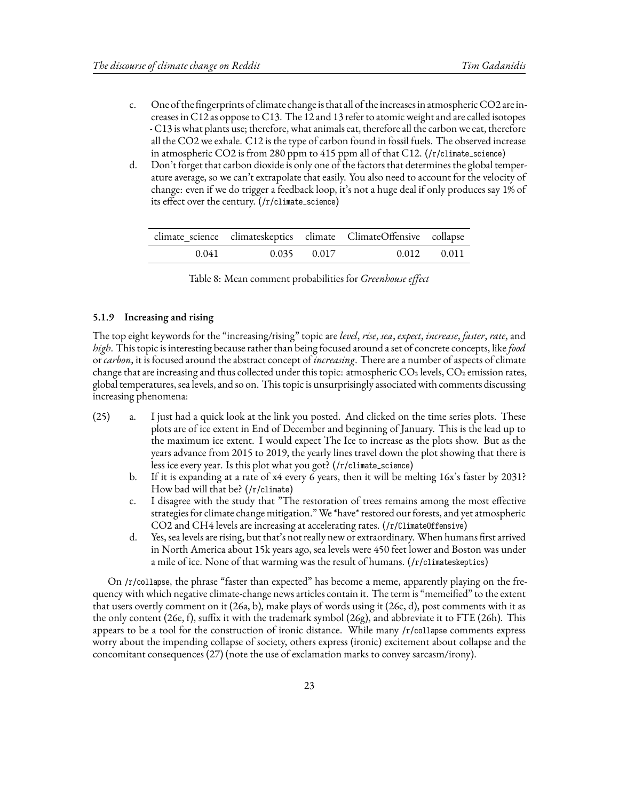- c. One of the fingerprints of climate change is that all of the increases in atmospheric CO2 are increases in C12 as oppose to C13. The 12 and 13 refer to atomic weight and are called isotopes - C13 is what plants use; therefore, what animals eat, therefore all the carbon we eat, therefore all the CO2 we exhale. C12 is the type of carbon found in fossil fuels. The observed increase in atmospheric CO2 is from 280 ppm to 415 ppm all of that C12. (/r/climate\_science)
- d. Don't forget that carbon dioxide is only one of the factors that determines the global temperature average, so we can't extrapolate that easily. You also need to account for the velocity of change: even if we do trigger a feedback loop, it's not a huge deal if only produces say 1% of its effect over the century. (/r/climate\_science)

<span id="page-22-0"></span>

|       |                 | climate_science climateskeptics climate ClimateOffensive collapse |                      |
|-------|-----------------|-------------------------------------------------------------------|----------------------|
| 0.041 | $0.035$ $0.017$ |                                                                   | $0.012 \qquad 0.011$ |

| Table 8: Mean comment probabilities for Greenhouse effect |  |
|-----------------------------------------------------------|--|
|-----------------------------------------------------------|--|

#### **5.1.9 Increasing and rising**

The top eight keywords for the "increasing/rising" topic are *level*, *rise*, *sea*, *expect*, *increase*, *faster*, *rate*, and *high*. This topic is interesting because rather than being focused around a set of concrete concepts, like*food* or *carbon*, it is focused around the abstract concept of *increasing*. There are a number of aspects of climate change that are increasing and thus collected under this topic: atmospheric CO<sub>2</sub> levels, CO<sub>2</sub> emission rates, global temperatures, sea levels, and so on. This topic is unsurprisingly associated with comments discussing increasing phenomena:

- (25) a. I just had a quick look at the link you posted. And clicked on the time series plots. These plots are of ice extent in End of December and beginning of January. This is the lead up to the maximum ice extent. I would expect The Ice to increase as the plots show. But as the years advance from 2015 to 2019, the yearly lines travel down the plot showing that there is less ice every year. Is this plot what you got? (/r/climate\_science)
	- b. If it is expanding at a rate of x4 every 6 years, then it will be melting 16x's faster by 2031? How bad will that be? (/r/climate)
	- c. I disagree with the study that "The restoration of trees remains among the most effective strategies for climate change mitigation." We \*have\* restored our forests, and yet atmospheric CO2 and CH4 levels are increasing at accelerating rates. (/r/ClimateOffensive)
	- d. Yes, sea levels are rising, but that's not really new or extraordinary. When humans first arrived in North America about 15k years ago, sea levels were 450 feet lower and Boston was under a mile of ice. None of that warming was the result of humans. (/r/climateskeptics)

On /r/collapse, the phrase "faster than expected" has become a meme, apparently playing on the frequency with which negative climate-change news articles contain it. The term is "memeified" to the extent that users overtly comment on it (26a, b), make plays of words using it (26c, d), post comments with it as the only content (26e, f), suffix it with the trademark symbol (26g), and abbreviate it to FTE (26h). This appears to be a tool for the construction of ironic distance. While many /r/collapse comments express worry about the impending collapse of society, others express (ironic) excitement about collapse and the concomitant consequences (27) (note the use of exclamation marks to convey sarcasm/irony).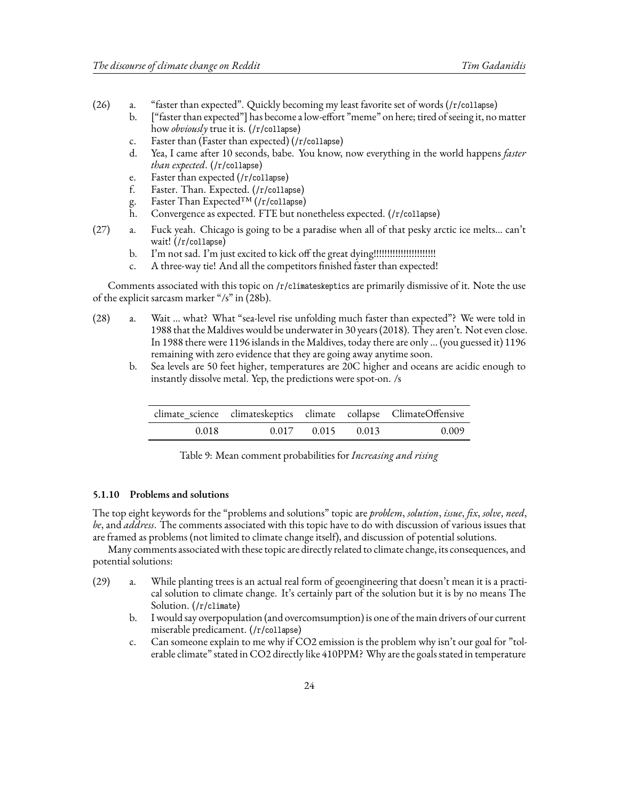- (26) a. "faster than expected". Quickly becoming my least favorite set of words (/r/collapse)
	- b. ["faster than expected"] has become a low-effort "meme" on here; tired of seeing it, no matter how *obviously* true it is. (/r/collapse)
	- c. Faster than (Faster than expected) (/r/collapse)
	- d. Yea, I came after 10 seconds, babe. You know, now everything in the world happens *faster than expected*. (/r/collapse)
	- e. Faster than expected (/r/collapse)
	- f. Faster. Than. Expected. (/r/collapse)
	- g. Faster Than Expected™ (/r/collapse)
	- h. Convergence as expected. FTE but nonetheless expected. (/r/collapse)
- (27) a. Fuck yeah. Chicago is going to be a paradise when all of that pesky arctic ice melts… can't wait! (/r/collapse)
	- b. I'm not sad. I'm just excited to kick off the great dying!!!!!!!!!!!!!!!!!!!!!!!
	- c. A three-way tie! And all the competitors finished faster than expected!

Comments associated with this topic on /r/climateskeptics are primarily dismissive of it. Note the use of the explicit sarcasm marker "/s" in (28b).

- (28) a. Wait … what? What "sea-level rise unfolding much faster than expected"? We were told in 1988 that the Maldives would be underwater in 30 years (2018). They aren't. Not even close. In 1988 there were 1196 islands in the Maldives, today there are only … (you guessed it) 1196 remaining with zero evidence that they are going away anytime soon.
	- b. Sea levels are 50 feet higher, temperatures are 20C higher and oceans are acidic enough to instantly dissolve metal. Yep, the predictions were spot-on. /s

|       |                         | climate_science climateskeptics climate collapse ClimateOffensive |
|-------|-------------------------|-------------------------------------------------------------------|
| 0.018 | $0.017$ $0.015$ $0.013$ | 0.009                                                             |

Table 9: Mean comment probabilities for *Increasing and rising*

### **5.1.10 Problems and solutions**

The top eight keywords for the "problems and solutions" topic are *problem*, *solution*, *issue*, *fix*, *solve*, *need*, *be*, and *address*. The comments associated with this topic have to do with discussion of various issues that are framed as problems (not limited to climate change itself), and discussion of potential solutions.

Many comments associated with these topic are directly related to climate change, its consequences, and potential solutions:

- (29) a. While planting trees is an actual real form of geoengineering that doesn't mean it is a practical solution to climate change. It's certainly part of the solution but it is by no means The Solution. (/r/climate)
	- b. I would say overpopulation (and overcomsumption) is one of the main drivers of our current miserable predicament. (/r/collapse)
	- c. Can someone explain to me why if CO2 emission is the problem why isn't our goal for "tolerable climate" stated in CO2 directly like 410PPM? Why are the goals stated in temperature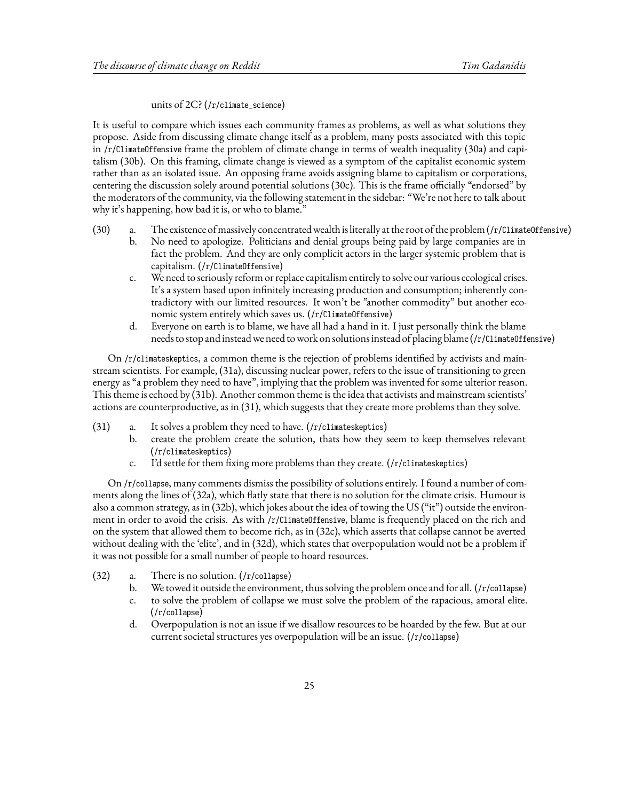#### units of 2C? (/r/climate\_science)

It is useful to compare which issues each community frames as problems, as well as what solutions they propose. Aside from discussing climate change itself as a problem, many posts associated with this topic in  $/r$ /ClimateOffensive frame the problem of climate change in terms of wealth inequality (30a) and capitalism (30b). On this framing, climate change is viewed as a symptom of the capitalist economic system rather than as an isolated issue. An opposing frame avoids assigning blame to capitalism or corporations, centering the discussion solely around potential solutions (30c). This is the frame officially "endorsed" by the moderators of the community, via the following statement in the sidebar: "We're not here to talk about why it's happening, how bad it is, or who to blame."

- (30) a. The existence of massively concentrated wealth is literally at the root of the problem (/r/ClimateOffensive)
	- b. No need to apologize. Politicians and denial groups being paid by large companies are in fact the problem. And they are only complicit actors in the larger systemic problem that is capitalism. (/r/ClimateOffensive)
	- c. We need to seriously reform or replace capitalism entirely to solve our various ecological crises. It's a system based upon infinitely increasing production and consumption; inherently contradictory with our limited resources. It won't be "another commodity" but another economic system entirely which saves us. (/r/ClimateOffensive)
	- d. Everyone on earth is to blame, we have all had a hand in it. I just personally think the blame needs to stop and instead we need to work on solutions instead of placing blame (/r/ClimateOffensive)

On /r/climateskeptics, a common theme is the rejection of problems identified by activists and mainstream scientists. For example, (31a), discussing nuclear power, refers to the issue of transitioning to green energy as "a problem they need to have", implying that the problem was invented for some ulterior reason. This theme is echoed by (31b). Another common theme is the idea that activists and mainstream scientists' actions are counterproductive, as in (31), which suggests that they create more problems than they solve.

- $(31)$  a. It solves a problem they need to have.  $(f/c$ limateskeptics)
	- b. create the problem create the solution, thats how they seem to keep themselves relevant (/r/climateskeptics)
	- c. I'd settle for them fixing more problems than they create. (/r/climateskeptics)

On /r/collapse, many comments dismiss the possibility of solutions entirely. I found a number of comments along the lines of (32a), which flatly state that there is no solution for the climate crisis. Humour is also a common strategy, as in (32b), which jokes about the idea of towing the US ("it") outside the environment in order to avoid the crisis. As with /r/ClimateOffensive, blame is frequently placed on the rich and on the system that allowed them to become rich, as in (32c), which asserts that collapse cannot be averted without dealing with the 'elite', and in (32d), which states that overpopulation would not be a problem if it was not possible for a small number of people to hoard resources.

- (32) a. There is no solution. (/r/collapse)
	- b. We towed it outside the environment, thus solving the problem once and for all. (/r/collapse)
	- c. to solve the problem of collapse we must solve the problem of the rapacious, amoral elite. (/r/collapse)
	- d. Overpopulation is not an issue if we disallow resources to be hoarded by the few. But at our current societal structures yes overpopulation will be an issue. (/r/collapse)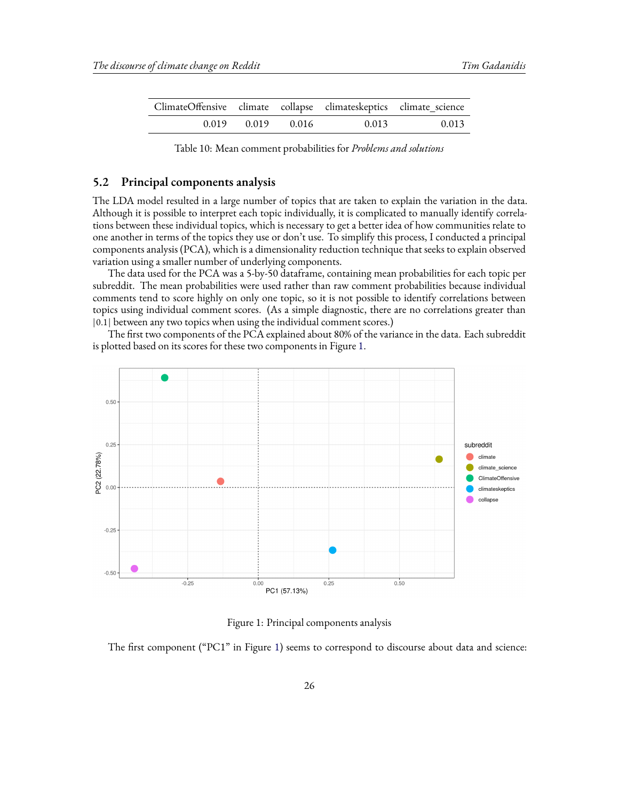| ClimateOffensive climate collapse climateskeptics climate_science |             |       |       |
|-------------------------------------------------------------------|-------------|-------|-------|
| 0.019                                                             | 0.019 0.016 | 0.013 | 0.013 |

Table 10: Mean comment probabilities for *Problems and solutions*

### <span id="page-25-1"></span>**5.2 Principal components analysis**

The LDA model resulted in a large number of topics that are taken to explain the variation in the data. Although it is possible to interpret each topic individually, it is complicated to manually identify correlations between these individual topics, which is necessary to get a better idea of how communities relate to one another in terms of the topics they use or don't use. To simplify this process, I conducted a principal components analysis (PCA), which is a dimensionality reduction technique that seeks to explain observed variation using a smaller number of underlying components.

The data used for the PCA was a 5-by-50 dataframe, containing mean probabilities for each topic per subreddit. The mean probabilities were used rather than raw comment probabilities because individual comments tend to score highly on only one topic, so it is not possible to identify correlations between topics using individual comment scores. (As a simple diagnostic, there are no correlations greater than |0.1| between any two topics when using the individual comment scores.)

The first two components of the PCA explained about 80% of the variance in the data. Each subreddit is plotted based on its scores for these two components in Figure [1.](#page-25-0)

<span id="page-25-0"></span>

Figure 1: Principal components analysis

The first component ("PC1" in Figure [1\)](#page-25-0) seems to correspond to discourse about data and science: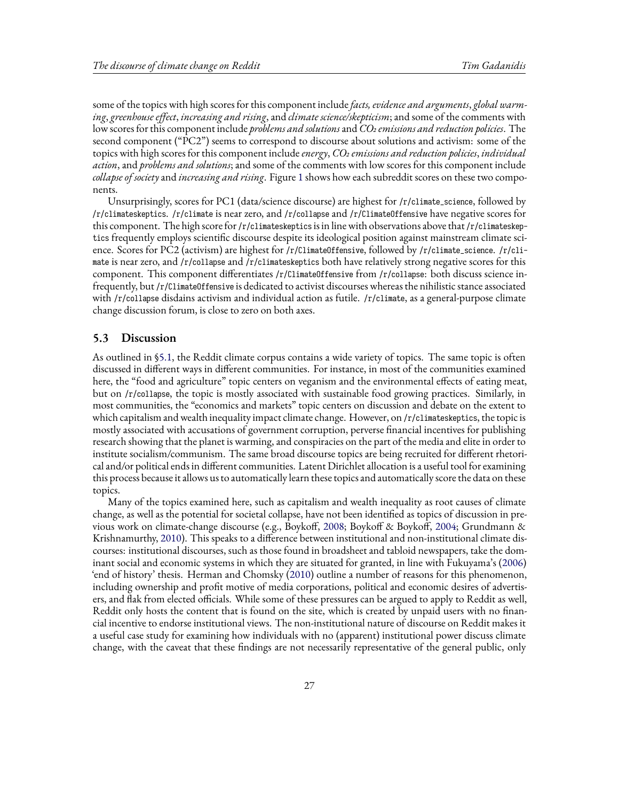some of the topics with high scores for this component include*facts, evidence and arguments*, *global warming*, *greenhouse effect*, *increasing and rising*, and *climate science/skepticism*; and some of the comments with low scores for this component include *problems and solutions*and *CO2 emissions and reduction policies*. The second component ("PC2") seems to correspond to discourse about solutions and activism: some of the topics with high scores for this component include*energy*, *CO2 emissions and reduction policies*, *individual action*, and *problems and solutions*; and some of the comments with low scores for this component include *collapse of society* and *increasing and rising*. Figure [1](#page-25-0) shows how each subreddit scores on these two components.

Unsurprisingly, scores for PC1 (data/science discourse) are highest for /r/climate\_science, followed by /r/climateskeptics. /r/climate is near zero, and /r/collapse and /r/ClimateOffensive have negative scores for this component. The high score for /r/climateskeptics is in line with observations above that /r/climateskeptics frequently employs scientific discourse despite its ideological position against mainstream climate science. Scores for PC2 (activism) are highest for /r/ClimateOffensive, followed by /r/climate\_science. /r/climate is near zero, and /r/collapse and /r/climateskeptics both have relatively strong negative scores for this component. This component differentiates /r/ClimateOffensive from /r/collapse: both discuss science infrequently, but /r/ClimateOffensive is dedicated to activist discourses whereas the nihilistic stance associated with /r/collapse disdains activism and individual action as futile. /r/climate, as a general-purpose climate change discussion forum, is close to zero on both axes.

### **5.3 Discussion**

As outlined in [§5.1](#page-12-1), the Reddit climate corpus contains a wide variety of topics. The same topic is often discussed in different ways in different communities. For instance, in most of the communities examined here, the "food and agriculture" topic centers on veganism and the environmental effects of eating meat, but on /r/collapse, the topic is mostly associated with sustainable food growing practices. Similarly, in most communities, the "economics and markets" topic centers on discussion and debate on the extent to which capitalism and wealth inequality impact climate change. However, on /r/climateskeptics, the topic is mostly associated with accusations of government corruption, perverse financial incentives for publishing research showing that the planet is warming, and conspiracies on the part of the media and elite in order to institute socialism/communism. The same broad discourse topics are being recruited for different rhetorical and/or political ends in different communities. Latent Dirichlet allocation is a useful tool for examining this process because it allows us to automatically learn these topics and automatically score the data on these topics.

Many of the topics examined here, such as capitalism and wealth inequality as root causes of climate change, as well as the potential for societal collapse, have not been identified as topics of discussion in previous work on climate-change discourse (e.g., Boykoff, [2008](#page-42-0); Boykoff & Boykoff, [2004](#page-43-1); Grundmann & Krishnamurthy, [2010](#page-43-3)). This speaks to a difference between institutional and non-institutional climate discourses: institutional discourses, such as those found in broadsheet and tabloid newspapers, take the dominant social and economic systems in which they are situated for granted, in line with Fukuyama's([2006](#page-43-18)) 'end of history' thesis. Herman and Chomsky([2010](#page-43-19)) outline a number of reasons for this phenomenon, including ownership and profit motive of media corporations, political and economic desires of advertisers, and flak from elected officials. While some of these pressures can be argued to apply to Reddit as well, Reddit only hosts the content that is found on the site, which is created by unpaid users with no financial incentive to endorse institutional views. The non-institutional nature of discourse on Reddit makes it a useful case study for examining how individuals with no (apparent) institutional power discuss climate change, with the caveat that these findings are not necessarily representative of the general public, only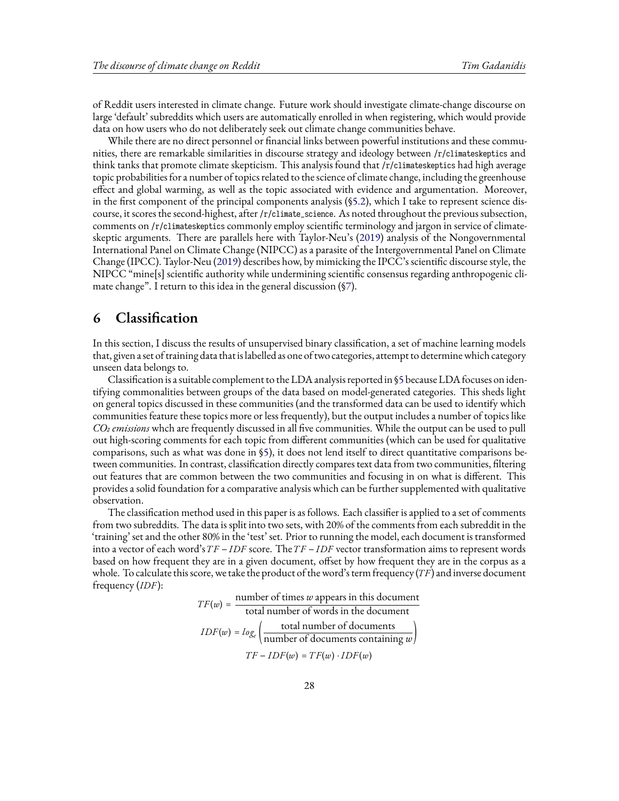of Reddit users interested in climate change. Future work should investigate climate-change discourse on large 'default' subreddits which users are automatically enrolled in when registering, which would provide data on how users who do not deliberately seek out climate change communities behave.

While there are no direct personnel or financial links between powerful institutions and these communities, there are remarkable similarities in discourse strategy and ideology between /r/climateskeptics and think tanks that promote climate skepticism. This analysis found that /r/climateskeptics had high average topic probabilities for a number of topics related to the science of climate change, including the greenhouse effect and global warming, as well as the topic associated with evidence and argumentation. Moreover, in the first component of the principal components analysis (§[5.2\)](#page-25-1), which I take to represent science discourse, it scores the second-highest, after /r/climate\_science. As noted throughout the previous subsection, comments on /r/climateskeptics commonly employ scientific terminology and jargon in service of climateskeptic arguments. There are parallels here with Taylor-Neu's([2019](#page-44-7)) analysis of the Nongovernmental International Panel on Climate Change (NIPCC) as a parasite of the Intergovernmental Panel on Climate Change (IPCC). Taylor-Neu([2019](#page-44-7)) describes how, by mimicking the IPCC's scientific discourse style, the NIPCC "mine[s] scientific authority while undermining scientific consensus regarding anthropogenic climate change". I return to this idea in the general discussion ([§7](#page-33-0)).

## <span id="page-27-0"></span>**6 Classification**

In this section, I discuss the results of unsupervised binary classification, a set of machine learning models that, given a set of training data that is labelled as one of two categories, attempt to determine which category unseen data belongs to.

Classification is a suitable complement to the LDA analysis reported in [§5](#page-12-0) because LDA focuses on identifying commonalities between groups of the data based on model-generated categories. This sheds light on general topics discussed in these communities (and the transformed data can be used to identify which communities feature these topics more or less frequently), but the output includes a number of topics like *CO2 emissions* whch are frequently discussed in all five communities. While the output can be used to pull out high-scoring comments for each topic from different communities (which can be used for qualitative comparisons, such as what was done in§[5\)](#page-12-0), it does not lend itself to direct quantitative comparisons between communities. In contrast, classification directly compares text data from two communities, filtering out features that are common between the two communities and focusing in on what is different. This provides a solid foundation for a comparative analysis which can be further supplemented with qualitative observation.

The classification method used in this paper is as follows. Each classifier is applied to a set of comments from two subreddits. The data is split into two sets, with 20% of the comments from each subreddit in the 'training' set and the other 80% in the 'test' set. Prior to running the model, each document is transformed into a vector of each word's  $TF - IDF$  score. The  $TF - IDF$  vector transformation aims to represent words based on how frequent they are in a given document, offset by how frequent they are in the corpus as a whole. To calculate this score, we take the product of the word's term frequency  $(TF)$  and inverse document frequency  $(IDF)$ :

> $TF(w) = \frac{\text{number of times } w \text{ appears in this document}}{1 - \frac{1}{2} \cdot \frac{1}{2} \cdot \frac{1}{2} \cdot \frac{1}{2} \cdot \frac{1}{2} \cdot \frac{1}{2}}$ total number of words in the document  $IDF(w) = log_e \left( \frac{\text{total number of documents}}{\text{number of documents containing } w} \right)$ number of documents containing *w*  $TF - IDF(w) = TF(w) \cdot IDF(w)$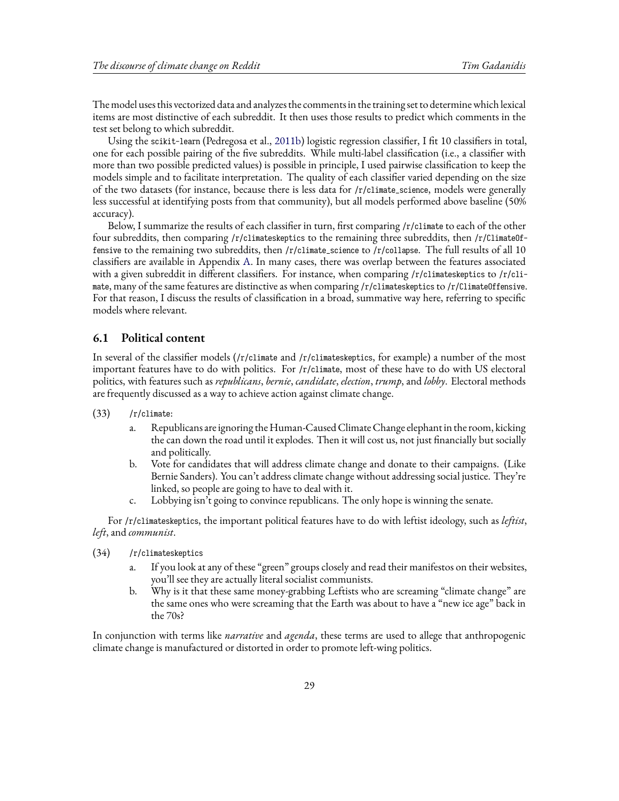The model uses this vectorized data and analyzes the comments in the training set to determine which lexical items are most distinctive of each subreddit. It then uses those results to predict which comments in the test set belong to which subreddit.

Using the scikit-learn (Pedregosa et al., [2011b\)](#page-44-8) logistic regression classifier, I fit 10 classifiers in total, one for each possible pairing of the five subreddits. While multi-label classification (i.e., a classifier with more than two possible predicted values) is possible in principle, I used pairwise classification to keep the models simple and to facilitate interpretation. The quality of each classifier varied depending on the size of the two datasets (for instance, because there is less data for /r/climate\_science, models were generally less successful at identifying posts from that community), but all models performed above baseline (50% accuracy).

Below, I summarize the results of each classifier in turn, first comparing /r/climate to each of the other four subreddits, then comparing /r/climateskeptics to the remaining three subreddits, then /r/ClimateOffensive to the remaining two subreddits, then /r/climate\_science to /r/collapse. The full results of all 10 classifiers are available in Appendix [A.](#page-44-9) In many cases, there was overlap between the features associated with a given subreddit in different classifiers. For instance, when comparing /r/climateskeptics to /r/climate, many of the same features are distinctive as when comparing /r/climateskeptics to /r/ClimateOffensive. For that reason, I discuss the results of classification in a broad, summative way here, referring to specific models where relevant.

### **6.1 Political content**

In several of the classifier models (/r/climate and /r/climateskeptics, for example) a number of the most important features have to do with politics. For /r/climate, most of these have to do with US electoral politics, with features such as *republicans*, *bernie*, *candidate*, *election*, *trump*, and *lobby*. Electoral methods are frequently discussed as a way to achieve action against climate change.

- (33) /r/climate:
	- a. Republicans are ignoring the Human-Caused Climate Change elephant in the room, kicking the can down the road until it explodes. Then it will cost us, not just financially but socially and politically.
	- b. Vote for candidates that will address climate change and donate to their campaigns. (Like Bernie Sanders). You can't address climate change without addressing social justice. They're linked, so people are going to have to deal with it.
	- c. Lobbying isn't going to convince republicans. The only hope is winning the senate.

For /r/climateskeptics, the important political features have to do with leftist ideology, such as *leftist*, *left*, and *communist*.

- (34) /r/climateskeptics
	- a. If you look at any of these "green" groups closely and read their manifestos on their websites, you'll see they are actually literal socialist communists.
	- b. Why is it that these same money-grabbing Leftists who are screaming "climate change" are the same ones who were screaming that the Earth was about to have a "new ice age" back in the 70s?

In conjunction with terms like *narrative* and *agenda*, these terms are used to allege that anthropogenic climate change is manufactured or distorted in order to promote left-wing politics.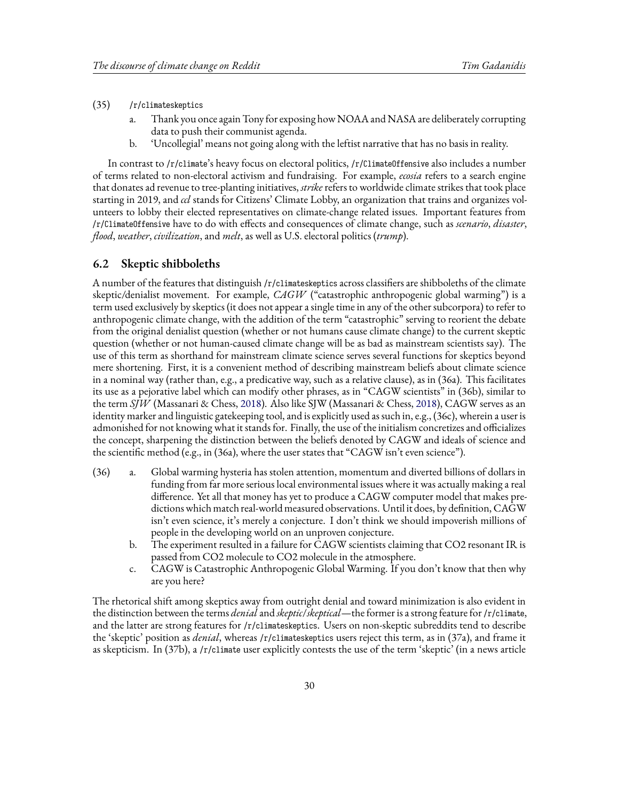#### (35) /r/climateskeptics

- a. Thank you once again Tony for exposing how NOAA and NASA are deliberately corrupting data to push their communist agenda.
- b. 'Uncollegial' means not going along with the leftist narrative that has no basis in reality.

In contrast to /r/climate's heavy focus on electoral politics, /r/ClimateOffensive also includes a number of terms related to non-electoral activism and fundraising. For example, *ecosia* refers to a search engine that donates ad revenue to tree-planting initiatives, *strike* refers to worldwide climate strikes that took place starting in 2019, and *ccl* stands for Citizens' Climate Lobby, an organization that trains and organizes volunteers to lobby their elected representatives on climate-change related issues. Important features from /r/ClimateOffensive have to do with effects and consequences of climate change, such as *scenario*, *disaster*, *flood*, *weather*, *civilization*, and *melt*, as well as U.S. electoral politics (*trump*).

#### **6.2 Skeptic shibboleths**

A number of the features that distinguish /r/climateskeptics across classifiers are shibboleths of the climate skeptic/denialist movement. For example, *CAGW* ("catastrophic anthropogenic global warming") is a term used exclusively by skeptics (it does not appear a single time in any of the other subcorpora) to refer to anthropogenic climate change, with the addition of the term "catastrophic" serving to reorient the debate from the original denialist question (whether or not humans cause climate change) to the current skeptic question (whether or not human-caused climate change will be as bad as mainstream scientists say). The use of this term as shorthand for mainstream climate science serves several functions for skeptics beyond mere shortening. First, it is a convenient method of describing mainstream beliefs about climate science in a nominal way (rather than, e.g., a predicative way, such as a relative clause), as in (36a). This facilitates its use as a pejorative label which can modify other phrases, as in "CAGW scientists" in (36b), similar to the term *SJW* (Massanari & Chess, [2018](#page-43-20)). Also like SJW (Massanari & Chess, [2018](#page-43-20)), CAGW serves as an identity marker and linguistic gatekeeping tool, and is explicitly used as such in, e.g., (36c), wherein a user is admonished for not knowing what it stands for. Finally, the use of the initialism concretizes and officializes the concept, sharpening the distinction between the beliefs denoted by CAGW and ideals of science and the scientific method (e.g., in (36a), where the user states that "CAGW isn't even science").

- (36) a. Global warming hysteria has stolen attention, momentum and diverted billions of dollars in funding from far more serious local environmental issues where it was actually making a real difference. Yet all that money has yet to produce a CAGW computer model that makes predictions which match real-world measured observations. Until it does, by definition, CAGW isn't even science, it's merely a conjecture. I don't think we should impoverish millions of people in the developing world on an unproven conjecture.
	- b. The experiment resulted in a failure for CAGW scientists claiming that CO2 resonant IR is passed from CO2 molecule to CO2 molecule in the atmosphere.
	- c. CAGW is Catastrophic Anthropogenic Global Warming. If you don't know that then why are you here?

The rhetorical shift among skeptics away from outright denial and toward minimization is also evident in the distinction between the terms *denial*and *skeptic*/*skeptical*—the former is a strong feature for /r/climate, and the latter are strong features for /r/climateskeptics. Users on non-skeptic subreddits tend to describe the 'skeptic' position as *denial*, whereas /r/climateskeptics users reject this term, as in (37a), and frame it as skepticism. In (37b), a /r/climate user explicitly contests the use of the term 'skeptic' (in a news article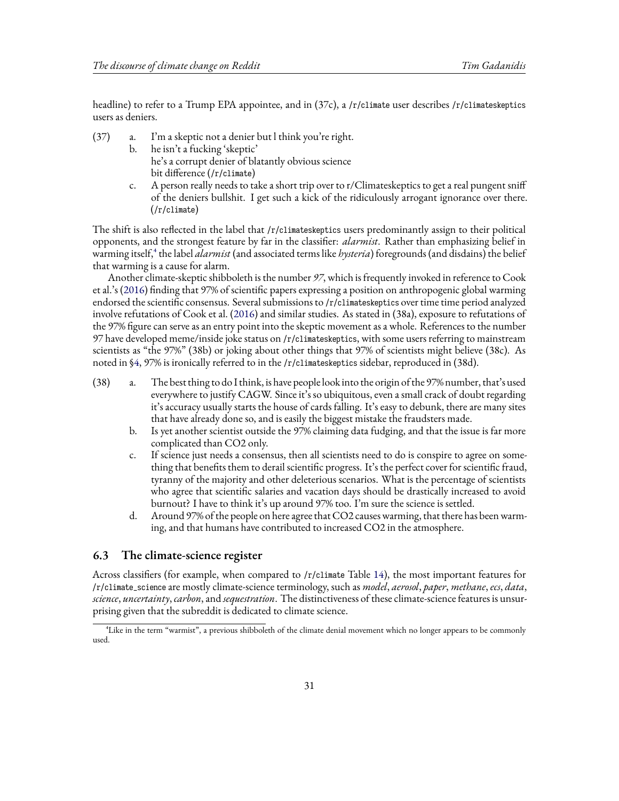headline) to refer to a Trump EPA appointee, and in (37c), a /r/climate user describes /r/climateskeptics users as deniers.

- (37) a. I'm a skeptic not a denier but l think you're right.
	- b. he isn't a fucking 'skeptic' he's a corrupt denier of blatantly obvious science bit difference (/r/climate)
	- c. A person really needs to take a short trip over to r/Climateskeptics to get a real pungent sniff of the deniers bullshit. I get such a kick of the ridiculously arrogant ignorance over there. (/r/climate)

The shift is also reflected in the label that /r/climateskeptics users predominantly assign to their political opponents, and the strongest feature by far in the classifier: *alarmist*. Rather than emphasizing belief in warming itself,<sup>4</sup> the label *alarmist* (and associated terms like *hysteria*) foregrounds (and disdains) the belief that warming is a cause for alarm.

Another climate-skeptic shibboleth is the number *97*, which is frequently invoked in reference to Cook et al.'s [\(2016\)](#page-43-12) finding that 97% of scientific papers expressing a position on anthropogenic global warming endorsed the scientific consensus. Several submissions to /r/climateskeptics over time time period analyzed involve refutations of Cook et al. [\(2016\)](#page-43-12) and similar studies. As stated in (38a), exposure to refutations of the 97% figure can serve as an entry point into the skeptic movement as a whole. References to the number 97 have developed meme/inside joke status on /r/climateskeptics, with some users referring to mainstream scientists as "the 97%" (38b) or joking about other things that 97% of scientists might believe (38c). As noted in§[4,](#page-6-0) 97% is ironically referred to in the /r/climateskeptics sidebar, reproduced in (38d).

- (38) a. The best thing to do I think, is have people look into the origin of the 97% number, that's used everywhere to justify CAGW. Since it's so ubiquitous, even a small crack of doubt regarding it's accuracy usually starts the house of cards falling. It's easy to debunk, there are many sites that have already done so, and is easily the biggest mistake the fraudsters made.
	- b. Is yet another scientist outside the 97% claiming data fudging, and that the issue is far more complicated than CO2 only.
	- c. If science just needs a consensus, then all scientists need to do is conspire to agree on something that benefits them to derail scientific progress. It's the perfect cover for scientific fraud, tyranny of the majority and other deleterious scenarios. What is the percentage of scientists who agree that scientific salaries and vacation days should be drastically increased to avoid burnout? I have to think it's up around 97% too. I'm sure the science is settled.
	- d. Around 97% of the people on here agree that CO2 causes warming, that there has been warming, and that humans have contributed to increased CO2 in the atmosphere.

### **6.3 The climate-science register**

Across classifiers (for example, when compared to /r/climate Table [14\)](#page-46-0), the most important features for /r/climate\_science are mostly climate-science terminology, such as *model*, *aerosol*, *paper*, *methane*, *ecs*, *data*, *science*, *uncertainty*, *carbon*, and *sequestration*. The distinctiveness of these climate-science features is unsurprising given that the subreddit is dedicated to climate science.

⁴Like in the term "warmist", a previous shibboleth of the climate denial movement which no longer appears to be commonly used.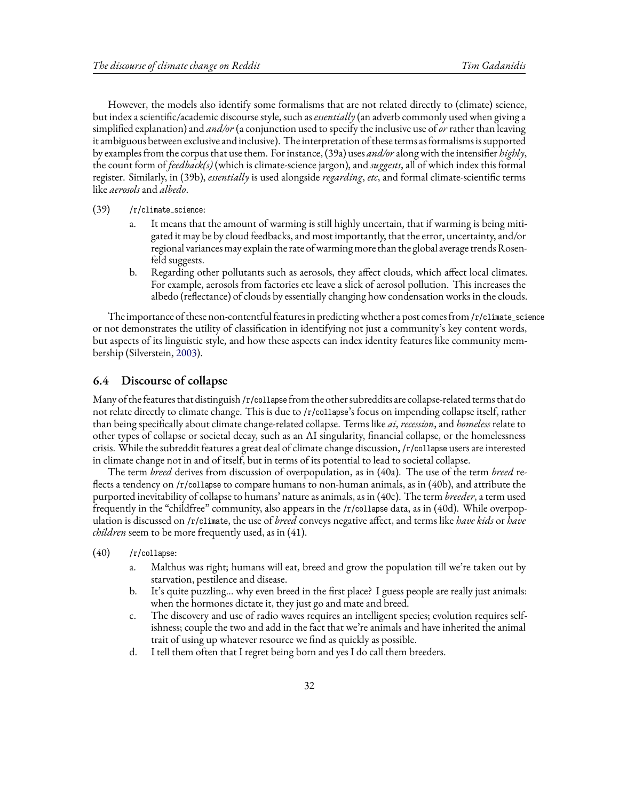However, the models also identify some formalisms that are not related directly to (climate) science, but index a scientific/academic discourse style, such as *essentially* (an adverb commonly used when giving a simplified explanation) and *and/or* (a conjunction used to specify the inclusive use of*or* rather than leaving it ambiguous between exclusive and inclusive). The interpretation of these terms as formalisms is supported by examples from the corpus that use them. For instance, (39a) uses *and/or*along with the intensifier *highly*, the count form of *feedback(s)* (which is climate-science jargon), and *suggests*, all of which index this formal register. Similarly, in (39b), *essentially* is used alongside *regarding*, *etc*, and formal climate-scientific terms like *aerosols* and *albedo*.

- (39) /r/climate\_science:
	- a. It means that the amount of warming is still highly uncertain, that if warming is being mitigated it may be by cloud feedbacks, and most importantly, that the error, uncertainty, and/or regional variances may explain the rate ofwarming more than the global average trends Rosenfeld suggests.
	- b. Regarding other pollutants such as aerosols, they affect clouds, which affect local climates. For example, aerosols from factories etc leave a slick of aerosol pollution. This increases the albedo (reflectance) of clouds by essentially changing how condensation works in the clouds.

The importance of these non-contentful features in predictingwhether a post comes from/r/climate\_science or not demonstrates the utility of classification in identifying not just a community's key content words, but aspects of its linguistic style, and how these aspects can index identity features like community membership (Silverstein, [2003\)](#page-44-5).

### **6.4 Discourse of collapse**

Many of the features that distinguish /r/collapse from the other subreddits are collapse-related terms that do not relate directly to climate change. This is due to /r/collapse's focus on impending collapse itself, rather than being specifically about climate change-related collapse. Terms like *ai*,*recession*, and *homeless* relate to other types of collapse or societal decay, such as an AI singularity, financial collapse, or the homelessness crisis. While the subreddit features a great deal of climate change discussion, /r/collapse users are interested in climate change not in and of itself, but in terms of its potential to lead to societal collapse.

The term *breed* derives from discussion of overpopulation, as in (40a). The use of the term *breed* reflects a tendency on /r/collapse to compare humans to non-human animals, as in (40b), and attribute the purported inevitability of collapse to humans' nature as animals, as in (40c). The term *breeder*, a term used frequently in the "childfree" community, also appears in the /r/collapse data, as in (40d). While overpopulation is discussed on /r/climate, the use of *breed* conveys negative affect, and terms like *have kids* or *have children* seem to be more frequently used, as in (41).

- (40) /r/collapse:
	- a. Malthus was right; humans will eat, breed and grow the population till we're taken out by starvation, pestilence and disease.
	- b. It's quite puzzling… why even breed in the first place? I guess people are really just animals: when the hormones dictate it, they just go and mate and breed.
	- c. The discovery and use of radio waves requires an intelligent species; evolution requires selfishness; couple the two and add in the fact that we're animals and have inherited the animal trait of using up whatever resource we find as quickly as possible.
	- d. I tell them often that I regret being born and yes I do call them breeders.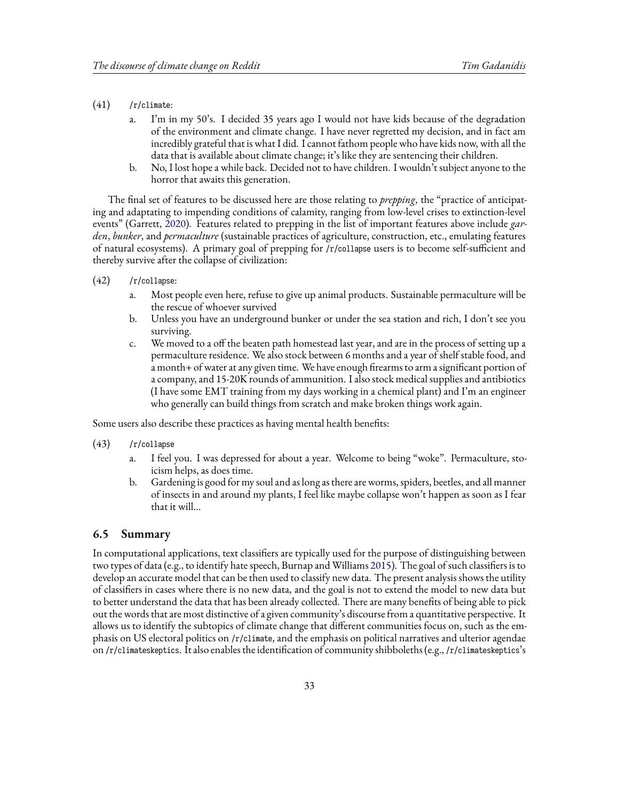- $(41)$  /r/climate:
	- a. I'm in my 50's. I decided 35 years ago I would not have kids because of the degradation of the environment and climate change. I have never regretted my decision, and in fact am incredibly grateful that is what I did. I cannot fathom people who have kids now, with all the data that is available about climate change; it's like they are sentencing their children.
	- b. No, I lost hope a while back. Decided not to have children. I wouldn't subject anyone to the horror that awaits this generation.

The final set of features to be discussed here are those relating to *prepping*, the "practice of anticipating and adaptating to impending conditions of calamity, ranging from low-level crises to extinction-level events" (Garrett, [2020\)](#page-43-21). Features related to prepping in the list of important features above include *garden*, *bunker*, and *permaculture* (sustainable practices of agriculture, construction, etc., emulating features of natural ecosystems). A primary goal of prepping for /r/collapse users is to become self-sufficient and thereby survive after the collapse of civilization:

- (42) /r/collapse:
	- a. Most people even here, refuse to give up animal products. Sustainable permaculture will be the rescue of whoever survived
	- b. Unless you have an underground bunker or under the sea station and rich, I don't see you surviving.
	- c. We moved to a off the beaten path homestead last year, and are in the process of setting up a permaculture residence. We also stock between 6 months and a year of shelf stable food, and a month+ of water at any given time. We have enough firearms to arm a significant portion of a company, and 15-20K rounds of ammunition. I also stock medical supplies and antibiotics (I have some EMT training from my days working in a chemical plant) and I'm an engineer who generally can build things from scratch and make broken things work again.

Some users also describe these practices as having mental health benefits:

- (43) /r/collapse
	- a. I feel you. I was depressed for about a year. Welcome to being "woke". Permaculture, stoicism helps, as does time.
	- b. Gardening is good for my soul and as long as there are worms, spiders, beetles, and all manner of insects in and around my plants, I feel like maybe collapse won't happen as soon as I fear that it will…

#### **6.5 Summary**

In computational applications, text classifiers are typically used for the purpose of distinguishing between two types of data (e.g., to identify hate speech, Burnap and Williams [2015](#page-43-22)). The goal of such classifiers is to develop an accurate model that can be then used to classify new data. The present analysis shows the utility of classifiers in cases where there is no new data, and the goal is not to extend the model to new data but to better understand the data that has been already collected. There are many benefits of being able to pick out the words that are most distinctive of a given community's discourse from a quantitative perspective. It allows us to identify the subtopics of climate change that different communities focus on, such as the emphasis on US electoral politics on /r/climate, and the emphasis on political narratives and ulterior agendae on /r/climateskeptics. It also enables the identification of community shibboleths (e.g., /r/climateskeptics's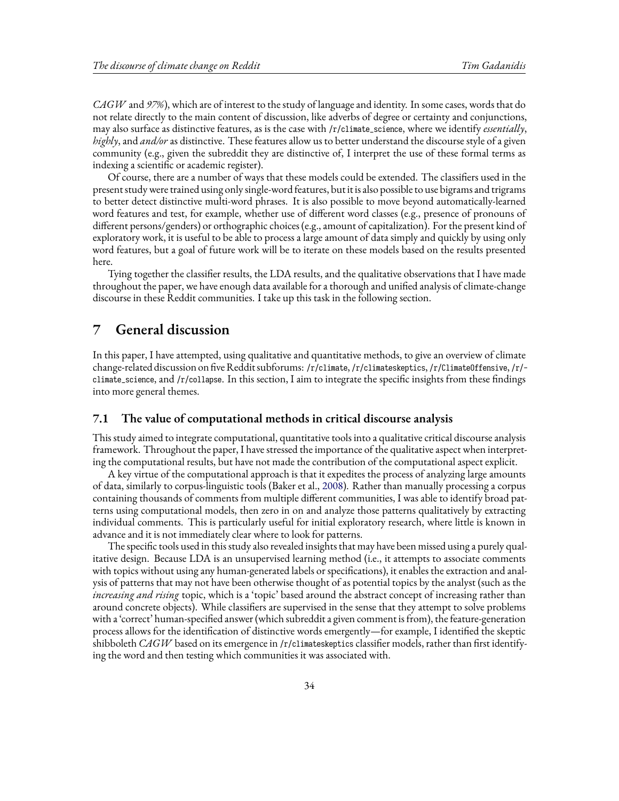*CAGW* and *97%*), which are of interest to the study of language and identity. In some cases, words that do not relate directly to the main content of discussion, like adverbs of degree or certainty and conjunctions, may also surface as distinctive features, as is the case with /r/climate\_science, where we identify *essentially*, *highly*, and *and/or* as distinctive. These features allow us to better understand the discourse style of a given community (e.g., given the subreddit they are distinctive of, I interpret the use of these formal terms as indexing a scientific or academic register).

Of course, there are a number of ways that these models could be extended. The classifiers used in the present study were trained using only single-word features, but it is also possible to use bigrams and trigrams to better detect distinctive multi-word phrases. It is also possible to move beyond automatically-learned word features and test, for example, whether use of different word classes (e.g., presence of pronouns of different persons/genders) or orthographic choices (e.g., amount of capitalization). For the present kind of exploratory work, it is useful to be able to process a large amount of data simply and quickly by using only word features, but a goal of future work will be to iterate on these models based on the results presented here.

Tying together the classifier results, the LDA results, and the qualitative observations that I have made throughout the paper, we have enough data available for a thorough and unified analysis of climate-change discourse in these Reddit communities. I take up this task in the following section.

## <span id="page-33-0"></span>**7 General discussion**

In this paper, I have attempted, using qualitative and quantitative methods, to give an overview of climate change-related discussion on five Reddit subforums: /r/climate, /r/climateskeptics, /r/ClimateOffensive, /r/ climate\_science, and /r/collapse. In this section, I aim to integrate the specific insights from these findings into more general themes.

### **7.1 The value of computational methods in critical discourse analysis**

This study aimed to integrate computational, quantitative tools into a qualitative critical discourse analysis framework. Throughout the paper, I have stressed the importance of the qualitative aspect when interpreting the computational results, but have not made the contribution of the computational aspect explicit.

A key virtue of the computational approach is that it expedites the process of analyzing large amounts of data, similarly to corpus-linguistic tools (Baker et al., [2008](#page-42-2)). Rather than manually processing a corpus containing thousands of comments from multiple different communities, I was able to identify broad patterns using computational models, then zero in on and analyze those patterns qualitatively by extracting individual comments. This is particularly useful for initial exploratory research, where little is known in advance and it is not immediately clear where to look for patterns.

The specific tools used in this study also revealed insights that may have been missed using a purely qualitative design. Because LDA is an unsupervised learning method (i.e., it attempts to associate comments with topics without using any human-generated labels or specifications), it enables the extraction and analysis of patterns that may not have been otherwise thought of as potential topics by the analyst (such as the *increasing and rising* topic, which is a 'topic' based around the abstract concept of increasing rather than around concrete objects). While classifiers are supervised in the sense that they attempt to solve problems with a 'correct' human-specified answer (which subreddit a given comment is from), the feature-generation process allows for the identification of distinctive words emergently—for example, I identified the skeptic shibboleth *CAGW* based on its emergence in /r/climateskeptics classifier models, rather than first identifying the word and then testing which communities it was associated with.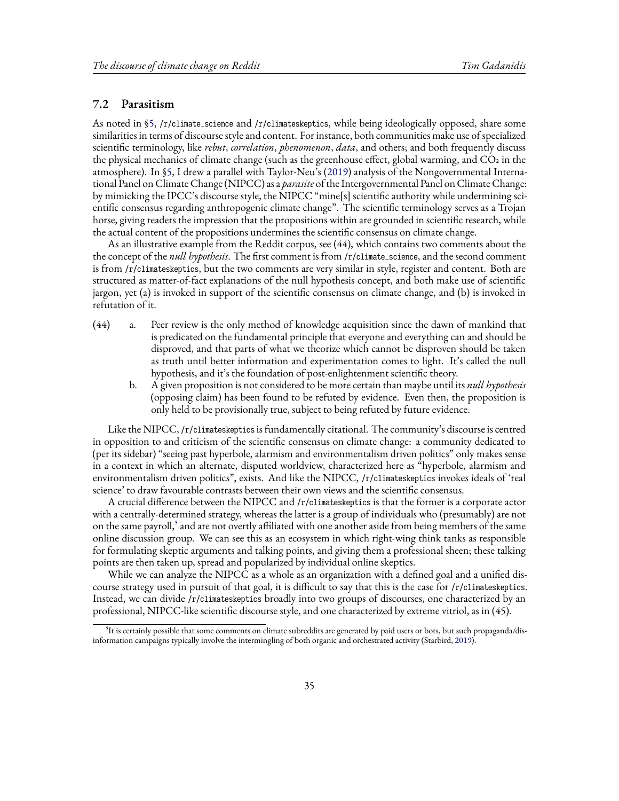### **7.2 Parasitism**

As noted in [§5](#page-12-0), /r/climate\_science and /r/climateskeptics, while being ideologically opposed, share some similarities in terms of discourse style and content. For instance, both communities make use of specialized scientific terminology, like *rebut*, *correlation*, *phenomenon*, *data*, and others; and both frequently discuss the physical mechanics of climate change (such as the greenhouse effect, global warming, and CO2 in the atmosphere). In [§5](#page-12-0), I drew a parallel with Taylor-Neu's([2019](#page-44-7)) analysis of the Nongovernmental International Panel on Climate Change (NIPCC) as a *parasite* of the Intergovernmental Panel on Climate Change: by mimicking the IPCC's discourse style, the NIPCC "mine[s] scientific authority while undermining scientific consensus regarding anthropogenic climate change". The scientific terminology serves as a Trojan horse, giving readers the impression that the propositions within are grounded in scientific research, while the actual content of the propositions undermines the scientific consensus on climate change.

As an illustrative example from the Reddit corpus, see (44), which contains two comments about the the concept of the *null hypothesis*. The first comment is from /r/climate\_science, and the second comment is from /r/climateskeptics, but the two comments are very similar in style, register and content. Both are structured as matter-of-fact explanations of the null hypothesis concept, and both make use of scientific jargon, yet (a) is invoked in support of the scientific consensus on climate change, and (b) is invoked in refutation of it.

- (44) a. Peer review is the only method of knowledge acquisition since the dawn of mankind that is predicated on the fundamental principle that everyone and everything can and should be disproved, and that parts of what we theorize which cannot be disproven should be taken as truth until better information and experimentation comes to light. It's called the null hypothesis, and it's the foundation of post-enlightenment scientific theory.
	- b. A given proposition is not considered to be more certain than maybe until its *null hypothesis* (opposing claim) has been found to be refuted by evidence. Even then, the proposition is only held to be provisionally true, subject to being refuted by future evidence.

Like the NIPCC, /r/climateskeptics is fundamentally citational. The community's discourse is centred in opposition to and criticism of the scientific consensus on climate change: a community dedicated to (per its sidebar) "seeing past hyperbole, alarmism and environmentalism driven politics" only makes sense in a context in which an alternate, disputed worldview, characterized here as "hyperbole, alarmism and environmentalism driven politics", exists. And like the NIPCC, /r/climateskeptics invokes ideals of 'real science' to draw favourable contrasts between their own views and the scientific consensus.

A crucial difference between the NIPCC and /r/climateskeptics is that the former is a corporate actor with a centrally-determined strategy, whereas the latter is a group of individuals who (presumably) are not on the same payroll,<sup>5</sup> and are not overtly affiliated with one another aside from being members of the same online discussion group. We can see this as an ecosystem in which right-wing think tanks as responsible for formulating skeptic arguments and talking points, and giving them a professional sheen; these talking points are then taken up, spread and popularized by individual online skeptics.

While we can analyze the NIPCC as a whole as an organization with a defined goal and a unified discourse strategy used in pursuit of that goal, it is difficult to say that this is the case for /r/climateskeptics. Instead, we can divide /r/climateskeptics broadly into two groups of discourses, one characterized by an professional, NIPCC-like scientific discourse style, and one characterized by extreme vitriol, as in (45).

<sup>&</sup>lt;sup>5</sup>It is certainly possible that some comments on climate subreddits are generated by paid users or bots, but such propaganda/disinformation campaigns typically involve the intermingling of both organic and orchestrated activity (Starbird, [2019\)](#page-44-10).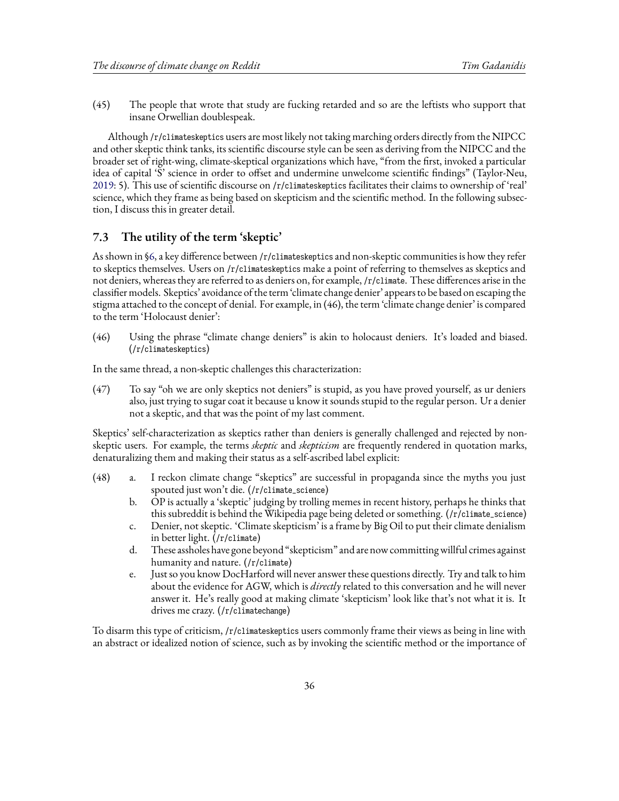(45) The people that wrote that study are fucking retarded and so are the leftists who support that insane Orwellian doublespeak.

Although /r/climateskeptics users are most likely not taking marching orders directly from the NIPCC and other skeptic think tanks, its scientific discourse style can be seen as deriving from the NIPCC and the broader set of right-wing, climate-skeptical organizations which have, "from the first, invoked a particular idea of capital 'S' science in order to offset and undermine unwelcome scientific findings" (Taylor-Neu, [2019](#page-44-7): 5). This use of scientific discourse on /r/climateskeptics facilitates their claims to ownership of 'real' science, which they frame as being based on skepticism and the scientific method. In the following subsection, I discuss this in greater detail.

### **7.3 The utility of the term 'skeptic'**

As shown in§[6,](#page-27-0) a key difference between /r/climateskeptics and non-skeptic communities is how they refer to skeptics themselves. Users on /r/climateskeptics make a point of referring to themselves as skeptics and not deniers, whereas they are referred to as deniers on, for example, /r/climate. These differences arise in the classifier models. Skeptics' avoidance of the term 'climate change denier' appears to be based on escaping the stigma attached to the concept of denial. For example, in (46), the term 'climate change denier' is compared to the term 'Holocaust denier':

(46) Using the phrase "climate change deniers" is akin to holocaust deniers. It's loaded and biased. (/r/climateskeptics)

In the same thread, a non-skeptic challenges this characterization:

(47) To say "oh we are only skeptics not deniers" is stupid, as you have proved yourself, as ur deniers also, just trying to sugar coat it because u know it sounds stupid to the regular person. Ur a denier not a skeptic, and that was the point of my last comment.

Skeptics' self-characterization as skeptics rather than deniers is generally challenged and rejected by nonskeptic users. For example, the terms *skeptic* and *skepticism* are frequently rendered in quotation marks, denaturalizing them and making their status as a self-ascribed label explicit:

- (48) a. I reckon climate change "skeptics" are successful in propaganda since the myths you just spouted just won't die. (/r/climate\_science)
	- b. OP is actually a 'skeptic' judging by trolling memes in recent history, perhaps he thinks that this subreddit is behind the Wikipedia page being deleted or something. (/r/climate\_science)
	- c. Denier, not skeptic. 'Climate skepticism' is a frame by Big Oil to put their climate denialism in better light. (/r/climate)
	- d. These assholes have gone beyond "skepticism" and are now committingwillful crimes against humanity and nature. (/r/climate)
	- e. Just so you know DocHarford will never answer these questions directly. Try and talk to him about the evidence for AGW, which is *directly* related to this conversation and he will never answer it. He's really good at making climate 'skepticism' look like that's not what it is. It drives me crazy. (/r/climatechange)

To disarm this type of criticism, /r/climateskeptics users commonly frame their views as being in line with an abstract or idealized notion of science, such as by invoking the scientific method or the importance of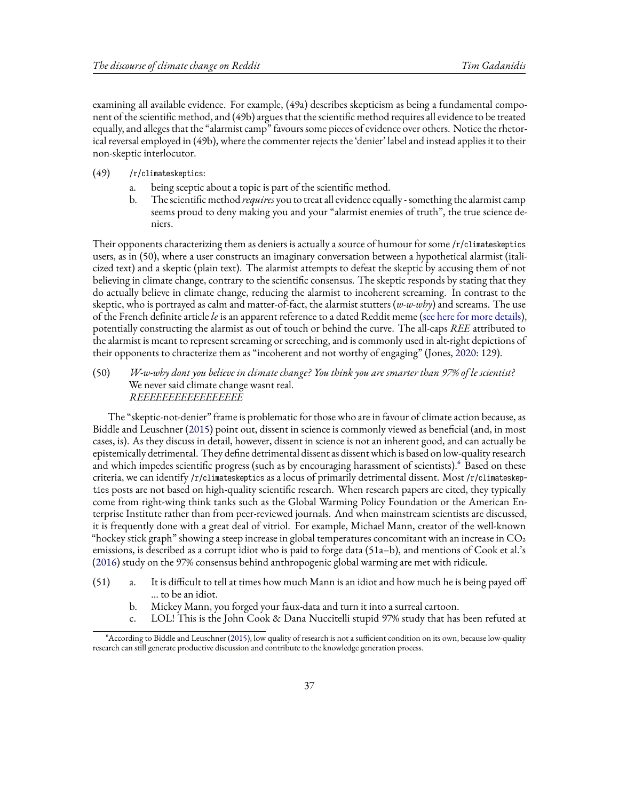examining all available evidence. For example, (49a) describes skepticism as being a fundamental component of the scientific method, and (49b) argues that the scientific method requires all evidence to be treated equally, and alleges that the "alarmist camp" favours some pieces of evidence over others. Notice the rhetorical reversal employed in (49b), where the commenter rejects the 'denier' label and instead applies it to their non-skeptic interlocutor.

- (49) /r/climateskeptics:
	- a. being sceptic about a topic is part of the scientific method.
	- b. The scientific method *requires* you to treat all evidence equally something the alarmist camp seems proud to deny making you and your "alarmist enemies of truth", the true science deniers.

Their opponents characterizing them as deniers is actually a source of humour for some /r/climateskeptics users, as in (50), where a user constructs an imaginary conversation between a hypothetical alarmist (italicized text) and a skeptic (plain text). The alarmist attempts to defeat the skeptic by accusing them of not believing in climate change, contrary to the scientific consensus. The skeptic responds by stating that they do actually believe in climate change, reducing the alarmist to incoherent screaming. In contrast to the skeptic, who is portrayed as calm and matter-of-fact, the alarmist stutters (*w-w-why*) and screams. The use of the French definite article *le* is an apparent reference to a dated Reddit meme([see here for more details\)](http://archive.is/3bw0c), potentially constructing the alarmist as out of touch or behind the curve. The all-caps *REE* attributed to the alarmist is meant to represent screaming or screeching, and is commonly used in alt-right depictions of their opponents to chracterize them as "incoherent and not worthy of engaging" (Jones, [2020](#page-43-23): 129).

(50) *W-w-why dont you believe in climate change? You think you are smarter than 97% of le scientist?* We never said climate change wasnt real. *REEEEEEEEEEEEEEEEE*

The "skeptic-not-denier" frame is problematic for those who are in favour of climate action because, as Biddle and Leuschner([2015](#page-42-8)) point out, dissent in science is commonly viewed as beneficial (and, in most cases, is). As they discuss in detail, however, dissent in science is not an inherent good, and can actually be epistemically detrimental. They define detrimental dissent as dissent which is based on low-quality research and which impedes scientific progress (such as by encouraging harassment of scientists).<sup>6</sup> Based on these criteria, we can identify /r/climateskeptics as a locus of primarily detrimental dissent. Most /r/climateskeptics posts are not based on high-quality scientific research. When research papers are cited, they typically come from right-wing think tanks such as the Global Warming Policy Foundation or the American Enterprise Institute rather than from peer-reviewed journals. And when mainstream scientists are discussed, it is frequently done with a great deal of vitriol. For example, Michael Mann, creator of the well-known "hockey stick graph" showing a steep increase in global temperatures concomitant with an increase in  $CO<sub>2</sub>$ emissions, is described as a corrupt idiot who is paid to forge data (51a–b), and mentions of Cook et al.'s ([2016](#page-43-12)) study on the 97% consensus behind anthropogenic global warming are met with ridicule.

- (51) a. It is difficult to tell at times how much Mann is an idiot and how much he is being payed off … to be an idiot.
	- b. Mickey Mann, you forged your faux-data and turn it into a surreal cartoon.
	- c. LOL! This is the John Cook & Dana Nuccitelli stupid 97% study that has been refuted at

⁶According to Biddle and Leuschner [\(2015\)](#page-42-8), low quality of research is not a sufficient condition on its own, because low-quality research can still generate productive discussion and contribute to the knowledge generation process.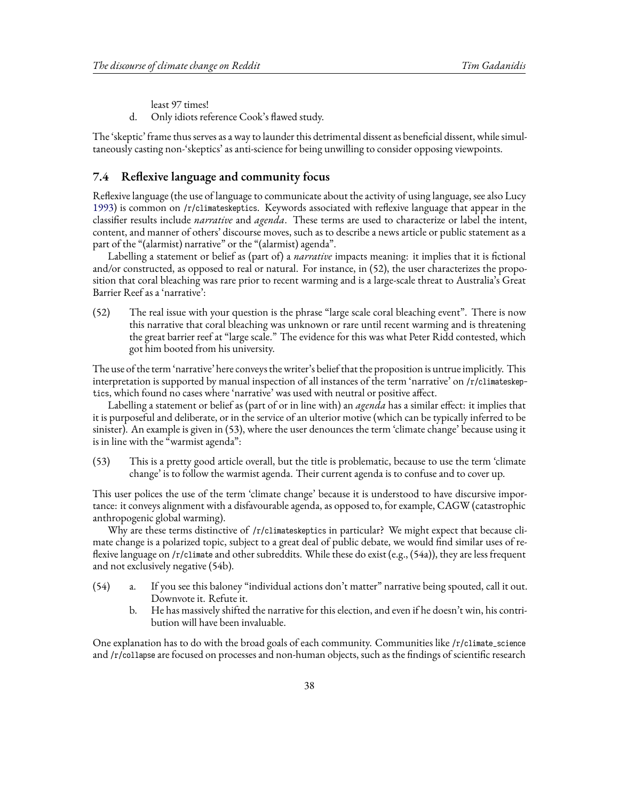least 97 times!

d. Only idiots reference Cook's flawed study.

The 'skeptic' frame thus serves as a way to launder this detrimental dissent as beneficial dissent, while simultaneously casting non-'skeptics' as anti-science for being unwilling to consider opposing viewpoints.

### <span id="page-37-0"></span>**7.4 Reflexive language and community focus**

Reflexive language (the use of language to communicate about the activity of using language, see also Lucy [1993](#page-43-24)) is common on /r/climateskeptics. Keywords associated with reflexive language that appear in the classifier results include *narrative* and *agenda*. These terms are used to characterize or label the intent, content, and manner of others' discourse moves, such as to describe a news article or public statement as a part of the "(alarmist) narrative" or the "(alarmist) agenda".

Labelling a statement or belief as (part of) a *narrative* impacts meaning: it implies that it is fictional and/or constructed, as opposed to real or natural. For instance, in (52), the user characterizes the proposition that coral bleaching was rare prior to recent warming and is a large-scale threat to Australia's Great Barrier Reef as a 'narrative':

(52) The real issue with your question is the phrase "large scale coral bleaching event". There is now this narrative that coral bleaching was unknown or rare until recent warming and is threatening the great barrier reef at "large scale." The evidence for this was what Peter Ridd contested, which got him booted from his university.

The use of the term 'narrative' here conveys the writer's belief that the proposition is untrue implicitly. This interpretation is supported by manual inspection of all instances of the term 'narrative' on /r/climateskeptics, which found no cases where 'narrative' was used with neutral or positive affect.

Labelling a statement or belief as (part of or in line with) an *agenda* has a similar effect: it implies that it is purposeful and deliberate, or in the service of an ulterior motive (which can be typically inferred to be sinister). An example is given in (53), where the user denounces the term 'climate change' because using it is in line with the "warmist agenda":

(53) This is a pretty good article overall, but the title is problematic, because to use the term 'climate change' is to follow the warmist agenda. Their current agenda is to confuse and to cover up.

This user polices the use of the term 'climate change' because it is understood to have discursive importance: it conveys alignment with a disfavourable agenda, as opposed to, for example, CAGW (catastrophic anthropogenic global warming).

Why are these terms distinctive of /r/climateskeptics in particular? We might expect that because climate change is a polarized topic, subject to a great deal of public debate, we would find similar uses of reflexive language on /r/climate and other subreddits. While these do exist (e.g., (54a)), they are less frequent and not exclusively negative (54b).

- (54) a. If you see this baloney "individual actions don't matter" narrative being spouted, call it out. Downvote it. Refute it.
	- b. He has massively shifted the narrative for this election, and even if he doesn't win, his contribution will have been invaluable.

One explanation has to do with the broad goals of each community. Communities like /r/climate\_science and /r/collapse are focused on processes and non-human objects, such as the findings of scientific research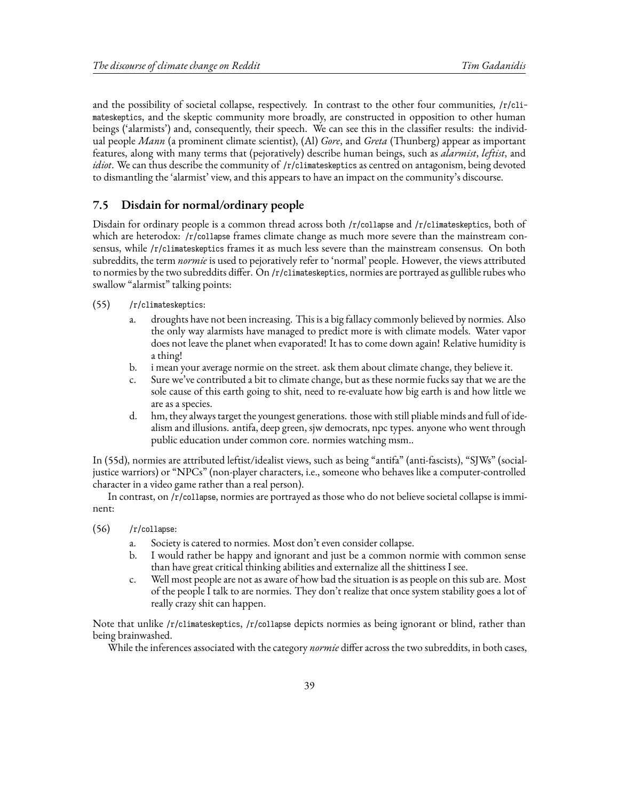and the possibility of societal collapse, respectively. In contrast to the other four communities, /r/climateskeptics, and the skeptic community more broadly, are constructed in opposition to other human beings ('alarmists') and, consequently, their speech. We can see this in the classifier results: the individual people *Mann* (a prominent climate scientist), (Al) *Gore*, and *Greta* (Thunberg) appear as important features, along with many terms that (pejoratively) describe human beings, such as *alarmist*, *leftist*, and *idiot*. We can thus describe the community of /r/climateskeptics as centred on antagonism, being devoted to dismantling the 'alarmist' view, and this appears to have an impact on the community's discourse.

### **7.5 Disdain for normal/ordinary people**

Disdain for ordinary people is a common thread across both /r/collapse and /r/climateskeptics, both of which are heterodox: /r/collapse frames climate change as much more severe than the mainstream consensus, while /r/climateskeptics frames it as much less severe than the mainstream consensus. On both subreddits, the term *normie* is used to pejoratively refer to 'normal' people. However, the views attributed to normies by the two subreddits differ. On /r/climateskeptics, normies are portrayed as gullible rubes who swallow "alarmist" talking points:

- (55) /r/climateskeptics:
	- a. droughts have not been increasing. This is a big fallacy commonly believed by normies. Also the only way alarmists have managed to predict more is with climate models. Water vapor does not leave the planet when evaporated! It has to come down again! Relative humidity is a thing!
	- b. i mean your average normie on the street. ask them about climate change, they believe it.
	- c. Sure we've contributed a bit to climate change, but as these normie fucks say that we are the sole cause of this earth going to shit, need to re-evaluate how big earth is and how little we are as a species.
	- d. hm, they always target the youngest generations. those with still pliable minds and full of idealism and illusions. antifa, deep green, sjw democrats, npc types. anyone who went through public education under common core. normies watching msm..

In (55d), normies are attributed leftist/idealist views, such as being "antifa" (anti-fascists), "SJWs" (socialjustice warriors) or "NPCs" (non-player characters, i.e., someone who behaves like a computer-controlled character in a video game rather than a real person).

In contrast, on /r/collapse, normies are portrayed as those who do not believe societal collapse is imminent:

- (56) /r/collapse:
	- a. Society is catered to normies. Most don't even consider collapse.
	- b. I would rather be happy and ignorant and just be a common normie with common sense than have great critical thinking abilities and externalize all the shittiness I see.
	- c. Well most people are not as aware of how bad the situation is as people on this sub are. Most of the people I talk to are normies. They don't realize that once system stability goes a lot of really crazy shit can happen.

Note that unlike /r/climateskeptics, /r/collapse depicts normies as being ignorant or blind, rather than being brainwashed.

While the inferences associated with the category *normie* differ across the two subreddits, in both cases,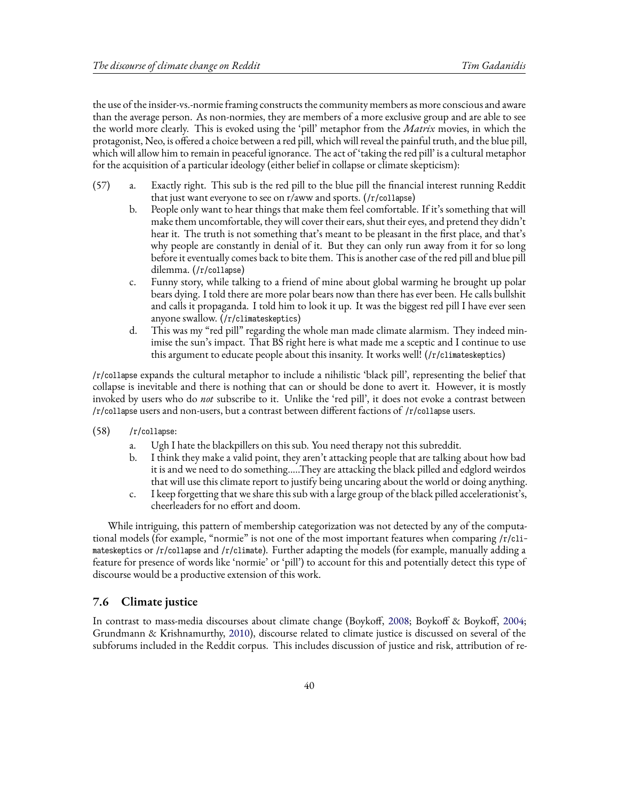the use of the insider-vs.-normie framing constructs the community members as more conscious and aware than the average person. As non-normies, they are members of a more exclusive group and are able to see the world more clearly. This is evoked using the 'pill' metaphor from the *Matrix* movies, in which the protagonist, Neo, is offered a choice between a red pill, which will reveal the painful truth, and the blue pill, which will allow him to remain in peaceful ignorance. The act of 'taking the red pill' is a cultural metaphor for the acquisition of a particular ideology (either belief in collapse or climate skepticism):

- (57) a. Exactly right. This sub is the red pill to the blue pill the financial interest running Reddit that just want everyone to see on r/aww and sports. (/r/collapse)
	- b. People only want to hear things that make them feel comfortable. If it's something that will make them uncomfortable, they will cover their ears, shut their eyes, and pretend they didn't hear it. The truth is not something that's meant to be pleasant in the first place, and that's why people are constantly in denial of it. But they can only run away from it for so long before it eventually comes back to bite them. This is another case of the red pill and blue pill dilemma. (/r/collapse)
	- c. Funny story, while talking to a friend of mine about global warming he brought up polar bears dying. I told there are more polar bears now than there has ever been. He calls bullshit and calls it propaganda. I told him to look it up. It was the biggest red pill I have ever seen anyone swallow. (/r/climateskeptics)
	- d. This was my "red pill" regarding the whole man made climate alarmism. They indeed minimise the sun's impact. That BS right here is what made me a sceptic and I continue to use this argument to educate people about this insanity. It works well! (/r/climateskeptics)

/r/collapse expands the cultural metaphor to include a nihilistic 'black pill', representing the belief that collapse is inevitable and there is nothing that can or should be done to avert it. However, it is mostly invoked by users who do *not* subscribe to it. Unlike the 'red pill', it does not evoke a contrast between /r/collapse users and non-users, but a contrast between different factions of /r/collapse users.

- (58) /r/collapse:
	- a. Ugh I hate the blackpillers on this sub. You need therapy not this subreddit.
	- b. I think they make a valid point, they aren't attacking people that are talking about how bad it is and we need to do something.....They are attacking the black pilled and edglord weirdos that will use this climate report to justify being uncaring about the world or doing anything.
	- c. I keep forgetting that we share this sub with a large group of the black pilled accelerationist's, cheerleaders for no effort and doom.

While intriguing, this pattern of membership categorization was not detected by any of the computational models (for example, "normie" is not one of the most important features when comparing /r/climateskeptics or /r/collapse and /r/climate). Further adapting the models (for example, manually adding a feature for presence of words like 'normie' or 'pill') to account for this and potentially detect this type of discourse would be a productive extension of this work.

### **7.6 Climate justice**

In contrast to mass-media discourses about climate change (Boykoff, [2008;](#page-42-0) Boykoff & Boykoff, [2004](#page-43-1); Grundmann & Krishnamurthy, [2010](#page-43-3)), discourse related to climate justice is discussed on several of the subforums included in the Reddit corpus. This includes discussion of justice and risk, attribution of re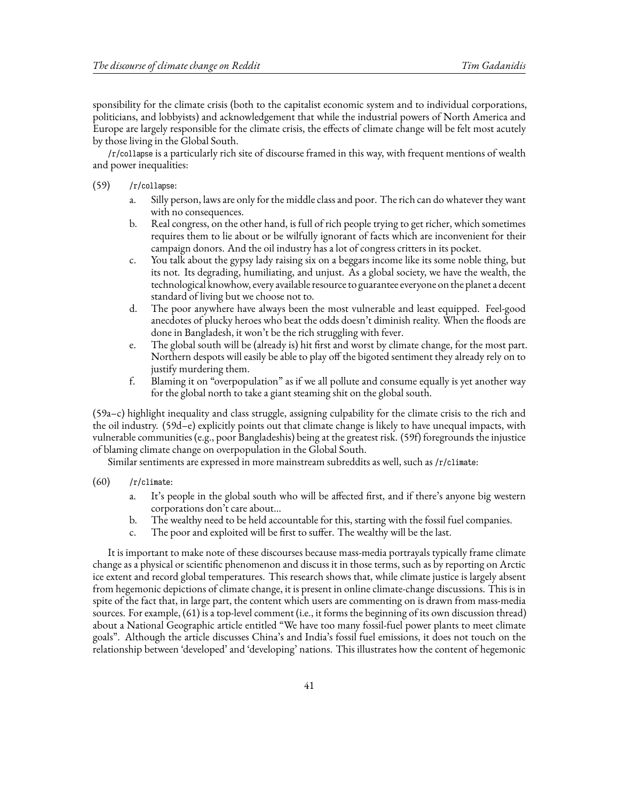sponsibility for the climate crisis (both to the capitalist economic system and to individual corporations, politicians, and lobbyists) and acknowledgement that while the industrial powers of North America and Europe are largely responsible for the climate crisis, the effects of climate change will be felt most acutely by those living in the Global South.

/r/collapse is a particularly rich site of discourse framed in this way, with frequent mentions of wealth and power inequalities:

- (59) /r/collapse:
	- a. Silly person, laws are only for the middle class and poor. The rich can do whatever they want with no consequences.
	- b. Real congress, on the other hand, is full of rich people trying to get richer, which sometimes requires them to lie about or be wilfully ignorant of facts which are inconvenient for their campaign donors. And the oil industry has a lot of congress critters in its pocket.
	- c. You talk about the gypsy lady raising six on a beggars income like its some noble thing, but its not. Its degrading, humiliating, and unjust. As a global society, we have the wealth, the technological knowhow, every available resource to guarantee everyone on the planet a decent standard of living but we choose not to.
	- d. The poor anywhere have always been the most vulnerable and least equipped. Feel-good anecdotes of plucky heroes who beat the odds doesn't diminish reality. When the floods are done in Bangladesh, it won't be the rich struggling with fever.
	- e. The global south will be (already is) hit first and worst by climate change, for the most part. Northern despots will easily be able to play off the bigoted sentiment they already rely on to justify murdering them.
	- f. Blaming it on "overpopulation" as if we all pollute and consume equally is yet another way for the global north to take a giant steaming shit on the global south.

(59a–c) highlight inequality and class struggle, assigning culpability for the climate crisis to the rich and the oil industry. (59d–e) explicitly points out that climate change is likely to have unequal impacts, with vulnerable communities (e.g., poor Bangladeshis) being at the greatest risk. (59f) foregrounds the injustice of blaming climate change on overpopulation in the Global South.

Similar sentiments are expressed in more mainstream subreddits as well, such as /r/climate:

- $(60)$  /r/climate:
	- a. It's people in the global south who will be affected first, and if there's anyone big western corporations don't care about…
	- b. The wealthy need to be held accountable for this, starting with the fossil fuel companies.
	- c. The poor and exploited will be first to suffer. The wealthy will be the last.

It is important to make note of these discourses because mass-media portrayals typically frame climate change as a physical or scientific phenomenon and discuss it in those terms, such as by reporting on Arctic ice extent and record global temperatures. This research shows that, while climate justice is largely absent from hegemonic depictions of climate change, it is present in online climate-change discussions. This is in spite of the fact that, in large part, the content which users are commenting on is drawn from mass-media sources. For example, (61) is a top-level comment (i.e., it forms the beginning of its own discussion thread) about a National Geographic article entitled "We have too many fossil-fuel power plants to meet climate goals". Although the article discusses China's and India's fossil fuel emissions, it does not touch on the relationship between 'developed' and 'developing' nations. This illustrates how the content of hegemonic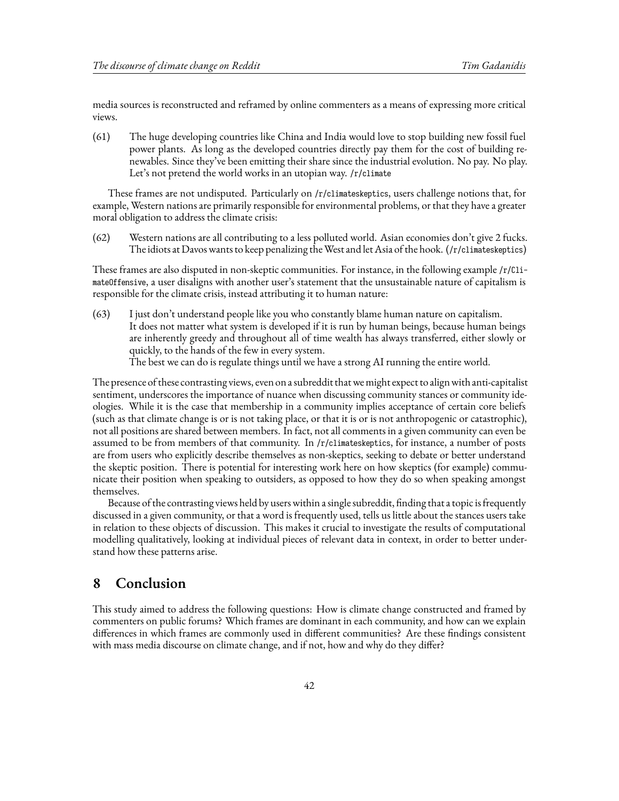media sources is reconstructed and reframed by online commenters as a means of expressing more critical views.

(61) The huge developing countries like China and India would love to stop building new fossil fuel power plants. As long as the developed countries directly pay them for the cost of building renewables. Since they've been emitting their share since the industrial evolution. No pay. No play. Let's not pretend the world works in an utopian way. /r/climate

These frames are not undisputed. Particularly on /r/climateskeptics, users challenge notions that, for example, Western nations are primarily responsible for environmental problems, or that they have a greater moral obligation to address the climate crisis:

(62) Western nations are all contributing to a less polluted world. Asian economies don't give 2 fucks. The idiots at Davos wants to keep penalizing theWest and let Asia of the hook. (/r/climateskeptics)

These frames are also disputed in non-skeptic communities. For instance, in the following example /r/ClimateOffensive, a user disaligns with another user's statement that the unsustainable nature of capitalism is responsible for the climate crisis, instead attributing it to human nature:

(63) I just don't understand people like you who constantly blame human nature on capitalism. It does not matter what system is developed if it is run by human beings, because human beings are inherently greedy and throughout all of time wealth has always transferred, either slowly or quickly, to the hands of the few in every system. The best we can do is regulate things until we have a strong AI running the entire world.

The presence of these contrasting views, even on a subreddit that we might expect to align with anti-capitalist sentiment, underscores the importance of nuance when discussing community stances or community ideologies. While it is the case that membership in a community implies acceptance of certain core beliefs (such as that climate change is or is not taking place, or that it is or is not anthropogenic or catastrophic), not all positions are shared between members. In fact, not all comments in a given community can even be assumed to be from members of that community. In /r/climateskeptics, for instance, a number of posts are from users who explicitly describe themselves as non-skeptics, seeking to debate or better understand the skeptic position. There is potential for interesting work here on how skeptics (for example) communicate their position when speaking to outsiders, as opposed to how they do so when speaking amongst themselves.

Because of the contrasting views held by users within a single subreddit, finding that a topic is frequently discussed in a given community, or that a word is frequently used, tells us little about the stances users take in relation to these objects of discussion. This makes it crucial to investigate the results of computational modelling qualitatively, looking at individual pieces of relevant data in context, in order to better understand how these patterns arise.

## <span id="page-41-0"></span>**8 Conclusion**

This study aimed to address the following questions: How is climate change constructed and framed by commenters on public forums? Which frames are dominant in each community, and how can we explain differences in which frames are commonly used in different communities? Are these findings consistent with mass media discourse on climate change, and if not, how and why do they differ?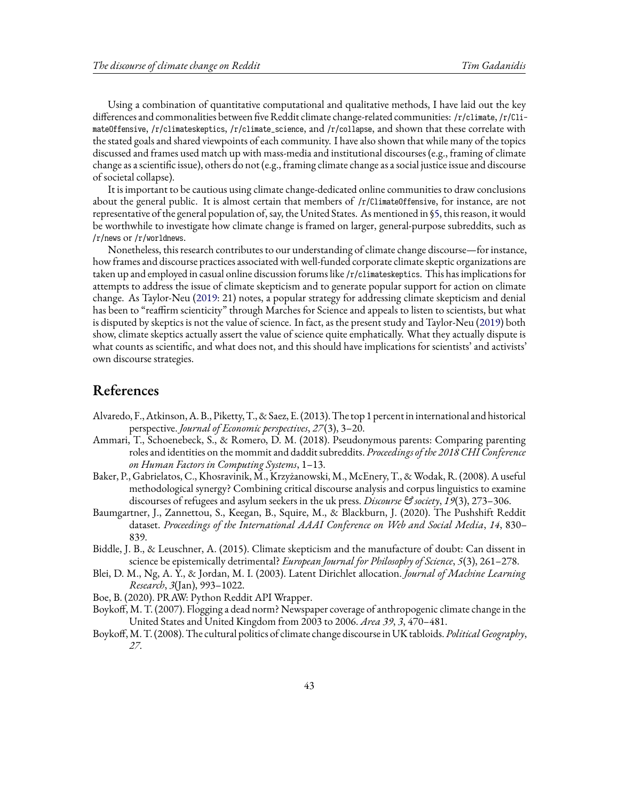Using a combination of quantitative computational and qualitative methods, I have laid out the key differences and commonalities between five Reddit climate change-related communities: /r/climate, /r/ClimateOffensive, /r/climateskeptics, /r/climate\_science, and /r/collapse, and shown that these correlate with the stated goals and shared viewpoints of each community. I have also shown that while many of the topics discussed and frames used match up with mass-media and institutional discourses (e.g., framing of climate change as a scientific issue), others do not (e.g., framing climate change as a social justice issue and discourse of societal collapse).

It is important to be cautious using climate change-dedicated online communities to draw conclusions about the general public. It is almost certain that members of /r/ClimateOffensive, for instance, are not representative of the general population of, say, the United States. As mentioned in§[5,](#page-12-0) this reason, it would be worthwhile to investigate how climate change is framed on larger, general-purpose subreddits, such as /r/news or /r/worldnews.

Nonetheless, this research contributes to our understanding of climate change discourse—for instance, how frames and discourse practices associated with well-funded corporate climate skeptic organizations are taken up and employed in casual online discussion forums like /r/climateskeptics. This has implications for attempts to address the issue of climate skepticism and to generate popular support for action on climate change. As Taylor-Neu [\(2019:](#page-44-7) 21) notes, a popular strategy for addressing climate skepticism and denial has been to "reaffirm scienticity" through Marches for Science and appeals to listen to scientists, but what is disputed by skeptics is not the value of science. In fact, as the present study and Taylor-Neu [\(2019](#page-44-7)) both show, climate skeptics actually assert the value of science quite emphatically. What they actually dispute is what counts as scientific, and what does not, and this should have implications for scientists' and activists' own discourse strategies.

## **References**

- <span id="page-42-7"></span>Alvaredo, F.,Atkinson,A. B., Piketty, T., & Saez, E. (2013). The top 1 percent in international and historical perspective. *Journal of Economic perspectives*, *27*(3), 3–20.
- <span id="page-42-3"></span>Ammari, T., Schoenebeck, S., & Romero, D. M. (2018). Pseudonymous parents: Comparing parenting roles and identities on the mommit and daddit subreddits. *Proceedings of the 2018 CHI Conference on Human Factors in Computing Systems*, 1–13.
- <span id="page-42-2"></span>Baker, P., Gabrielatos, C., Khosravinik, M., Krzyżanowski, M., McEnery, T., & Wodak, R. (2008). A useful methodological synergy? Combining critical discourse analysis and corpus linguistics to examine discourses of refugees and asylum seekers in the uk press. *Discourse & society*, *19*(3), 273–306.
- <span id="page-42-6"></span>Baumgartner, J., Zannettou, S., Keegan, B., Squire, M., & Blackburn, J. (2020). The Pushshift Reddit dataset. *Proceedings of the International AAAI Conference on Web and Social Media*, *14*, 830– 839.
- <span id="page-42-8"></span>Biddle, J. B., & Leuschner, A. (2015). Climate skepticism and the manufacture of doubt: Can dissent in science be epistemically detrimental? *European Journal for Philosophy of Science*, *5*(3), 261–278.
- <span id="page-42-4"></span>Blei, D. M., Ng, A. Y., & Jordan, M. I. (2003). Latent Dirichlet allocation. *Journal of Machine Learning Research*, *3*(Jan), 993–1022.
- <span id="page-42-5"></span>Boe, B. (2020). PRAW: Python Reddit API Wrapper.
- <span id="page-42-1"></span>Boykoff, M. T. (2007). Flogging a dead norm? Newspaper coverage of anthropogenic climate change in the United States and United Kingdom from 2003 to 2006. *Area 39*, *3*, 470–481.
- <span id="page-42-0"></span>Boykoff,M. T. (2008). The cultural politics of climate change discourse in UK tabloids. *Political Geography*, *27*.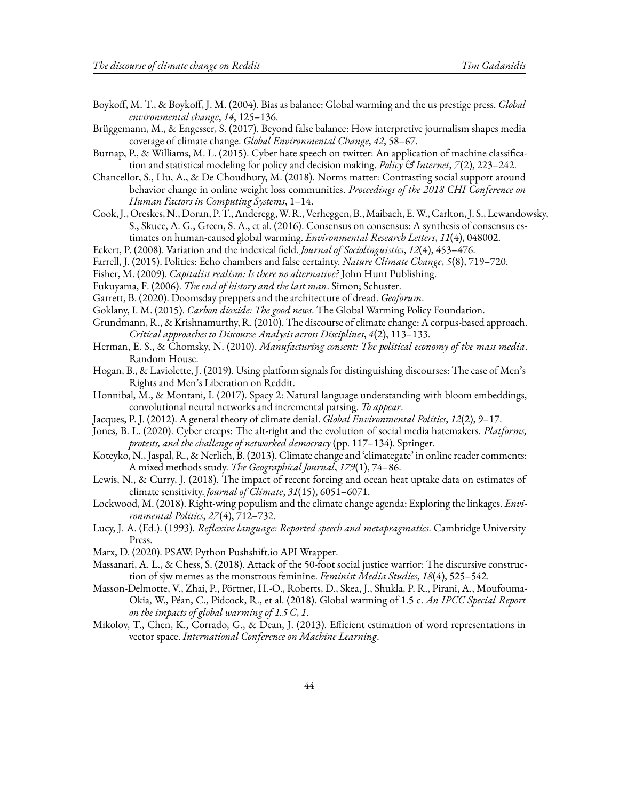<span id="page-43-1"></span>Boykoff, M. T., & Boykoff, J. M. (2004). Bias as balance: Global warming and the us prestige press. *Global environmental change*, *14*, 125–136.

<span id="page-43-2"></span>Brüggemann, M., & Engesser, S. (2017). Beyond false balance: How interpretive journalism shapes media coverage of climate change. *Global Environmental Change*, *42*, 58–67.

<span id="page-43-22"></span>Burnap, P., & Williams, M. L. (2015). Cyber hate speech on twitter: An application of machine classification and statistical modeling for policy and decision making. *Policy & Internet*, *7*(2), 223–242.

<span id="page-43-7"></span>Chancellor, S., Hu, A., & De Choudhury, M. (2018). Norms matter: Contrasting social support around behavior change in online weight loss communities. *Proceedings of the 2018 CHI Conference on Human Factors in Computing Systems*, 1–14.

- <span id="page-43-12"></span>Cook, J., Oreskes, N., Doran, P.T.,Anderegg,W. R.,Verheggen, B.,Maibach, E.W., Carlton, J. S., Lewandowsky, S., Skuce, A. G., Green, S. A., et al. (2016). Consensus on consensus: A synthesis of consensus estimates on human-caused global warming. *Environmental Research Letters*, *11*(4), 048002.
- <span id="page-43-9"></span>Eckert, P. (2008). Variation and the indexical field. *Journal of Sociolinguistics*, *12*(4), 453–476.
- <span id="page-43-5"></span>Farrell, J. (2015). Politics: Echo chambers and false certainty. *Nature Climate Change*, *5*(8), 719–720.
- <span id="page-43-16"></span>Fisher, M. (2009). *Capitalist realism: Is there no alternative?* John Hunt Publishing.
- <span id="page-43-18"></span>Fukuyama, F. (2006). *The end of history and the last man*. Simon; Schuster.
- <span id="page-43-21"></span>Garrett, B. (2020). Doomsday preppers and the architecture of dread. *Geoforum*.
- <span id="page-43-17"></span>Goklany, I. M. (2015). *Carbon dioxide: The good news*. The Global Warming Policy Foundation.
- <span id="page-43-3"></span>Grundmann, R., & Krishnamurthy, R. (2010). The discourse of climate change: A corpus-based approach. *Critical approaches to Discourse Analysis across Disciplines*, *4*(2), 113–133.
- <span id="page-43-19"></span>Herman, E. S., & Chomsky, N. (2010). *Manufacturing consent: The political economy of the mass media*. Random House.
- <span id="page-43-6"></span>Hogan, B., & Laviolette, J. (2019). Using platform signals for distinguishing discourses: The case of Men's Rights and Men's Liberation on Reddit.
- <span id="page-43-11"></span>Honnibal, M., & Montani, I. (2017). Spacy 2: Natural language understanding with bloom embeddings, convolutional neural networks and incremental parsing. *To appear*.
- <span id="page-43-14"></span>Jacques, P. J. (2012). A general theory of climate denial. *Global Environmental Politics*, *12*(2), 9–17.
- <span id="page-43-23"></span>Jones, B. L. (2020). Cyber creeps: The alt-right and the evolution of social media hatemakers. *Platforms, protests, and the challenge of networked democracy* (pp. 117–134). Springer.
- <span id="page-43-4"></span>Koteyko, N., Jaspal, R., & Nerlich, B. (2013). Climate change and 'climategate' in online reader comments: A mixed methods study. *The Geographical Journal*, *179*(1), 74–86.
- <span id="page-43-13"></span>Lewis, N., & Curry, J. (2018). The impact of recent forcing and ocean heat uptake data on estimates of climate sensitivity. *Journal of Climate*, *31*(15), 6051–6071.
- <span id="page-43-15"></span>Lockwood, M. (2018). Right-wing populism and the climate change agenda: Exploring the linkages. *Environmental Politics*, *27*(4), 712–732.
- <span id="page-43-24"></span>Lucy, J. A. (Ed.). (1993). *Reflexive language: Reported speech and metapragmatics*. Cambridge University Press.
- <span id="page-43-10"></span>Marx, D. (2020). PSAW: Python Pushshift.io API Wrapper.
- <span id="page-43-20"></span>Massanari, A. L., & Chess, S. (2018). Attack of the 50-foot social justice warrior: The discursive construction of sjw memes as the monstrous feminine. *Feminist Media Studies*, *18*(4), 525–542.
- <span id="page-43-0"></span>Masson-Delmotte, V., Zhai, P., Pörtner, H.-O., Roberts, D., Skea, J., Shukla, P. R., Pirani, A., Moufouma-Okia, W., Péan, C., Pidcock, R., et al. (2018). Global warming of 1.5 c. *An IPCC Special Report on the impacts of global warming of 1.5 C*, *1*.
- <span id="page-43-8"></span>Mikolov, T., Chen, K., Corrado, G., & Dean, J. (2013). Efficient estimation of word representations in vector space. *International Conference on Machine Learning*.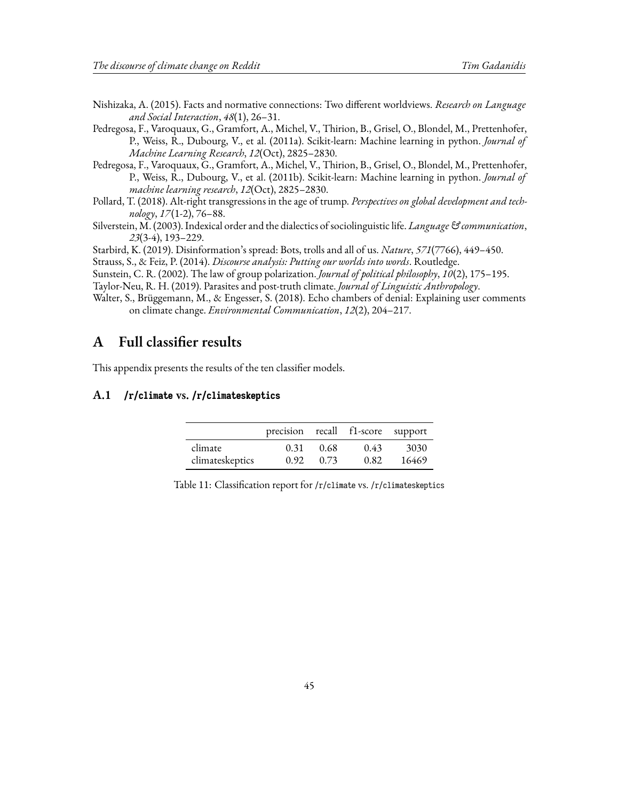- <span id="page-44-4"></span>Nishizaka, A. (2015). Facts and normative connections: Two different worldviews. *Research on Language and Social Interaction*, *48*(1), 26–31.
- <span id="page-44-3"></span>Pedregosa, F., Varoquaux, G., Gramfort, A., Michel, V., Thirion, B., Grisel, O., Blondel, M., Prettenhofer, P., Weiss, R., Dubourg, V., et al. (2011a). Scikit-learn: Machine learning in python. *Journal of Machine Learning Research*, *12*(Oct), 2825–2830.
- <span id="page-44-8"></span>Pedregosa, F., Varoquaux, G., Gramfort, A., Michel, V., Thirion, B., Grisel, O., Blondel, M., Prettenhofer, P., Weiss, R., Dubourg, V., et al. (2011b). Scikit-learn: Machine learning in python. *Journal of machine learning research*, *12*(Oct), 2825–2830.
- <span id="page-44-6"></span>Pollard, T. (2018). Alt-right transgressions in the age of trump. *Perspectives on global development and technology*, *17*(1-2), 76–88.
- <span id="page-44-5"></span>Silverstein, M. (2003). Indexical order and the dialectics of sociolinguistic life. *Language & communication*, *23*(3-4), 193–229.

<span id="page-44-10"></span>Starbird, K. (2019). Disinformation's spread: Bots, trolls and all of us. *Nature*, *571*(7766), 449–450.

<span id="page-44-2"></span>Strauss, S., & Feiz, P. (2014). *Discourse analysis: Putting our worlds into words*. Routledge.

<span id="page-44-1"></span>Sunstein, C. R. (2002). The law of group polarization. *Journal of political philosophy*, *10*(2), 175–195.

<span id="page-44-7"></span>Taylor-Neu, R. H. (2019). Parasites and post-truth climate. *Journal of Linguistic Anthropology*.

<span id="page-44-0"></span>Walter, S., Brüggemann, M., & Engesser, S. (2018). Echo chambers of denial: Explaining user comments on climate change. *Environmental Communication*, *12*(2), 204–217.

## <span id="page-44-9"></span>**A Full classifier results**

This appendix presents the results of the ten classifier models.

### **A.1 /r/climate vs. /r/climateskeptics**

|                 | precision recall f1-score support |      |      |       |
|-----------------|-----------------------------------|------|------|-------|
| climate         | 0.31                              | 0.68 | 0.43 | 3030  |
| climateskeptics | 0.92                              | 0.73 | 0.82 | 16469 |

|  |  | Table 11: Classification report for /r/climate vs. /r/climateskeptics |
|--|--|-----------------------------------------------------------------------|
|  |  |                                                                       |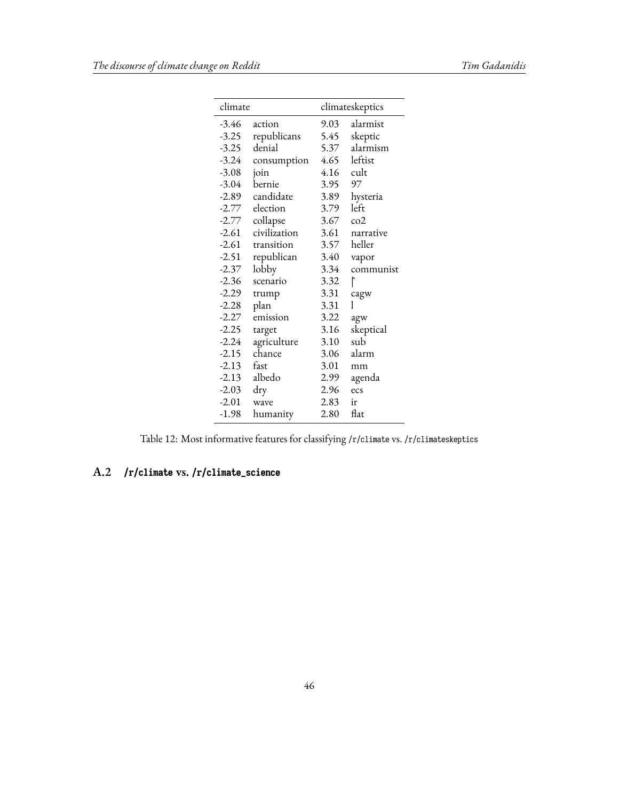|         | climate      |      | climateskeptics |  |
|---------|--------------|------|-----------------|--|
| $-3.46$ | action       | 9.03 | alarmist        |  |
| $-3.25$ | republicans  | 5.45 | skeptic         |  |
| $-3.25$ | denial       | 5.37 | alarmism        |  |
| $-3.24$ | consumption  | 4.65 | leftist         |  |
| $-3.08$ | join         | 4.16 | cult            |  |
| $-3.04$ | bernie       | 3.95 | 97              |  |
| $-2.89$ | candidate    | 3.89 | hysteria        |  |
| $-2.77$ | election     | 3.79 | left            |  |
| $-2.77$ | collapse     | 3.67 | $\cos^2$        |  |
| $-2.61$ | civilization | 3.61 | narrative       |  |
| $-2.61$ | transition   | 3.57 | heller          |  |
| $-2.51$ | republican   | 3.40 | vapor           |  |
| $-2.37$ | lobby        | 3.34 | communist       |  |
| $-2.36$ | scenario     | 3.32 | r               |  |
| $-2.29$ | trump        | 3.31 | cagw            |  |
| $-2.28$ | plan         | 3.31 | 1               |  |
| $-2.27$ | emission     | 3.22 | agw             |  |
| $-2.25$ | target       | 3.16 | skeptical       |  |
| $-2.24$ | agriculture  | 3.10 | sub             |  |
| $-2.15$ | chance       | 3.06 | alarm           |  |
| $-2.13$ | fast         | 3.01 | mm              |  |
| $-2.13$ | albedo       | 2.99 | agenda          |  |
| $-2.03$ | dry          | 2.96 | ecs             |  |
| $-2.01$ | wave         | 2.83 | ir              |  |
| $-1.98$ | humanity     | 2.80 | flat            |  |

Table 12: Most informative features for classifying /r/climate vs. /r/climateskeptics

## **A.2 /r/climate vs. /r/climate\_science**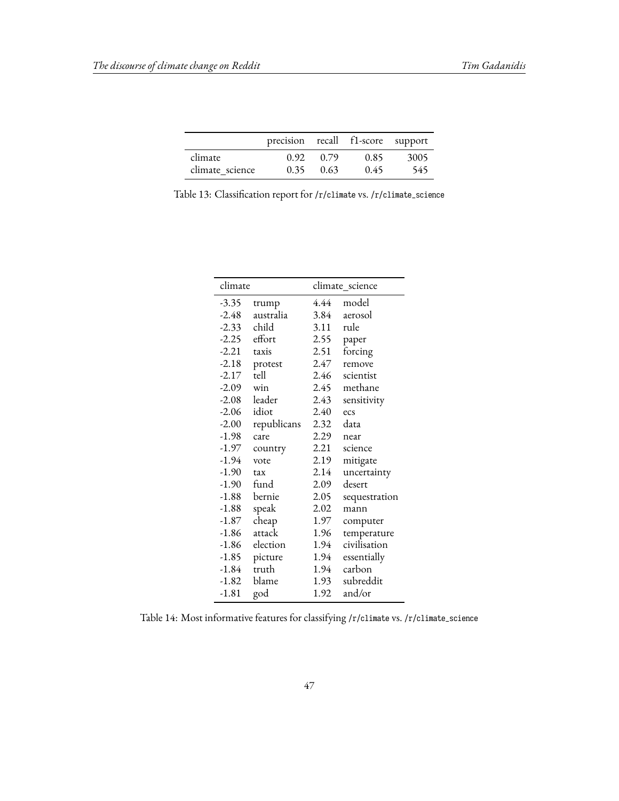|                 | precision recall f1-score support |      |      |      |
|-----------------|-----------------------------------|------|------|------|
| climate         | 0.92                              | 0.79 | 0.85 | 3005 |
| climate science | 0.35                              | 0.63 | 0.45 | 545  |

<span id="page-46-0"></span>Table 13: Classification report for /r/climate vs. /r/climate\_science

| climate |             |      | climate_science |
|---------|-------------|------|-----------------|
| -3.35   | trump       | 4.44 | model           |
| $-2.48$ | australia   | 3.84 | aerosol         |
| $-2.33$ | child       | 3.11 | rule            |
| $-2.25$ | effort      | 2.55 | paper           |
| $-2.21$ | taxis       | 2.51 | forcing         |
| $-2.18$ | protest     | 2.47 | remove          |
| $-2.17$ | tell        | 2.46 | scientist       |
| $-2.09$ | win         | 2.45 | methane         |
| $-2.08$ | leader      | 2.43 | sensitivity     |
| $-2.06$ | idiot       | 2.40 | ecs             |
| $-2.00$ | republicans | 2.32 | data            |
| $-1.98$ | care        | 2.29 | near            |
| -1.97   | country     | 2.21 | science         |
| -1.94   | vote        | 2.19 | mitigate        |
| $-1.90$ | tax         | 2.14 | uncertainty     |
| $-1.90$ | fund        | 2.09 | desert          |
| -1.88   | bernie      | 2.05 | sequestration   |
| $-1.88$ | speak       | 2.02 | mann            |
| -1.87   | cheap       | 1.97 | computer        |
| $-1.86$ | attack      | 1.96 | temperature     |
| $-1.86$ | election    | 1.94 | civilisation    |
| -1.85   | picture     | 1.94 | essentially     |
| $-1.84$ | truth       | 1.94 | carbon          |
| $-1.82$ | blame       | 1.93 | subreddit       |
| $-1.81$ | god         | 1.92 | and/or          |

Table 14: Most informative features for classifying /r/climate vs. /r/climate\_science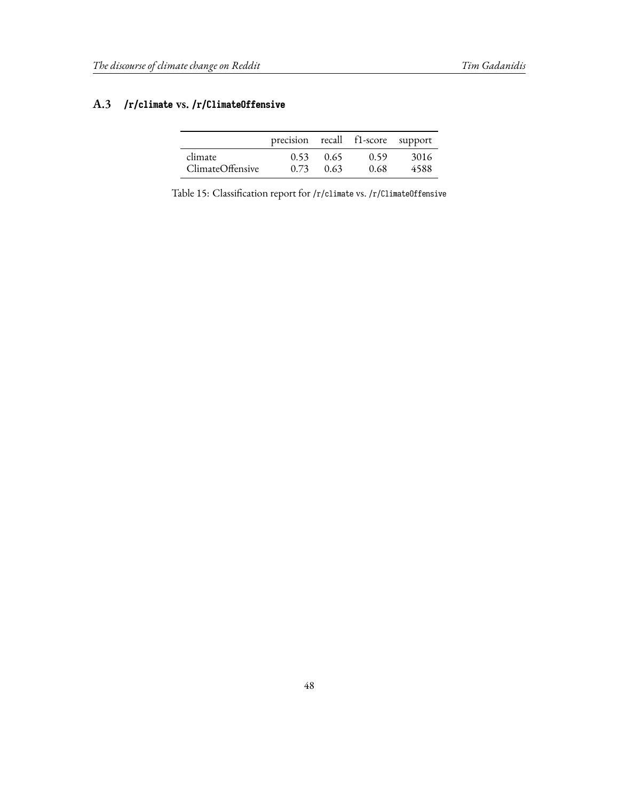## **A.3 /r/climate vs. /r/ClimateOffensive**

|                  | precision recall f1-score support |      |      |      |
|------------------|-----------------------------------|------|------|------|
| climate          | 0.53                              | 0.65 | 0.59 | 3016 |
| ClimateOffensive | 0.73                              | 0.63 | 0.68 | 4588 |

Table 15: Classification report for /r/climate vs. /r/ClimateOffensive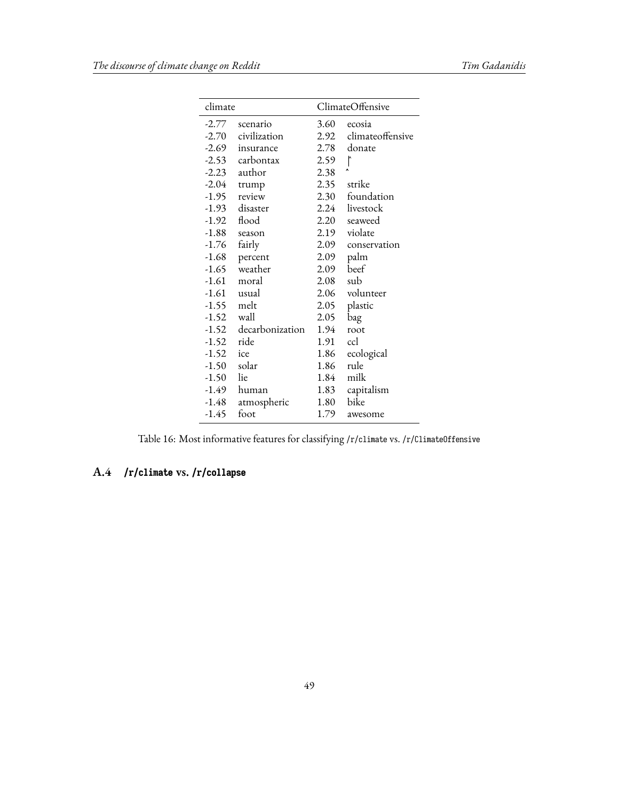| climate       |                       |      | ClimateOffensive            |
|---------------|-----------------------|------|-----------------------------|
| $-2.77$       | scenario              | 3.60 | ecosia                      |
|               | -2.70 civilization    | 2.92 | climateoffensive            |
|               | -2.69 insurance       | 2.78 | donate                      |
|               | -2.53 carbontax       | 2.59 | $\mathord{\upharpoonright}$ |
|               | -2.23 author          | 2.38 |                             |
| $-2.04$       | trump                 | 2.35 | strike                      |
| -1.95         | review                |      | 2.30 foundation             |
|               | -1.93 disaster        |      | 2.24 livestock              |
| -1.92         | flood                 | 2.20 | seaweed                     |
| -1.88         | season                | 2.19 | violate                     |
| $-1.76$       | fairly                | 2.09 | conservation                |
| -1.68         | percent               | 2.09 | palm                        |
| $-1.65$       | weather               | 2.09 | beef                        |
| $-1.61$       | moral                 | 2.08 | sub                         |
|               | -1.61 usual           | 2.06 | volunteer                   |
| $-1.55$ melt  |                       | 2.05 | plastic                     |
| $-1.52$ wall  |                       | 2.05 | bag                         |
|               | -1.52 decarbonization | 1.94 | root                        |
| $-1.52$ ride  |                       | 1.91 | ccl                         |
| $-1.52$ ice   |                       | 1.86 | ecological                  |
| $-1.50$ solar |                       | 1.86 | rule                        |
| $-1.50$ lie   |                       | 1.84 | milk                        |
|               | -1.49 human           | 1.83 | capitalism                  |
| $-1.48$       | atmospheric           | 1.80 | bike                        |
| -1.45         | foot                  | 1.79 | awesome                     |

Table 16: Most informative features for classifying /r/climate vs. /r/ClimateOffensive

## **A.4 /r/climate vs. /r/collapse**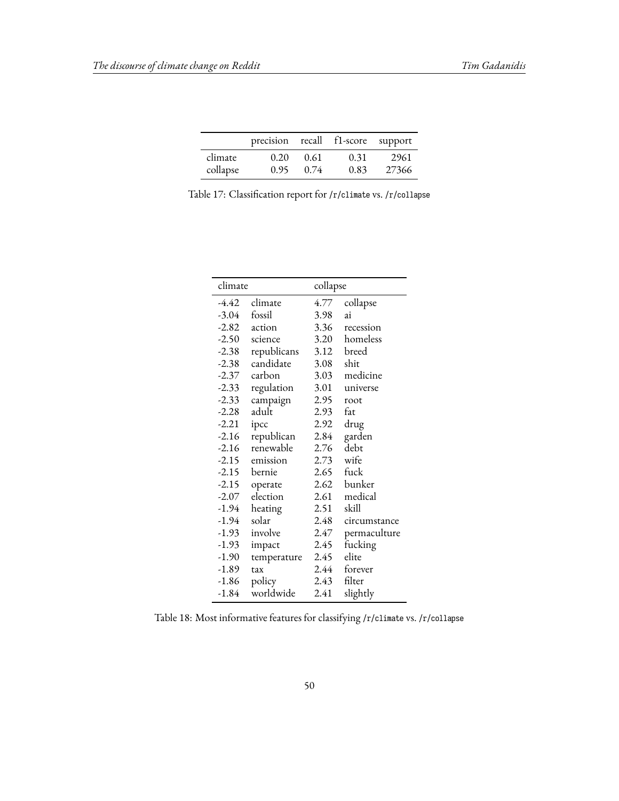|          | precision recall f1-score support |      |      |       |
|----------|-----------------------------------|------|------|-------|
| climate  | 0.20                              | 0.61 | 0.31 | 2961  |
| collapse | 0.95                              | 0.74 | 0.83 | 27366 |

Table 17: Classification report for /r/climate vs. /r/collapse

| climate |             | collapse |              |
|---------|-------------|----------|--------------|
| -4.42   | climate     | 4.77     | collapse     |
| $-3.04$ | fossil      | 3.98     | ai           |
| -2.82   | action      | 3.36     | recession    |
| $-2.50$ | science     | 3.20     | homeless     |
| $-2.38$ | republicans | 3.12     | breed        |
| -2.38   | candidate   | 3.08     | shit         |
| -2.37   | carbon      | 3.03     | medicine     |
| $-2.33$ | regulation  | 3.01     | universe     |
| $-2.33$ | campaign    | 2.95     | root         |
| $-2.28$ | adult       | 2.93     | fat          |
| $-2.21$ | ipcc        | 2.92     | drug         |
| $-2.16$ | republican  | 2.84     | garden       |
| $-2.16$ | renewable   | 2.76     | debt         |
| -2.15   | emission    | 2.73     | wife         |
| $-2.15$ | bernie      | 2.65     | fuck         |
| $-2.15$ | operate     | 2.62     | bunker       |
| $-2.07$ | election    | 2.61     | medical      |
| -1.94   | heating     | 2.51     | skill        |
| -1.94   | solar       | 2.48     | circumstance |
| -1.93   | involve     | 2.47     | permaculture |
| -1.93   | impact      | 2.45     | fucking      |
| $-1.90$ | temperature | 2.45     | elite        |
| $-1.89$ | tax         | 2.44     | forever      |
| $-1.86$ | policy      | 2.43     | filter       |
| $-1.84$ | worldwide   | 2.41     | slightly     |

Table 18: Most informative features for classifying /r/climate vs. /r/collapse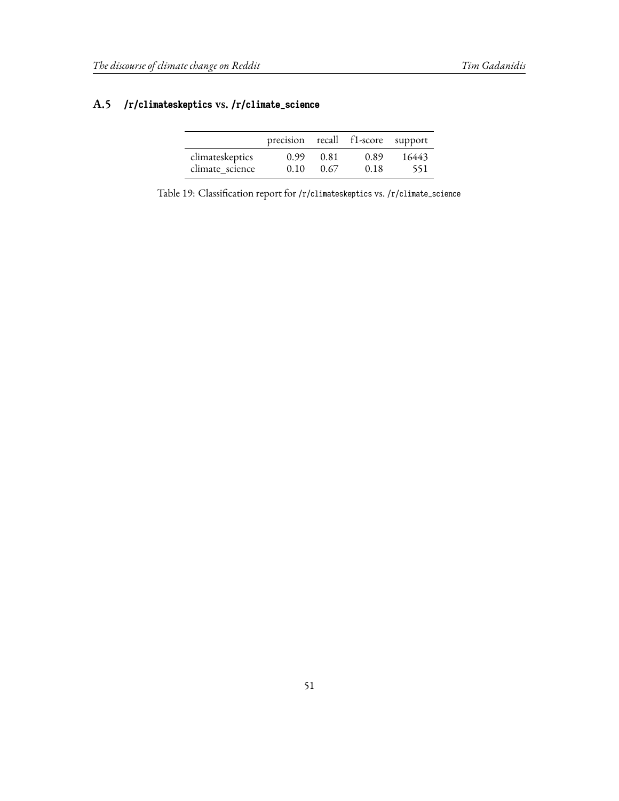## **A.5 /r/climateskeptics vs. /r/climate\_science**

|                 | precision recall f1-score support |      |      |       |
|-----------------|-----------------------------------|------|------|-------|
| climateskeptics | 0.99                              | 0.81 | 0.89 | 16443 |
| climate science | 0.10                              | 0.67 | 0.18 | 551   |

Table 19: Classification report for /r/climateskeptics vs. /r/climate\_science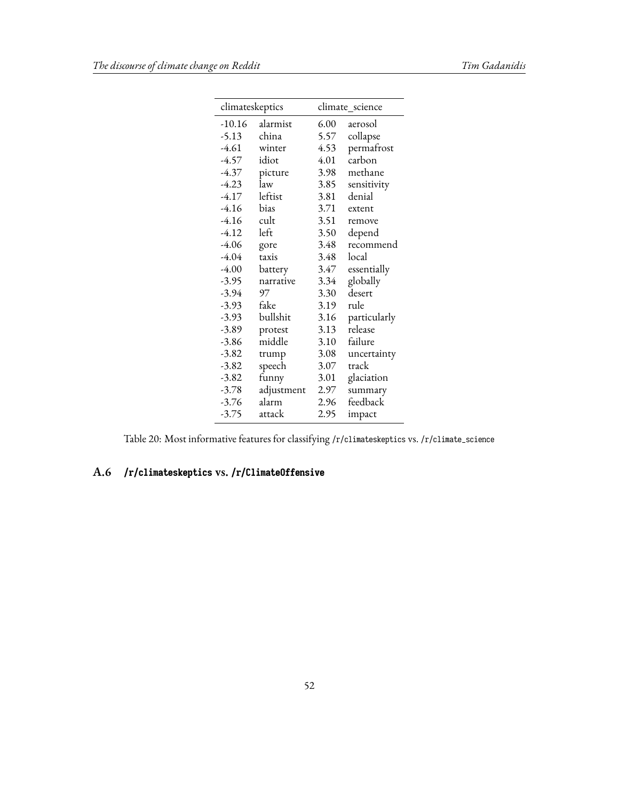| climateskeptics |            |      | climate_science |
|-----------------|------------|------|-----------------|
| $-10.16$        | alarmist   | 6.00 | aerosol         |
| $-5.13$         | china      | 5.57 | collapse        |
| -4.61           | winter     | 4.53 | permafrost      |
| -4.57           | idiot      | 4.01 | carbon          |
| $-4.37$         | picture    | 3.98 | methane         |
| $-4.23$         | law        | 3.85 | sensitivity     |
| $-4.17$         | leftist    | 3.81 | denial          |
| $-4.16$         | bias       | 3.71 | extent          |
| $-4.16$         | cult       | 3.51 | remove          |
| $-4.12$         | left       | 3.50 | depend          |
| $-4.06$         | gore       | 3.48 | recommend       |
| $-4.04$         | taxis      | 3.48 | local           |
| $-4.00$         | battery    | 3.47 | essentially     |
| $-3.95$         | narrative  | 3.34 | globally        |
| $-3.94$         | 97         | 3.30 | desert          |
| $-3.93$         | fake       | 3.19 | rule            |
| $-3.93$         | bullshit   | 3.16 | particularly    |
| $-3.89$         | protest    | 3.13 | release         |
| $-3.86$         | middle     | 3.10 | failure         |
| $-3.82$         | trump      | 3.08 | uncertainty     |
| $-3.82$         | speech     | 3.07 | track           |
| $-3.82$         | funny      | 3.01 | glaciation      |
| $-3.78$         | adjustment | 2.97 | summary         |
| $-3.76$         | alarm      | 2.96 | feedback        |
| $-3.75$         | attack     | 2.95 | impact          |

Table 20: Most informative features for classifying /r/climateskeptics vs. /r/climate\_science

## **A.6 /r/climateskeptics vs. /r/ClimateOffensive**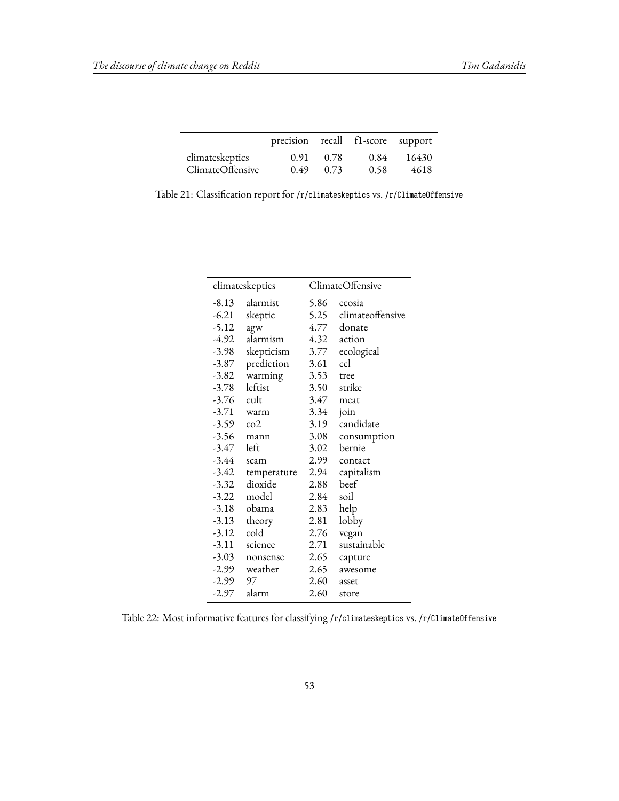|                  | precision recall f1-score support |      |      |       |
|------------------|-----------------------------------|------|------|-------|
| climateskeptics  | 0.91                              | 0.78 | 0.84 | 16430 |
| ClimateOffensive | 0.49                              | 0.73 | 0.58 | 4618  |

Table 21: Classification report for /r/climateskeptics vs. /r/ClimateOffensive

|               | climateskeptics |      | ClimateOffensive |
|---------------|-----------------|------|------------------|
| $-8.13$       | alarmist        | 5.86 | ecosia           |
| $-6.21$       | skeptic         | 5.25 | climateoffensive |
| -5.12         | agw             | 4.77 | donate           |
| -4.92         | alarmism        | 4.32 | action           |
| $-3.98$       | skepticism      | 3.77 | ecological       |
| $-3.87$       | prediction      | 3.61 | ccl              |
| $-3.82$       | warming         | 3.53 | tree             |
| $-3.78$       | leftist         | 3.50 | strike           |
| -3.76         | cult            | 3.47 | meat             |
|               | $-3.71$ warm    | 3.34 | join             |
| $-3.59$ $co2$ |                 | 3.19 | candidate        |
| $-3.56$       | mann            | 3.08 | consumption      |
| -3.47         | left            | 3.02 | bernie           |
| -3.44         | scam            | 2.99 | contact          |
| $-3.42$       | temperature     | 2.94 | capitalism       |
| $-3.32$       | dioxide         | 2.88 | beef             |
| $-3.22$       | model           | 2.84 | soil             |
|               | -3.18 obama     | 2.83 | help             |
| $-3.13$       | theory          | 2.81 | lobby            |
| $-3.12$       | cold            | 2.76 | vegan            |
| -3.11         | science         | 2.71 | sustainable      |
| $-3.03$       | nonsense        | 2.65 | capture          |
| -2.99         | weather         | 2.65 | awesome          |
| -2.99         | 97              | 2.60 | asset            |
|               | $-2.97$ alarm   | 2.60 | store            |

Table 22: Most informative features for classifying /r/climateskeptics vs. /r/ClimateOffensive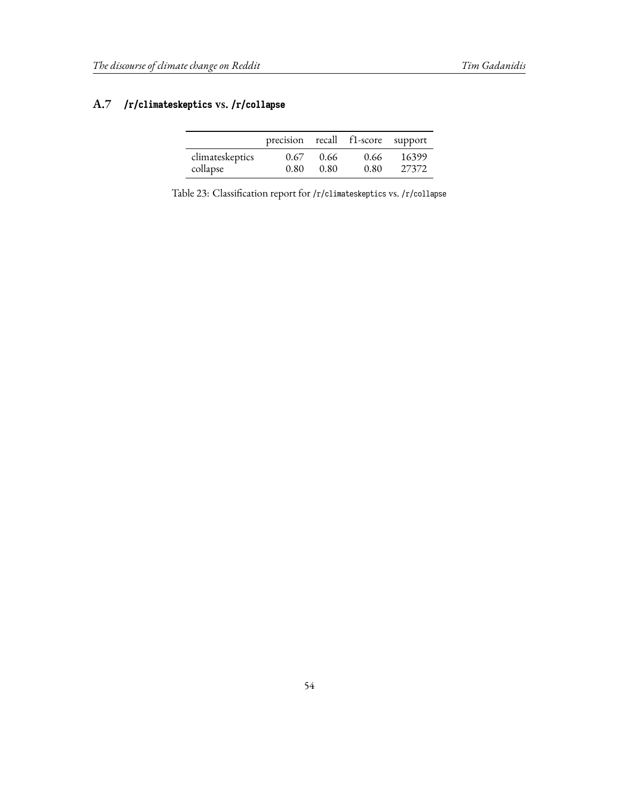## **A.7 /r/climateskeptics vs. /r/collapse**

|                 | precision recall f1-score support |      |      |       |
|-----------------|-----------------------------------|------|------|-------|
| climateskeptics | 0.67                              | 0.66 | 0.66 | 16399 |
| collapse        | 0.80                              | 0.80 | 0.80 | 27372 |

Table 23: Classification report for /r/climateskeptics vs. /r/collapse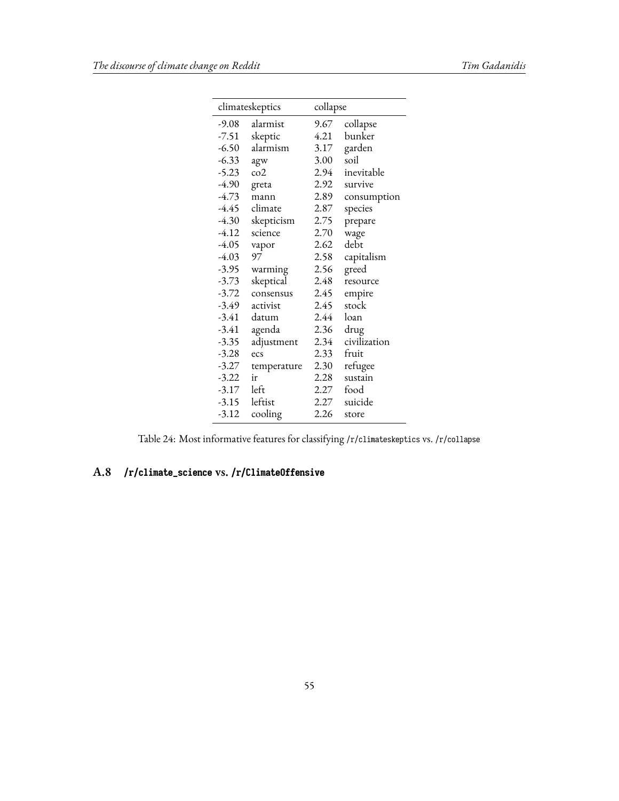|         | climateskeptics | collapse |              |
|---------|-----------------|----------|--------------|
| $-9.08$ | alarmist        | 9.67     | collapse     |
| $-7.51$ | skeptic         | 4.21     | bunker       |
| $-6.50$ | alarmism        | 3.17     | garden       |
| $-6.33$ | agw             | 3.00     | soil         |
| $-5.23$ | co2             | 2.94     | inevitable   |
| $-4.90$ | greta           | 2.92     | survive      |
| $-4.73$ | mann            | 2.89     | consumption  |
| -4.45   | climate         | 2.87     | species      |
| $-4.30$ | skepticism      | 2.75     | prepare      |
| -4.12   | science         | 2.70     | wage         |
| $-4.05$ | vapor           | 2.62     | debt         |
| $-4.03$ | 97              | 2.58     | capitalism   |
| $-3.95$ | warming         | 2.56     | greed        |
| $-3.73$ | skeptical       | 2.48     | resource     |
| $-3.72$ | consensus       | 2.45     | empire       |
| -3.49   | activist        | 2.45     | stock        |
| $-3.41$ | datum           | 2.44     | loan         |
| $-3.41$ | agenda          | 2.36     | drug         |
| $-3.35$ | adjustment      | 2.34     | civilization |
| $-3.28$ | ecs             | 2.33     | fruit        |
| $-3.27$ | temperature     | 2.30     | refugee      |
| $-3.22$ | ir              | 2.28     | sustain      |
| -3.17   | left            | 2.27     | food         |
| $-3.15$ | leftist         | 2.27     | suicide      |
| $-3.12$ | cooling         | 2.26     | store        |

Table 24: Most informative features for classifying /r/climateskeptics vs. /r/collapse

### **A.8 /r/climate\_science vs. /r/ClimateOffensive**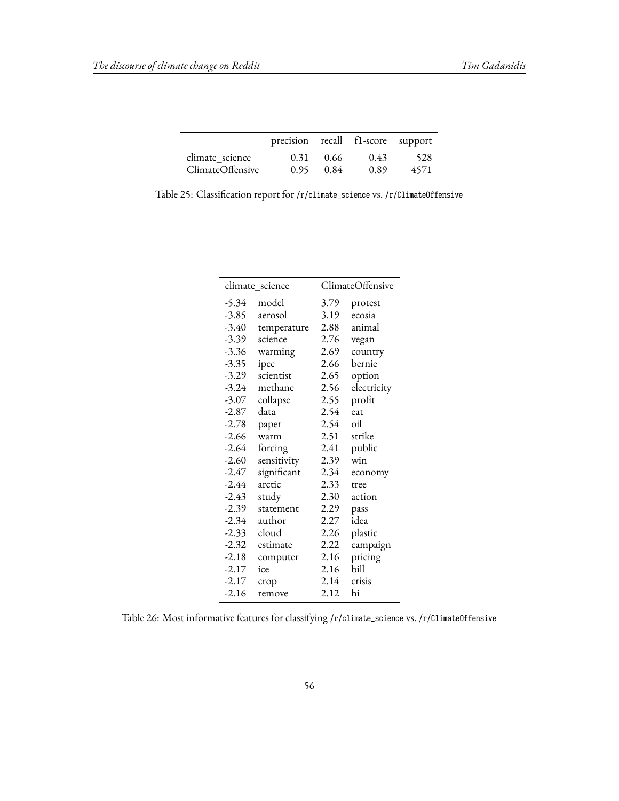|                  | precision recall f1-score support |      |      |      |
|------------------|-----------------------------------|------|------|------|
| climate science  | 0.31                              | 0.66 | 0.43 | 528  |
| ClimateOffensive | 0.95                              | 0.84 | 0.89 | 4571 |

|  |  |  |  |  |  | Table 25: Classification report for /r/climate_science vs. /r/Climate0ffensive |
|--|--|--|--|--|--|--------------------------------------------------------------------------------|
|--|--|--|--|--|--|--------------------------------------------------------------------------------|

|         | climate_science |      | ClimateOffensive |
|---------|-----------------|------|------------------|
| -5.34   | model           | 3.79 | protest          |
| $-3.85$ | aerosol         | 3.19 | ecosia           |
| $-3.40$ | temperature     | 2.88 | animal           |
| $-3.39$ | science         | 2.76 | vegan            |
| $-3.36$ | warming         | 2.69 | country          |
| $-3.35$ | ipcc            | 2.66 | bernie           |
| $-3.29$ | scientist       | 2.65 | option           |
| $-3.24$ | methane         | 2.56 | electricity      |
| $-3.07$ | collapse        | 2.55 | profit           |
| $-2.87$ | data            | 2.54 | eat              |
| $-2.78$ | paper           | 2.54 | oil              |
| $-2.66$ | warm            | 2.51 | strike           |
| $-2.64$ | forcing         | 2.41 | public           |
| $-2.60$ | sensitivity     | 2.39 | win              |
| $-2.47$ | significant     | 2.34 | economy          |
| $-2.44$ | arctic          | 2.33 | tree             |
| $-2.43$ | study           | 2.30 | action           |
| $-2.39$ | statement       | 2.29 | pass             |
| $-2.34$ | author          | 2.27 | idea             |
| $-2.33$ | cloud           | 2.26 | plastic          |
| $-2.32$ | estimate        | 2.22 | campaign         |
| $-2.18$ | computer        | 2.16 | pricing          |
| $-2.17$ | ice             | 2.16 | bill             |
| $-2.17$ | crop            | 2.14 | crisis           |
| $-2.16$ | remove          | 2.12 | hi               |
|         |                 |      |                  |

Table 26: Most informative features for classifying /r/climate\_science vs. /r/ClimateOffensive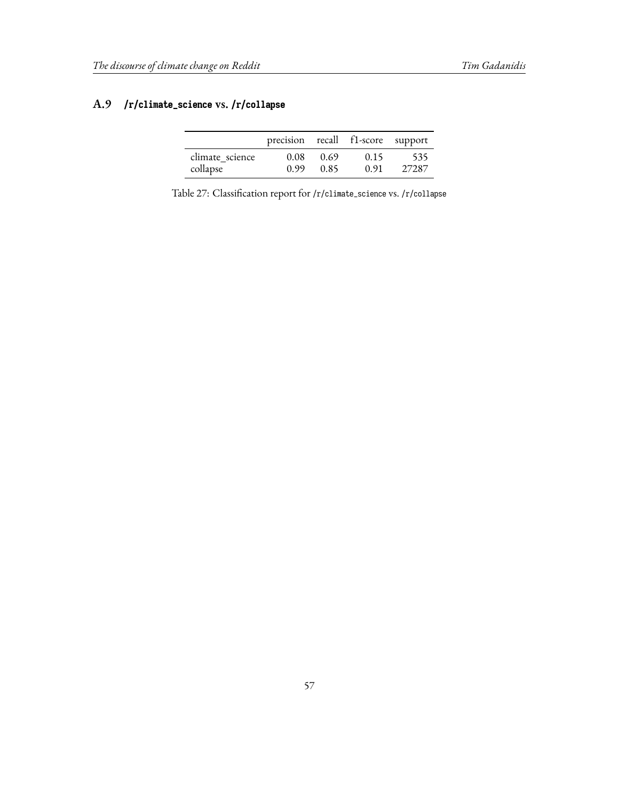## **A.9 /r/climate\_science vs. /r/collapse**

|                 | precision recall f1-score support |      |      |       |
|-----------------|-----------------------------------|------|------|-------|
| climate science | 0.08                              | 0.69 | 0.15 | -535  |
| collapse        | 0.99                              | 0.85 | 0.91 | 27287 |

Table 27: Classification report for /r/climate\_science vs. /r/collapse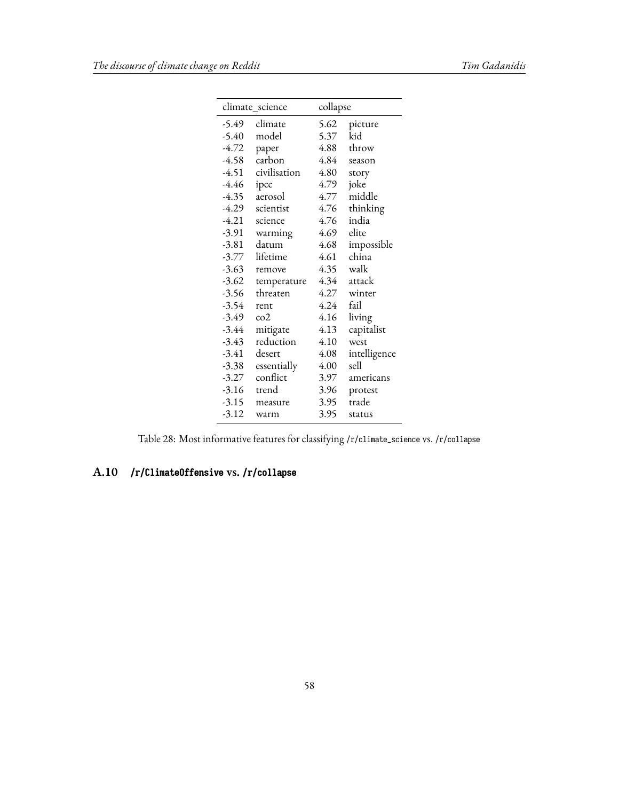|         | climate_science | collapse |              |
|---------|-----------------|----------|--------------|
| -5.49   | climate         | 5.62     | picture      |
| $-5.40$ | model           | 5.37     | kid          |
| -4.72   | paper           | 4.88     | throw        |
| $-4.58$ | carbon          | 4.84     | season       |
| -4.51   | civilisation    | 4.80     | story        |
| -4.46   | ipcc            | 4.79     | joke         |
| -4.35   | aerosol         | 4.77     | middle       |
| -4.29   | scientist       | 4.76     | thinking     |
| $-4.21$ | science         | 4.76     | india        |
| $-3.91$ | warming         | 4.69     | elite        |
| -3.81   | datum           | 4.68     | impossible   |
| $-3.77$ | lifetime        | 4.61     | china        |
| $-3.63$ | remove          | 4.35     | walk         |
| $-3.62$ | temperature     | 4.34     | attack       |
| $-3.56$ | threaten        | 4.27     | winter       |
| -3.54   | rent            | 4.24     | fail         |
| -3.49   | $\cos^2$        | 4.16     | living       |
| $-3.44$ | mitigate        | 4.13     | capitalist   |
| -3.43   | reduction       | 4.10     | west         |
| $-3.41$ | desert          | 4.08     | intelligence |
| $-3.38$ | essentially     | 4.00     | sell         |
| $-3.27$ | conflict        | 3.97     | americans    |
| $-3.16$ | trend           | 3.96     | protest      |
| $-3.15$ | measure         | 3.95     | trade        |
| $-3.12$ | warm            | 3.95     | status       |

Table 28: Most informative features for classifying /r/climate\_science vs. /r/collapse

## **A.10 /r/ClimateOffensive vs. /r/collapse**